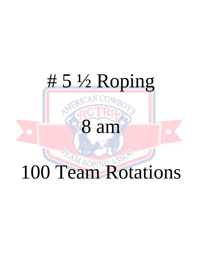# # 5 ½ Roping

# 8 am

# 100 Team Rotations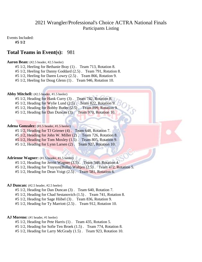# 2021 Wrangler/Professional's Choice ACTRA National Finals Participants Listing

Events Included:

**#5 1/2**

# **Total Teams in Event(s):** 981

#### **Aaron Bean:** (#2.5 header, #2.5 heeler)

#5 1/2, Heeling for Bethanie Bray (1) . Team 713, Rotation 8.

- #5 1/2, Heeling for Danny Goddard (2.5) . Team 791, Rotation 8.
- #5 1/2, Heeling for Daren Lowry (2.5) . Team 866, Rotation 9.

#5 1/2, Heeling for Doug Glenn (1) . Team 946, Rotation 10.

#### **Abby Mitchell:** (#2.5 header, #1.5 heeler)

#5 1/2, Heading for Hank Curry (3) . Team 742, Rotation 8.

- #5 1/2, Heading for Wylie Lund (2.5). Team 822, Rotation 9.
- #5 1/2, Heading for Bobby Butler (2.5). Team 899, Rotation 9.
- #5 1/2, Heading for Dan Duncan (3) . Team 970, Rotation 10.

#### Adena Gonzalez: (#1.5 header, #1.5 heeler)

#5 1/2, Heading for TJ Griener (4) . Team 648, Rotation 7. #5 1/2, Heading for John W. Miller (2) . Team 726, Rotation 8. #5 1/2, Heading for Tom Moxley (1.5) . Team 805, Rotation 9.

#5 1/2, Heading for Lynn Larsen (2) . Team 927, Rotation 10.

#### **Adrienne Wagner:** (#1.5 header, #1.5 heeler)

#5 1/2, Heading for Jerritt Wagner (3.5) . Team 348, Rotation 4.

#5 1/2, Heading for Traysyn(Bulla) Waltjen (2.5) . Team 472, Rotation 5.

#5 1/2, Heading for Dean Voigt (2.5) . Team 581, Rotation 6.

#### **AJ Duncan:** (#2.5 header, #2.5 heeler)

- #5 1/2, Heading for Dan Duncan (3) . Team 640, Rotation 7.
- #5 1/2, Heading for Chad Sestanovich (1.5) . Team 741, Rotation 8.
- #5 1/2, Heading for Sage Hiibel (3) . Team 836, Rotation 9.
- #5 1/2, Heading for Ty Marriott (2.5) . Team 912, Rotation 10.

#### AJ Moreno: (#1 header, #1 heeler)

- #5 1/2, Heading for Pete Harris (1) . Team 435, Rotation 5.
- #5 1/2, Heading for Sofie Ten Broek (1.5) . Team 774, Rotation 8.
- #5 1/2, Heading for Larry McGrady (1.5) . Team 923, Rotation 10.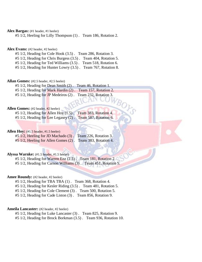Alex Bargas: (#1 header, #1 heeler)

#5 1/2, Heeling for Lilly Thompson (1) . Team 186, Rotation 2.

Alex Evans: (#2 header, #2 heeler)

#5 1/2, Heading for Cole Hook (3.5) . Team 286, Rotation 3.

#5 1/2, Heading for Chris Burgess (3.5) . Team 404, Rotation 5.

#5 1/2, Heading for Ted Williams (3.5) . Team 518, Rotation 6.

#5 1/2, Heading for Hunter Lowry (3.5) . Team 767, Rotation 8.

**Allan Gomes:** (#2.5 header, #2.5 heeler)

#5 1/2, Heading for Dean Smith (2) . Team 46, Rotation 1.

#5 1/2, Heading for Mark Hardin (2) . Team 157, Rotation 2.

#5 1/2, Heading for JP Medeiros (2) . Team 232, Rotation 3.

#### **Allen Gomes:** (#2 header, #2 heeler)

#5 1/2, Heading for Allen Hoy (1.5) . Team 383, Rotation 4. #5 1/2, Heading for Lee Legasey (2) . Team 587, Rotation 6.

#### Allen Hoy: (#1.5 header, #1.5 heeler)

#5 1/2, Heeling for JD Machado (3) . Team 226, Rotation 3. #5 1/2, Heeling for Allen Gomes (2) . Team 383, Rotation 4.

#### **Alyssa Warnke:** (#1.5 header, #1.5 heeler)

#5 1/2, Heading for Warren Enz (2.5) . Team 181, Rotation 2. #5 1/2, Heading for Carson Williams (3) . Team 451, Rotation 5.

#### **Amee Roundy:** (#2 header, #2 heeler)

#5 1/2, Heading for TBA TBA (1) . Team 368, Rotation 4.

#5 1/2, Heading for Kesler Riding (3.5) . Team 481, Rotation 5.

#5 1/2, Heading for Cole Clement (3) . Team 500, Rotation 5.

#5 1/2, Heading for Cade Liston (3) . Team 856, Rotation 9.

#### **Ameila Lancaster:** (#2 header, #2 heeler)

#5 1/2, Heading for Luke Lancaster (3) . Team 825, Rotation 9.

#5 1/2, Heading for Brock Borkman (3.5) . Team 936, Rotation 10.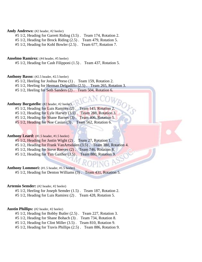#### Andy Andrews: (#2 header, #2 heeler)

#5 1/2, Heading for Garrett Riding (3.5) . Team 174, Rotation 2.

#5 1/2, Heading for Brock Riding (2.5) . Team 479, Rotation 5.

#5 1/2, Heading for Kohl Bowler (2.5) . Team 677, Rotation 7.

#### **Anselmo Ramirez:** (#4 header, #5 heeler)

#5 1/2, Heading for Cash Filipponi (1.5) . Team 437, Rotation 5.

#### Anthony Basso: (#2.5 header, #2.5 heeler)

#5 1/2, Heeling for Joshua Peeso (1) . Team 159, Rotation 2.

#5 1/2, Heeling for Herman Delgadillo (2.5) . Team 265, Rotation 3.

#5 1/2, Heeling for Seth Sanders (2) . Team 504, Rotation 6.

### Anthony Borgatello: (#2 header, #2 heeler)

#5 1/2, Heading for Luis Ramirez (2) . Team 145, Rotation 2. #5 1/2, Heading for Lyle Harvey (3.5) . Team 288, Rotation 3. #5 1/2, Heading for Shane Barnes (3) . Team 406, Rotation 5. #5 1/2, Heading for Noe Casian (3) . Team 562, Rotation 6.

#### Anthony Leard: (#1.5 header, #1.5 heeler)

#5 1/2, Heading for Justin Wight (2) . Team 27, Rotation 1. #5 1/2, Heading for Frank VanArtsdalen (3.5). Team 380, Rotation 4. #5 1/2, Heading for Steve Reeves (2) . Team 746, Rotation 8.

#5 1/2, Heading for Tim Gaither (3.5) . Team 880, Rotation 9.

#### Anthony Lommori: (#1.5 header, #1.5 heeler)

#5 1/2, Heading for Denton Williams (3) . Team 431, Rotation 5.

#### **Artemio Semder:** (#2 header, #2 heeler)

#5 1/2, Heeling for Joseph Semder (1.5) . Team 187, Rotation 2. #5 1/2, Heading for Luis Ramirez (2) . Team 428, Rotation 5.

#### **Austin Phillips:** (#2 header, #2 heeler)

#5 1/2, Heading for Bobby Butler (2.5) . Team 227, Rotation 3.

#5 1/2, Heading for Shane Bohach (3) . Team 734, Rotation 8.

#5 1/2, Heading for Clint Miller (3.5) . Team 810, Rotation 9.

#5 1/2, Heading for Travis Phillips (2.5) . Team 886, Rotation 9.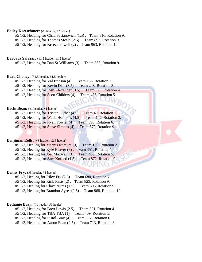#### **Bailey Kretschmer:** (#3 header, #2 heeler)

#5 1/2, Heading for Chad Sestanovich (1.5) . Team 816, Rotation 9.

#5 1/2, Heading for Thomas Steele (2.5) . Team 892, Rotation 9.

#5 1/2, Heading for Kreece Powell (2) . Team 963, Rotation 10.

#### **Barbara Salazar:** (#1.5 header, #1.5 heeler)

#5 1/2, Heading for Dan Sr Williams (3) . Team 865, Rotation 9.

#### **Beau Chaney:** (#1.5 header, #1.5 heeler)

#5 1/2, Heading for Val Ericson (4) . Team 136, Rotation 2.

#5 1/2, Heading for Kevin Dias (3.5) . Team 248, Rotation 3.

#5 1/2, Heading for Josh Alexander (3.5) . Team 373, Rotation 4.

#5 1/2, Heading for Scott Childers (4). Team 486, Rotation 5.

#### **Becki Bean:** (#1 header, #1 heeler)

#5 1/2, Heading for Tristan Luther (4.5) . Team 40, Rotation 1.

#5 1/2, Heading for Wade Hofheins (4.5). Team 147, Rotation 2.

#5 1/2, Heading for Ryan Fowler (4). Team 590, Rotation 6.

#5 1/2, Heading for Steve Simons (4) . Team 870, Rotation 9.

#### **Benjiman Eells:** (#3 header, #2.5 heeler)

#5 1/2, Heeling for Marty Okamura (3) . Team 190, Rotation 2.

#5 1/2, Heeling for Kyle Beaver (3). Team 351, Rotation 4.

#5 1/2, Heeling for Joel Maxwell (3) . Team 408, Rotation 5.

#5 1/2, Heading for Sam Kofoed (1.5) . Team 872, Rotation 9.

#### **Benny Fry:** (#3 header, #3 heeler)

#5 1/2, Heeling for Riley Fry (2.5) . Team 680, Rotation 7.

#5 1/2, Heeling for Rick Jonas (2) . Team 823, Rotation 9.

#5 1/2, Heeling for Claye Ayres (1.5) . Team 896, Rotation 9.

#5 1/2, Heeling for Brandon Ayres (2.5) . Team 968, Rotation 10.

#### **Bethanie Bray:** (#1 header, #1 heeler)

#5 1/2, Heading for Brett Lewis (2.5) . Team 301, Rotation 4.

#5 1/2, Heading for TBA TBA (1) . Team 409, Rotation 5.

#5 1/2, Heading for Pistol Bray (4) . Team 537, Rotation 6.

#5 1/2, Heading for Aaron Bean (2.5) . Team 713, Rotation 8.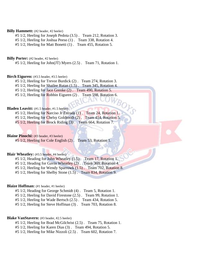#### **Billy Hammett:** (#2 header, #2 heeler)

#5 1/2, Heeling for Joseph Pedota (3.5) . Team 212, Rotation 3.

#5 1/2, Heeling for Joshua Peeso (1) . Team 338, Rotation 4.

#5 1/2, Heeling for Matt Bonetti (1) . Team 455, Rotation 5.

#### **Billy Porter:** (#2 header, #2 heeler)

#5 1/2, Heeling for John(JT) Myers (2.5) . Team 71, Rotation 1.

#### **Birch Eiguren:** (#3.5 header, #3.5 heeler)

#5 1/2, Heeling for Trevor Burdick (2) . Team 274, Rotation 3.

#5 1/2, Heeling for Shailee Rutan (1.5) . Team 345, Rotation 4.

#5 1/2, Heeling for Jace Grenke (2) . Team 490, Rotation 5.

#5 1/2, Heeling for Robbin Eiguren (2). Team 598, Rotation 6.

#### **Bladen Leavitt:** (#1.5 header, #1.5 heeler)

#5 1/2, Heeling for Narciso Jr Estrada (1). Team 24, Rotation 1.

#5 1/2, Heeling for Chelsy Goldtooth (2) . Team 414, Rotation 5.

#5 1/2, Heeling for Brock Riding (3) . Team 664, Rotation 7.

#### **Blaine Pinochi:** (#3 header, #3 heeler)

#5 1/2, Heeling for Cole English (2) . Team 53, Rotation 1.

#### **Blair Wheatley:** (#3.5 header, #4 heeler)

#5 1/2, Heading for John Wheatley (1.5). Team 17, Rotation 1.

#5 1/2, Heading for Gavin Wheatley (2). Team 369, Rotation 4.

#5 1/2, Heeling for Wendy Sparrowk (1.5) . Team 702, Rotation 8.

#5 1/2, Heeling for Shelby Stone (1.5) . Team 834, Rotation 9.

#### **Blaize Hoffman:** (#1 header, #1 heeler)

#5 1/2, Heading for George Schmidt (4) . Team 5, Rotation 1.

#5 1/2, Heeling for David Firestone (2.5) . Team 99, Rotation 1.

#5 1/2, Heeling for Wade Bertsch (2.5) . Team 434, Rotation 5.

#5 1/2, Heeling for Steve Hoffman (3) . Team 703, Rotation 8.

#### **Blake VanStavern:** (#3 header, #2.5 heeler)

- #5 1/2, Heeling for Brad McGilchrist (2.5) . Team 75, Rotation 1.
- #5 1/2, Heeling for Karen Dias (3) . Team 494, Rotation 5.
- #5 1/2, Heeling for Mike Nizzoli (2.5) . Team 602, Rotation 7.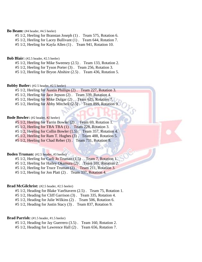#### **Bo Beam:** (#4 header, #4.5 heeler)

#5 1/2, Heeling for Branstan Joseph (1) . Team 575, Rotation 6.

#5 1/2, Heeling for Lacey Bullivant (1) . Team 644, Rotation 7.

#5 1/2, Heeling for Kayla Allen (1) . Team 941, Rotation 10.

#### **Bob Blair:** (#2.5 header, #2.5 heeler)

#5 1/2, Heeling for Mike Sweeney (2.5) . Team 133, Rotation 2.

#5 1/2, Heeling for Tyson Porter (3) . Team 256, Rotation 3.

#5 1/2, Heeling for Bryon Abshire (2.5) . Team 436, Rotation 5.

#### **Bobby Butler:** (#2.5 header, #2.5 heeler)

#5 1/2, Heeling for Austin Phillips (2) . Team 227, Rotation 3.

#5 1/2, Heeling for Jace Jepson (2) . Team 339, Rotation 4.

#5 1/2, Heeling for Mike Dulgar (2). Team 625, Rotation 7.

#5 1/2, Heeling for Abby Mitchell (2.5). Team 899, Rotation 9.

#### **Bode Bowler:** (#2 header, #2 heeler)

#5 1/2, Heeling for Tarrin Bowler (2) . Team 69, Rotation 1.

#5 1/2, Heeling for TBA TBA (1) . Team 228, Rotation 3.

#5 1/2, Heeling for Collin Bowler (1.5) . Team 357, Rotation 4.

#5 1/2, Heeling for Ram T. Hughes (3) . Team 488, Rotation 5.

#5 1/2, Heeling for Chad Reber (3) . Team 731, Rotation 8.

#### **Boden Truman:** (#2.5 header, #3 heeler)

#5 1/2, Heeling for Carli Jo Truman (1.5) . Team 7, Rotation 1.

#5 1/2, Heeling for Hailey Okamura (2) . Team 101, Rotation 2.

#5 1/2, Heeling for Truce Truman (2) . Team 211, Rotation 3.

#5 1/2, Heeling for Jon Platt (2) . Team 337, Rotation 4.

#### **Brad McGilchrist:** (#2.5 header, #2.5 heeler)

#5 1/2, Heading for Blake VanStavern (2.5) . Team 75, Rotation 1.

#5 1/2, Heading for Cliff Garrison (3) . Team 335, Rotation 4.

#5 1/2, Heading for Julie Wilkins (2) . Team 506, Rotation 6.

#5 1/2, Heading for Justin Stacy (3) . Team 837, Rotation 9.

#### Brad Parrish:  $(#1.5 \text{ header}, #1.5 \text{ header})$

#5 1/2, Heading for Jay Guerrero (3.5) . Team 160, Rotation 2.

#5 1/2, Heading for Lawrence Hall (2) . Team 656, Rotation 7.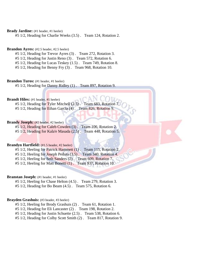#### Brady Jardine: (#1 header, #1 heeler)

#5 1/2, Heading for Charlie Weeks (3.5) . Team 124, Rotation 2.

#### Brandon Ayres: (#2.5 header, #2.5 heeler)

#5 1/2, Heading for Trevor Ayres (3) . Team 272, Rotation 3.

#5 1/2, Heading for Justin Reno (3) . Team 572, Rotation 6.

#5 1/2, Heading for Lucas Teskey (1.5) . Team 749, Rotation 8.

#5 1/2, Heading for Benny Fry (3) . Team 968, Rotation 10.

#### **Brandon Turos:** (#1 header, #1 heeler)

#5 1/2, Heading for Danny Ridley (1) . Team 897, Rotation 9.

#### **Brandt Hiles:** (#1 header, #1 heeler)

#5 1/2, Heading for Tyler Mitchell  $(2.5)$ . Team 683, Rotation #5 1/2, Heading for Ethan Garcia (4). Team 826, Rotation 9.

#### **Brandy Joseph:** (#2 header, #2 heeler)

#5 1/2, Heading for Caleb Cowden (3) . Team 106, Rotation 2. #5 1/2, Heading for Kala'e Masada (2.5) . Team 448, Rotation 5.

#### **Brandyn Hartfield:** (#1.5 header, #2 heeler)

#5 1/2, Heeling for Patrick Hammett (1). Team 115, Rotation 2.

#5 1/2, Heeling for Joseph Pedota (3.5) . Team 340, Rotation 4.

#5 1/2, Heeling for Seth Sanders (2) . Team 609, Rotation 7.

#5 1/2, Heeling for Matt Bonetti (1) . Team 937, Rotation 10.

#### **Branstan Joseph:** (#1 header, #1 heeler)

#5 1/2, Heeling for Chase Helton (4.5) . Team 279, Rotation 3. #5 1/2, Heading for Bo Beam (4.5) . Team 575, Rotation 6.

#### **Brayden Grashuis:** (#3 header, #3 heeler)

#5 1/2, Heeling for Brody Grashuis (2) . Team 61, Rotation 1.

#5 1/2, Heading for Eli Lancaster (2) . Team 198, Rotation 2.

#5 1/2, Heading for Justin Schuette (2.5) . Team 538, Rotation 6.

#5 1/2, Heading for Colby Scott Smith (2) . Team 817, Rotation 9.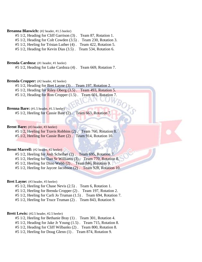#### **Breanna Blaswich:** (#2 header, #1.5 heeler)

#5 1/2, Heading for Cliff Garrison (3) . Team 87, Rotation 1.

#5 1/2, Heading for Colt Cowden (3.5) . Team 230, Rotation 3.

#5 1/2, Heeling for Tristan Luther (4) . Team 422, Rotation 5.

#5 1/2, Heading for Kevin Dias (3.5) . Team 534, Rotation 6.

**Brenda Cardoza:** (#1 header, #1 heeler)

#5 1/2, Heading for Luke Cardoza (4) . Team 669, Rotation 7.

#### **Brenda Cropper:** (#2 header, #2 heeler)

#5 1/2, Heading for Bret Layne (3) . Team 197, Rotation 2.

#5 1/2, Heading for Riley Oberg (3.5) . Team 493, Rotation 5.

#5 1/2, Heading for Ron Cropper (1.5). Team 601, Rotation 7.

#### **Brenna Bare:** (#1.5 header, #1.5 heeler)

#5 1/2, Heeling for Cassie Bare (2) . Team 663, Rotation 7.

#### **Brent Bare:** (#3 header, #3 heeler)

#5 1/2, Heeling for Travis Robbins (2) . Team 760, Rotation 8. #5 1/2, Heeling for Cassie Bare (2) . Team 914, Rotation 10.

#### **Brent Marrell:** (#2 header, #2 heeler)

#5 1/2, Heeling for Josh Scheiber (2) . Team 695, Rotation 7. #5 1/2, Heeling for Dan Sr Williams (3) . Team 770, Rotation 8. #5 1/2, Heeling for Dino Webb (2) . Team 846, Rotation 9.

#5 1/2, Heeling for Jaycee Jacobson (2) . Team 928, Rotation 10.

#### Bret Layne: (#3 header, #3 heeler)

#5 1/2, Heeling for Chase Nevis (2.5) . Team 6, Rotation 1.

#5 1/2, Heeling for Brenda Cropper (2) . Team 197, Rotation 2.

#5 1/2, Heeling for Carli Jo Truman (1.5) . Team 694, Rotation 7.

#5 1/2, Heeling for Truce Truman (2) . Team 843, Rotation 9.

#### **Brett Lewis:** (#2.5 header, #2.5 heeler)

- #5 1/2, Heeling for Bethanie Bray (1) . Team 301, Rotation 4.
- #5 1/2, Heading for Jake Jr Young (1.5) . Team 715, Rotation 8.
- #5 1/2, Heading for Cliff Wilbanks (2) . Team 800, Rotation 8.
- #5 1/2, Heeling for Doug Glenn (1) . Team 874, Rotation 9.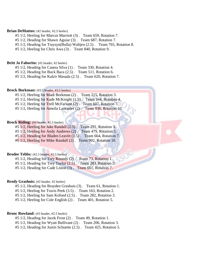#### **Brian DeMattos:** (#2 header, #2.5 heeler)

- #5 1/2, Heeling for Marcus Marriott (3) . Team 659, Rotation 7.
- #5 1/2, Heading for Shawn Aguiar (3) . Team 687, Rotation 7.
- #5 1/2, Heading for Traysyn(Bulla) Waltjen (2.5) . Team 765, Rotation 8.
- #5 1/2, Heeling for Chris Awa (3) . Team 840, Rotation 9.

#### **Britt Jo Faborito:** (#2 header, #2 heeler)

- #5 1/2, Heading for Casera Silva (1) . Team 330, Rotation 4.
- #5 1/2, Heading for Buck Baca (2.5) . Team 511, Rotation 6.
- #5 1/2, Heading for Kala'e Masada (2.5) . Team 620, Rotation 7.

#### Brock Borkman: (#3.5 header, #3.5 heeler)

- #5 1/2, Heeling for Madi Borkman (2) . Team 215, Rotation 3.
- #5 1/2, Heeling for Kade McKnight (1.5). Team 344, Rotation 4.
- #5 1/2, Heeling for Trell McFarlane (2) . Team 607, Rotation 7.
- #5 1/2, Heeling for Ameila Lancaster (2) . Team 936, Rotation 10.

#### Brock Riding: (#3 header, #2.5 heeler)

- #5 1/2, Heeling for Jake Randall (2.5) . Team 291, Rotation 3.
- #5 1/2, Heeling for Andy Andrews (2) . Team 479, Rotation 5.
- #5 1/2, Heading for Bladen Leavitt (1.5) . Team 664, Rotation 7.
- #5 1/2, Heeling for Mike Randall (2) . Team 902, Rotation 10.

#### **Brodee Tebbs:** (#2.5 header, #2.5 heeler)

- #5 1/2, Heading for Trey Roundy (2) . Team 73, Rotation 1.
- #5 1/2, Heading for Trey Taylor (2.5) . Team 283, Rotation 3.
- #5 1/2, Heading for Cade Liston (3) . Team 661, Rotation 7.

#### Brody Grashuis: (#2 header, #2 heeler)

- #5 1/2, Heading for Brayden Grashuis (3) . Team 61, Rotation 1.
- #5 1/2, Heeling for Travis Peek (3.5) . Team 163, Rotation 2.
- #5 1/2, Heeling for Sam Kofoed (2.5) . Team 282, Rotation 3.
- #5 1/2, Heeling for Cole English (2) . Team 401, Rotation 5.

#### **Bronc Rowland:** (#3 header, #2.5 heeler)

- #5 1/2, Heading for Jacek Frost (2) . Team 49, Rotation 1.
- #5 1/2, Heading for Wyatt Bullivant (2) . Team 206, Rotation 3.
- #5 1/2, Heading for Justin Schuette (2.5) . Team 425, Rotation 5.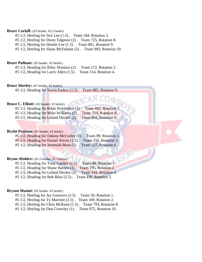#### Bruce Corkill: (#3 header, #3.5 heeler)

- #5 1/2, Heeling for Stix Lee (1.5) . Team 184, Rotation 2.
- #5 1/2, Heeling for Dusty Edgmon (2) . Team 725, Rotation 8.
- #5 1/2, Heeling for Dennis Lee (1.5) . Team 861, Rotation 9.
- #5 1/2, Heeling for Sloan McFarlane (2) . Team 903, Rotation 10.

#### **Bruce Pulham:** (#2 header, #2 heeler)

#5 1/2, Heading for Riley Wanlass (2) . Team 172, Rotation 2.

#5 1/2, Heading for Larry Allen (1.5) . Team 314, Rotation 4.

#### **Bruce Sherley:** (#1 header, #1 heeler)

#5 1/2, Heading for Kevin Endres (1.5) . Team 885, Rotation 9.

#### **Bruce C. Elliott:** (#2 header, #2 heeler)

| $#5$ 1/2, Heading for Rikki Perezchica (3).   | Team 662, Rotation 7. |
|-----------------------------------------------|-----------------------|
| $#5\ 1/2$ , Heading for Mike Williams $(2)$ . | Team 759, Rotation 8. |
| $#5$ 1/2, Heading for Leland Decker $(2)$ .   | Team 893, Rotation 9. |

#### Brylei Pearson: (#1 header, #1 heeler)

#5 1/2, Heading for Dakota McCurley (1). Team 89, Rotation 1. #5 1/2, Heading for Daniel Alviso (1.5) . Team 255, Rotation 3. #5 1/2, Heading for Jeremiah Bean (1). Team 527, Rotation 6.

#### **Bryon Abshire:** (#2.5 header, #1.5 heeler)

#5 1/2, Heading for Tony Gaither (2.5) . Team 86, Rotation 1.

#5 1/2, Heading for Shane Barnes (3) . Team 195, Rotation 2.

- #5 1/2, Heading for Leland Decker (2) . Team 318, Rotation 4.
- #5 1/2, Heading for Bob Blair (2.5) . Team 436, Rotation 5.

#### Bryson Masini: (#2 header, #2 heeler)

#5 1/2, Heeling for Jay Guerrero (3.5) . Team 50, Rotation 1.

#5 1/2, Heeling for Ty Marriott (2.5) . Team 169, Rotation 2.

- #5 1/2, Heeling for Chris McKean (1.5) . Team 793, Rotation 8.
- #5 1/2, Heeling for Dan Coverley (1) . Team 975, Rotation 10.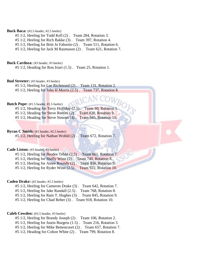#### **Buck Baca:** (#2.5 header, #2.5 heeler)

- #5 1/2, Heeling for Todd Kell (2) . Team 284, Rotation 3.
- #5 1/2, Heeling for Rich Bakke (3) . Team 397, Rotation 4.
- #5 1/2, Heeling for Britt Jo Faborito (2) . Team 511, Rotation 6.
- #5 1/2, Heeling for Jack M Rasmason (2) . Team 621, Rotation 7.

#### Buck Cardoza: (#3 header, #3 heeler)

#5 1/2, Heading for Ron Iriart (1.5) . Team 25, Rotation 1.

#### **Bud Streeter:** (#3 header, #3 heeler)

#5 1/2, Heeling for Lee Richmond (2) . Team 131, Rotation 2.

#5 1/2, Heeling for John H Morris (2.5) . Team 737, Rotation 8.

## **Butch Pope:** (#1.5 header, #1.5 heeler)

|  |  | $#5$ 1/2, Heading for Terry Holliday (2.5).                  |  | Team 60, Rotation 1. |  |
|--|--|--------------------------------------------------------------|--|----------------------|--|
|  |  | #5 1/2, Heading for Steve Reeves (2). Team 820, Rotation 9.  |  |                      |  |
|  |  | #5 1/2, Heading for Steve Simons (4). Team 945, Rotation 10. |  |                      |  |

#### **Byran C Smith:** (#2 header, #2.5 heeler)

#5 1/2, Heeling for Nathan Wohld (2) . Team 672, Rotation 7.

#### Cade Liston: (#3 header, #3 heeler)

 $#5\ 1/2$ , Heeling for Brodee Tebbs  $(2.5)$ . Team 661, Rotation 7.

#5 1/2, Heeling for Shelly Winn (2) . Team 740, Rotation 8.

#5 1/2, Heeling for Amee Roundy (2). Team 856, Rotation 9.

#5 1/2, Heeling for Ryder Winn (2.5) . Team 922, Rotation 10.

#### **Caden Drake:** (#2 header, #2.5 heeler)

- #5 1/2, Heeling for Cameron Drake (3) . Team 642, Rotation 7.
- #5 1/2, Heeling for Jake Randall (2.5) . Team 768, Rotation 8.
- #5 1/2, Heeling for Ram T. Hughes (3) . Team 845, Rotation 9.
- #5 1/2, Heeling for Chad Reber (3) . Team 918, Rotation 10.

#### **Caleb Cowden:** (#3.5 header, #3 heeler)

- #5 1/2, Heeling for Brandy Joseph (2) . Team 106, Rotation 2.
- #5 1/2, Heeling for Justin Burgess (1.5) . Team 216, Rotation 3.
- #5 1/2, Heeling for Mike Bettencourt (2) . Team 657, Rotation 7.
- #5 1/2, Heading for Colton White (2) . Team 799, Rotation 8.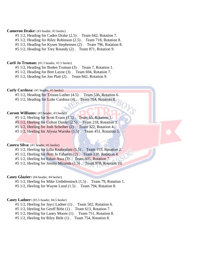#### **Cameron Drake:** (#3 header, #2 heeler)

- #5 1/2, Heading for Caden Drake (2.5) . Team 642, Rotation 7.
- #5 1/2, Heading for Riley Robinson (2.5) . Team 718, Rotation 8.
- #5 1/2, Heading for Kysen Stephensen (2) . Team 796, Rotation 8.

#5 1/2, Heading for Trey Roundy (2) . Team 871, Rotation 9.

#### **Carli Jo Truman:** (#1.5 header, #1.5 heeler)

#5 1/2, Heading for Boden Truman (3) . Team 7, Rotation 1.

#5 1/2, Heading for Bret Layne (3) . Team 694, Rotation 7.

#5 1/2, Heading for Jon Platt (2) . Team 842, Rotation 9.

#### Carly Cardoza: (#1 header, #1 heeler)

- #5 1/2, Heading for Tristan Luther (4.5) . Team 536, Rotation 6.
- #5 1/2, Heading for Luke Cardoza (4). Team 764, Rotation 8.

#### **Carson Williams:** (#3 header, #3 heeler)

- #5 1/2, Heeling for Scott Evans (1.5). Team 65, Rotation 1.
- #5 1/2, Heeling for Colton Daniel (2.5) . Team 218, Rotation 3.
- #5 1/2, Heeling for Josh Scheiber (2) . Team 322, Rotation 4.
- #5 1/2, Heeling for Alyssa Warnke (1.5). Team 451, Rotation 5.

#### **Casera Silva:** (#1 header, #1 heeler)

- #5 1/2, Heeling for Lilia Keakealani (1.5) . Team 153, Rotation 2.
- #5 1/2, Heeling for Britt Jo Faborito (2) . Team 330, Rotation 4.
- #5 1/2, Heeling for Ethan Awa (3) . Team 605, Rotation 7.
- #5 1/2, Heeling for Jimmy Miranda (1.5) . Team 978, Rotation 10.

#### **Casey Glazier:** (#4 header, #4 heeler)

- #5 1/2, Heeling for Mike Umbdenstock (1.5) . Team 79, Rotation 1.
- #5 1/2, Heeling for Wayne Lund (1.5) . Team 794, Rotation 8.

#### **Casey Ladner:** (#3.5 header, #4.5 heeler)

- #5 1/2, Heeling for Jayci Ladner (1) . Team 502, Rotation 6.
- #5 1/2, Heeling for Geoff Bitle (1) . Team 613, Rotation 7.
- #5 1/2, Heeling for Laney Moore (1) . Team 751, Rotation 8.
- #5 1/2, Heeling for Riley Bitle (1) . Team 754, Rotation 8.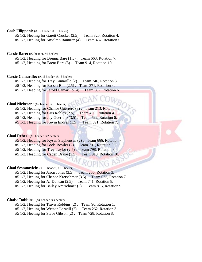#### **Cash Filipponi:** (#1.5 header, #1.5 heeler)

#5 1/2, Heeling for Garett Crocker (2.5) . Team 320, Rotation 4.

#5 1/2, Heeling for Anselmo Ramirez (4) . Team 437, Rotation 5.

#### **Cassie Bare:** (#2 header, #2 heeler)

#5 1/2, Heading for Brenna Bare (1.5) . Team 663, Rotation 7.

#5 1/2, Heading for Brent Bare (3) . Team 914, Rotation 10.

#### **Cassie Camarillo:** (#1.5 header, #1.5 heeler)

#5 1/2, Heading for Trey Camarillo (2) . Team 246, Rotation 3.

#5 1/2, Heading for Robert Rita (2.5) . Team 371, Rotation 4.

#5 1/2, Heading for Jerold Camarillo (4) . Team 582, Rotation 6.

#### **Chad Nickeson:** (#2 header, #1.5 heeler)

#5 1/2, Heading for Chance Guerrero (3) . Team 213, Rotation 3.

 $#5$  1/2, Heading for Cris Robles  $(2.5)$ . Team 400, Rotation 4.

#5 1/2, Heading for Jay Guerrero (3.5). Team 599, Rotation 6.

#5 1/2, Heading for Kevin Endres (1.5). Team 691, Rotation 7.

#### **Chad Reber:** (#3 header, #2 heeler)

- #5 1/2, Heading for Kysen Stephensen (2) . Team 666, Rotation 7.
- #5 1/2, Heading for Bode Bowler (2) . Team 731, Rotation 8.
- #5 1/2, Heading for Trey Taylor (2.5) . Team 798, Rotation 8.
- #5 1/2, Heading for Caden Drake (2.5) . Team 918, Rotation 10.

#### **Chad Sestanovich:** (#1.5 header, #1.5 heeler)

#5 1/2, Heeling for Jason Jones (3.5) . Team 250, Rotation 3.

- #5 1/2, Heeling for Chance Kretschmer (3.5) . Team 673, Rotation 7.
- #5 1/2, Heeling for AJ Duncan (2.5) . Team 741, Rotation 8.

#5 1/2, Heeling for Bailey Kretschmer (3) . Team 816, Rotation 9.

#### **Chaise Robbins:** (#4 header, #3 heeler)

#5 1/2, Heeling for Travis Robbins (2) . Team 96, Rotation 1.

#5 1/2, Heeling for Weston Lerwill (2) . Team 262, Rotation 3.

#5 1/2, Heeling for Steve Gibson (2) . Team 728, Rotation 8.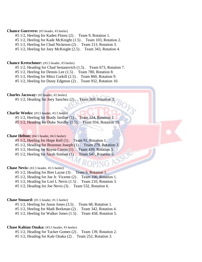#### **Chance Guerrero:** (#3 header, #3 heeler)

#5 1/2, Heeling for Kaden Florez (2) . Team 9, Rotation 1.

#5 1/2, Heeling for Kade McKnight (1.5) . Team 103, Rotation 2.

#5 1/2, Heeling for Chad Nickeson (2) . Team 213, Rotation 3.

#5 1/2, Heeling for Joey McKnight (2.5) . Team 343, Rotation 4.

#### **Chance Kretschmer:** (#3.5 header, #3 heeler)

#5 1/2, Heading for Chad Sestanovich (1.5) . Team 673, Rotation 7.

#5 1/2, Heeling for Dennis Lee (1.5) . Team 780, Rotation 8.

#5 1/2, Heeling for Mitzi Corkill (2.5) . Team 860, Rotation 9.

#5 1/2, Heeling for Dusty Edgmon (2) . Team 932, Rotation 10.

**Charles Jacoway:** (#2 header, #2 heeler)

#5 1/2, Heading for Joey Sanchez (2). Team 269, Rotation 3.

#### **Charlie Weeks:** (#3.5 header, #3.5 heeler)

- #5 1/2, Heeling for Brady Jardine (1) . Team 124, Rotation 2.
- #5 1/2, Heading for Duke Nordby (1.5) . Team 934, Rotation 10.

#### **Chase Helton:** (#4.5 header, #4.5 heeler)

#5 1/2, Heeling for Hope Kell (1) . Team 91, Rotation 1. #5 1/2, Heading for Branstan Joseph (1) . Team 279, Rotation 3.

#5 1/2, Heeling for Rayna Currin (1) . Team 439, Rotation 5.

#5 1/2, Heeling for Sarah Simons (1) . Team 547, Rotation 6.

#### **Chase Nevis:** (#2.5 header, #2.5 heeler)

#5 1/2, Heading for Bret Layne (3) . Team 6, Rotation 1.

#5 1/2, Heading for Joe Jr. Vicente (2) . Team 100, Rotation 1.

PING

#5 1/2, Heading for Lori L Nevis (1.5) . Team 210, Rotation 3.

#5 1/2, Heading for Joe Nevis (3) . Team 532, Rotation 6.

#### **Chase Stouard:** (#1.5 header, #1.5 heeler)

#5 1/2, Heeling for Jason Jones (3.5) . Team 68, Rotation 1.

#5 1/2, Heeling for Madi Borkman (2) . Team 342, Rotation 4.

#5 1/2, Heeling for Walker Jones (1.5) . Team 458, Rotation 5.

#### **Chase Kahiau Onaka:** (#3.5 header, #3 heeler)

#5 1/2, Heading for Tucker Gomes (2) . Team 139, Rotation 2.

#5 1/2, Heading for Kale Onaka (2) . Team 252, Rotation 3.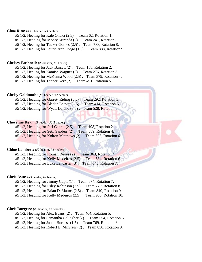#### **Chaz Rita:** (#3.5 header, #3 heeler)

- #5 1/2, Heeling for Kale Onaka (2.5) . Team 62, Rotation 1.
- #5 1/2, Heading for Monty Miranda (2) . Team 241, Rotation 3.
- #5 1/2, Heeling for Tucker Gomes (2.5) . Team 738, Rotation 8.
- #5 1/2, Heeling for Laurie Ann Diego (1.5) . Team 888, Rotation 9.

#### **Chelsey Bushnell:** (#3 header, #3 heeler)

- #5 1/2, Heeling for Jack Bassett (2) . Team 188, Rotation 2.
- #5 1/2, Heeling for Kamish Wagner (2) . Team 276, Rotation 3.
- #5 1/2, Heeling for McKenna Wood (2.5) . Team 379, Rotation 4.
- #5 1/2, Heeling for Tanner Kerr (2) . Team 491, Rotation 5.

#### **Chelsy Goldtooth:** (#2 header, #2 heeler)

- #5 1/2, Heading for Garrett Riding (3.5). Team 292, Rotation 3.
- #5 1/2, Heading for Bladen Leavitt (1.5). Team 414, Rotation 5.
- #5 1/2, Heading for Wyatt Delano (3.5) . Team 528, Rotation 6.

#### **Cheyenne Rey:** (#3 header, #2.5 heeler)

- #5 1/2, Heading for Jeff Cabral (2.5) . Team 108, Rotation 2.
- #5 1/2, Heading for Seth Sanders (2) . Team 389, Rotation 4.
- #5 1/2, Heading for Kolton Matthews (2) . Team 505, Rotation 6.

#### **Chloe Lambert:** (#2 header, #2 heeler)

- #5 1/2, Heading for Roman Reyes (2) . Team 363, Rotation 4.
- #5 1/2, Heading for Kelly Medeiros (2.5). Team 584, Rotation 6.
- #5 1/2, Heading for Luke Lancaster (3) . Team 645, Rotation 7.

#### **Chris Awa:** (#3 header, #2 heeler)

- #5 1/2, Heading for Jimmy Cupit (1) . Team 674, Rotation 7.
- #5 1/2, Heading for Riley Robinson (2.5) . Team 779, Rotation 8.
- #5 1/2, Heading for Brian DeMattos (2.5) . Team 840, Rotation 9.
- #5 1/2, Heading for Kelly Medeiros (2.5) . Team 958, Rotation 10.

#### **Chris Burgess:** (#3 header, #3.5 heeler)

- #5 1/2, Heeling for Alex Evans (2) . Team 404, Rotation 5.
- #5 1/2, Heeling for Samantha Gallagher (2) . Team 554, Rotation 6.
- #5 1/2, Heeling for Justin Burgess (1.5) . Team 769, Rotation 8.
- #5 1/2, Heeling for Robert E. McGrew (2) . Team 850, Rotation 9.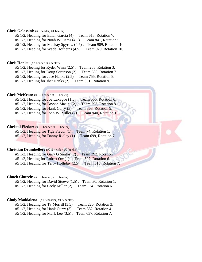#### **Chris Galassini:** (#1 header, #1 heeler)

#5 1/2, Heading for Ethan Garcia (4) . Team 615, Rotation 7.

#5 1/2, Heading for Noah Williams (4.5) . Team 841, Rotation 9.

#5 1/2, Heading for Mackay Spyrow (4.5) . Team 909, Rotation 10.

#5 1/2, Heading for Wade Hofheins (4.5) . Team 979, Rotation 10.

#### **Chris Hanks:** (#3 header, #3 heeler)

#5 1/2, Heeling for Ryder Winn (2.5) . Team 268, Rotation 3.

#5 1/2, Heeling for Doug Sorenson (2) . Team 688, Rotation 7.

#5 1/2, Heading for Jace Hanks (2.5) . Team 755, Rotation 8.

#5 1/2, Heeling for Jhet Hanks (2) . Team 831, Rotation 9.

#### **Chris McKean:** (#1.5 header, #1.5 heeler)

#5 1/2, Heading for Joe Laxague (1.5). Team 555, Rotation 6.

#5 1/2, Heading for Bryson Masini (2) . Team 793, Rotation 8.

#5 1/2, Heading for Hank Curry (3). Team 868, Rotation 9.

#5 1/2, Heading for John W. Miller (2) . Team 940, Rotation 10.

#### **Christal Fiedor:** (#1.5 header, #1.5 heeler)

#5 1/2, Heading for Tige Fiedor (1) . Team 74, Rotation 1. #5 1/2, Heading for Danny Ridley (1) . Team 699, Rotation 7.

#### **Christian Drumheller:** (#2.5 header, #2 heeler)

#5 1/2, Heading for Gary G Santos (2) . Team 392, Rotation 4. #5 1/2, Heeling for Robert Ow (1). Team 507, Rotation 6.

#5 1/2, Heading for Terry Holliday (2.5). Team 616, Rotation 7.

#### **Chuck Church:** (#1.5 header, #1.5 heeler)

#5 1/2, Heading for David Stueve (1.5) . Team 30, Rotation 1.

#5 1/2, Heading for Cody Miller (2) . Team 524, Rotation 6.

#### **Cindy Maddalena:** (#1.5 header, #1.5 heeler)

#5 1/2, Heading for Ty Morrill (3.5) . Team 225, Rotation 3.

#5 1/2, Heading for Hank Curry (3) . Team 352, Rotation 4.

#5 1/2, Heading for Mark Lee (3.5) . Team 637, Rotation 7.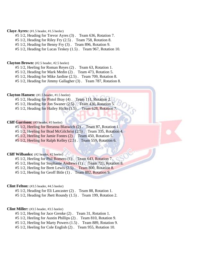#### **Claye Ayres:** (#1.5 header, #1.5 heeler)

- #5 1/2, Heading for Trevor Ayres (3) . Team 636, Rotation 7.
- #5 1/2, Heading for Riley Fry (2.5) . Team 758, Rotation 8.
- #5 1/2, Heading for Benny Fry (3) . Team 896, Rotation 9.
- #5 1/2, Heading for Lucas Teskey (1.5) . Team 967, Rotation 10.

#### **Clayton Brown:** (#2.5 header, #2.5 heeler)

- #5 1/2, Heeling for Roman Reyes (2) . Team 63, Rotation 1.
- #5 1/2, Heading for Mark Medin (2) . Team 473, Rotation 5.
- #5 1/2, Heading for Mike Jardine (2.5) . Team 709, Rotation 8.
- #5 1/2, Heading for Jimmy Gallagher (3) . Team 787, Rotation 8.

#### **Clayton Hansen:** (#1.5 header, #1.5 heeler)

- #5 1/2, Heading for Pistol Bray (4). Team 111, Rotation 2.
- #5 1/2, Heading for Jon Swaner (2.5) . Team 430, Rotation 5.
- #5 1/2, Heading for Hailey Hicks (1.5). Team 628, Rotation 7.

#### **Cliff Garrison:** (#3 header, #3 heeler)

- #5 1/2, Heeling for Breanna Blaswich (2) . Team 87, Rotation 1.
- #5 1/2, Heeling for Brad McGilchrist (2.5) . Team 335, Rotation 4.
- #5 1/2, Heeling for Jamie Fontes (2) . Team 450, Rotation 5.
- #5 1/2, Heeling for Ralph Kelley (2.5) . Team 559, Rotation 6.

#### **Cliff Wilbanks:** (#2 header, #2 heeler)

- #5 1/2, Heeling for Phil Romero (1) . Team 643, Rotation 7.
- #5 1/2, Heeling for Stephanie Andrews (1) . Team 721, Rotation 8.
- #5 1/2, Heeling for Brett Lewis (2.5) . Team 800, Rotation 8.
- #5 1/2, Heeling for Geoff Bitle (1) . Team 882, Rotation 9.

#### **Clint Felton:** (#3.5 header, #4.5 heeler)

- #5 1/2, Heading for Eli Lancaster (2) . Team 88, Rotation 1.
- #5 1/2, Heading for Jhett Roundy (1.5) . Team 199, Rotation 2.

#### **Clint Miller:** (#3.5 header, #3.5 heeler)

- #5 1/2, Heeling for Jace Grenke (2) . Team 31, Rotation 1.
- #5 1/2, Heeling for Austin Phillips (2) . Team 810, Rotation 9.
- #5 1/2, Heeling for Marty Powers (1.5) . Team 889, Rotation 9.
- #5 1/2, Heeling for Cole English (2) . Team 955, Rotation 10.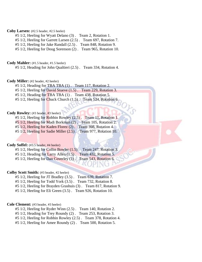#### **Coby Larsen:** (#2.5 header, #2.5 heeler)

- #5 1/2, Heeling for Wyatt Delano (3) . Team 2, Rotation 1.
- #5 1/2, Heeling for Garrett Larsen (2.5) . Team 697, Rotation 7.
- #5 1/2, Heeling for Jake Randall (2.5) . Team 848, Rotation 9.
- #5 1/2, Heeling for Doug Sorenson (2) . Team 965, Rotation 10.

#### **Cody Mahler:** (#1.5 header, #1.5 heeler)

#5 1/2, Heading for John Qualtieri (2.5) . Team 334, Rotation 4.

#### **Cody Miller:** (#2 header, #2 heeler)

- #5 1/2, Heading for TBA TBA (1) . Team 117, Rotation 2.
- #5 1/2, Heeling for David Stueve (1.5) . Team 229, Rotation 3.
- #5 1/2, Heading for TBA TBA (1) . Team 438, Rotation 5.
- $#5\ 1/2$ , Heeling for Chuck Church  $(1.5)$ . Team 524, Rotation 6.

#### Cody Rowley: (#3 header, #3 heeler)

- #5 1/2, Heeling for Robbin Rowley (2.5) . Team 11, Rotation 1.
- #5 1/2, Heeling for Madi Borkman (2) . Team 105, Rotation 2.
- #5 1/2, Heeling for Kaden Florez (2) . Team 398, Rotation 4.
- #5 1/2, Heeling for Sadie Miller (2.5) . Team 977, Rotation 10.

#### **Cody Soffel:** (#3.5 header, #4 heeler)

#5 1/2, Heeling for Collin Bowler (1.5) . Team 247, Rotation 3. #5 1/2, Heading for Larry Allen (1.5) . Team 432, Rotation 5. #5 1/2, Heeling for Dan Coverley (1) . Team 543, Rotation 6.

#### **Colby Scott Smith:** (#3 header, #2 heeler)

- #5 1/2, Heeling for JT Bradley (3.5) . Team 639, Rotation 7.
- #5 1/2, Heeling for Todd York (3.5) . Team 732, Rotation 8.
- #5 1/2, Heeling for Brayden Grashuis (3) . Team 817, Rotation 9.
- #5 1/2, Heeling for Eli Green (3.5) . Team 926, Rotation 10.

#### **Cole Clement:** (#3 header, #3 heeler)

- #5 1/2, Heeling for Ryder Winn (2.5) . Team 140, Rotation 2.
- #5 1/2, Heading for Trey Roundy (2) . Team 253, Rotation 3.
- #5 1/2, Heeling for Robbin Rowley (2.5) . Team 378, Rotation 4.
- #5 1/2, Heeling for Amee Roundy (2) . Team 500, Rotation 5.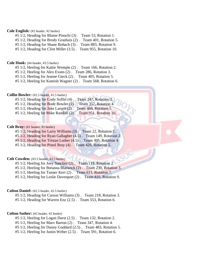#### **Cole English:** (#2 header, #2 heeler)

#5 1/2, Heading for Blaine Pinochi (3) . Team 53, Rotation 1.

#5 1/2, Heading for Brody Grashuis (2) . Team 401, Rotation 5.

#5 1/2, Heading for Shane Bohach (3) . Team 883, Rotation 9.

#5 1/2, Heading for Clint Miller (3.5) . Team 955, Rotation 10.

#### **Cole Hook:** (#4 header, #3.5 heeler)

#5 1/2, Heeling for Kattie Wemple (2) . Team 166, Rotation 2.

#5 1/2, Heeling for Alex Evans (2) . Team 286, Rotation 3.

#5 1/2, Heeling for Jeanne Gieck (2) . Team 405, Rotation 5.

#5 1/2, Heeling for Kamish Wagner (2) . Team 568, Rotation 6.

#### **Collin Bowler:** (#1.5 header, #1.5 heeler)

|  |  | $#5\ 1/2$ , Heading for Cody Soffel (4). Team 247, Rotation 3.    |
|--|--|-------------------------------------------------------------------|
|  |  | #5 1/2, Heading for Bode Bowler (2). Team 357, Rotation 4.        |
|  |  | $#5\ 1/2$ , Heading for Jake Larsen $(2)$ . Team 469, Rotation 5. |

#5 1/2, Heeling for Mike Randall (2). Team 951, Rotation 10.

#### **Colt Bray:** (#1 header, #1 heeler)

#5 1/2, Heading for Larry Williams (3) . Team 22, Rotation 1.

#5 1/2, Heading for Ryan Gallagher (4.5) . Team 149, Rotation 2.

#5 1/2, Heading for Tristan Luther (4.5) . Team 305, Rotation 4.

#5 1/2, Heading for Pistol Bray (4) . Team 426, Rotation 5.

#### **Colt Cowden:** (#3.5 header, #3.5 heeler)

#5 1/2, Heeling for Joey Sanchez (2) . Team 119, Rotation 2.

#5 1/2, Heeling for Breanna Blaswich (2) . Team 230, Rotation 3.

#5 1/2, Heeling for Tanner Kerr (2) . Team 611, Rotation 7.

#5 1/2, Heeling for Leslie Davenport (2) . Team 835, Rotation 9.

#### **Colton Daniel:** (#2.5 header, #2.5 heeler)

#5 1/2, Heading for Carson Williams (3) . Team 218, Rotation 3.

#5 1/2, Heading for Warren Enz (2.5) . Team 553, Rotation 6.

#### **Colton Suther:** (#2 header, #2 heeler)

#5 1/2, Heeling for Logan Darst (2.5) . Team 132, Rotation 2.

#5 1/2, Heeling for Marv Barton (2) . Team 347, Rotation 4.

#5 1/2, Heeling for Danny Goddard (2.5) . Team 483, Rotation 5.

#5 1/2, Heeling for Justin Weber (2.5) . Team 591, Rotation 6.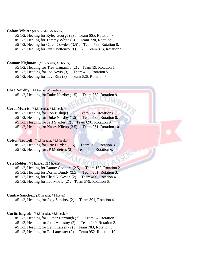#### **Colton White:** (#1.5 header, #2 heeler)

- #5 1/2, Heeling for Rylee George (3) . Team 665, Rotation 7.
- #5 1/2, Heeling for Tammy White (3) . Team 720, Rotation 8.
- #5 1/2, Heeling for Caleb Cowden (3.5) . Team 799, Rotation 8.
- #5 1/2, Heeling for Ryan Bettencourt (3.5) . Team 873, Rotation 9.

#### **Connor Nighman:** (#2.5 header, #2 heeler)

- #5 1/2, Heading for Trey Camarillo (2) . Team 19, Rotation 1.
- #5 1/2, Heading for Joe Nevis (3) . Team 423, Rotation 5.
- #5 1/2, Heeling for Levi Rita (3) . Team 626, Rotation 7.

Cora Nordby: (#1 header, #1 heeler)

#5 1/2, Heading for Duke Nordby (1.5) . Team 862, Rotation 9.

#### Coral Morris:  $(\text{\#1.5 header}, \text{\#1.5 header})$

- #5 1/2, Heading for Ron Bishop (2.5) . Team 712, Rotation 8.
- #5 1/2, Heading for Duke Nordby (1.5) . Team 786, Rotation 8.
- #5 1/2, Heading for Jeff Staples (2) . Team 890, Rotation 9.
- #5 1/2, Heading for Kasey Kilcup (3.5) . Team 961, Rotation 10.

#### **Cotton Tidwell:** (#1.5 header, #1.5 heeler)

#5 1/2, Heading for Eric Durden (1.5) . Team 266, Rotation 3. #5 1/2, Heading for JP Medeiros (2) . Team 544, Rotation 6.

#### **Cris Robles:** (#2 header, #2.5 heeler)

- #5 1/2, Heeling for Danny Goddard (2.5) . Team 162, Rotation 2.
- #5 1/2, Heeling for Dorian Bundy (2.5) . Team 281, Rotation 3.
- #5 1/2, Heeling for Chad Nickeson (2) . Team 400, Rotation 4.
- #5 1/2, Heeling for Lee Moyle (2) . Team 579, Rotation 6.

#### **Cuatro Sanchez:** (#1 header, #1 heeler)

#5 1/2, Heading for Joey Sanchez (2) . Team 391, Rotation 4.

#### **Curtis English:** (#3.5 header, #3.5 heeler)

- #5 1/2, Heading for Luther Darrough (2) . Team 52, Rotation 1.
- #5 1/2, Heading for John Amestoy (2) . Team 249, Rotation 3.
- #5 1/2, Heading for Lynn Larsen (2) . Team 783, Rotation 8.
- #5 1/2, Heading for Eli Lancaster (2) . Team 952, Rotation 10.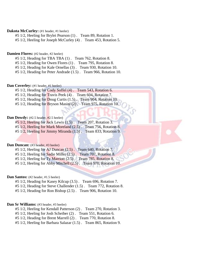#### **Dakota McCurley:** (#1 header, #1 heeler)

#5 1/2, Heeling for Brylei Pearson (1) . Team 89, Rotation 1.

#5 1/2, Heeling for Joseph McCurley (4) . Team 453, Rotation 5.

#### **Damien Flores:** (#2 header, #2 heeler)

#5 1/2, Heading for TBA TBA (1) . Team 762, Rotation 8.

#5 1/2, Heading for Owen Flores (1) . Team 795, Rotation 8.

#5 1/2, Heading for Kale Ornellas (3) . Team 930, Rotation 10.

#5 1/2, Heading for Peter Andrade (1.5) . Team 966, Rotation 10.

#### **Dan Coverley:** (#1 header, #1 heeler)

#5 1/2, Heading for Cody Soffel (4) . Team 543, Rotation 6.

#5 1/2, Heading for Travis Peek (4) . Team 604, Rotation 7.

#5 1/2, Heading for Doug Curtis (1.5). Team 904, Rotation 10.

#5 1/2, Heading for Bryson Masini (2) . Team 975, Rotation 10.

#### **Dan Dowdy:** (#2.5 header, #2.5 heeler)

#5 1/2, Heeling for Jack Lewis (1.5) . Team 207, Rotation 3. #5 1/2, Heeling for Mark Moreland (2.5) . Team 756, Rotation 8.

#5 1/2, Heeling for Jimmy Miranda (1.5) . Team 833, Rotation 9.

#### **Dan Duncan:** (#3 header, #3 heeler)

#5 1/2, Heeling for AJ Duncan (2.5) . Team 640, Rotation 7. #5 1/2, Heeling for Sadie Miller (2.5) . Team 707, Rotation 8. #5 1/2, Heeling for Ty Marriott (2.5) . Team 785, Rotation 8.

#5 1/2, Heeling for Abby Mitchell (2.5) . Team 970, Rotation 10.

#### **Dan Santos:** (#2 header, #1.5 heeler)

#5 1/2, Heading for Kasey Kilcup (3.5) . Team 696, Rotation 7.

#5 1/2, Heading for Steve Challender (1.5) . Team 772, Rotation 8.

#5 1/2, Heading for Ron Bishop (2.5) . Team 906, Rotation 10.

#### Dan Sr Williams: (#3 header, #3 heeler)

#5 1/2, Heeling for Kendall Patterson (2) . Team 270, Rotation 3.

#5 1/2, Heeling for Josh Scheiber (2) . Team 551, Rotation 6.

#5 1/2, Heading for Brent Marrell (2) . Team 770, Rotation 8.

#5 1/2, Heeling for Barbara Salazar (1.5) . Team 865, Rotation 9.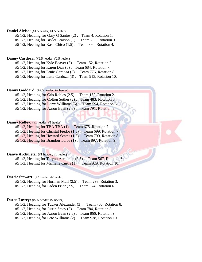#### Daniel Alviso: (#1.5 header, #1.5 heeler)

#5 1/2, Heading for Gary G Santos (2) . Team 4, Rotation 1.

#5 1/2, Heeling for Brylei Pearson (1) . Team 255, Rotation 3.

#5 1/2, Heeling for Kash Chico (1.5) . Team 390, Rotation 4.

#### **Danny Cardoza:** (#2.5 header, #2.5 heeler)

#5 1/2, Heeling for Kyle Beaver (3) . Team 152, Rotation 2.

#5 1/2, Heeling for Karen Dias (3) . Team 684, Rotation 7.

#5 1/2, Heeling for Ernie Cardoza (3) . Team 776, Rotation 8.

#5 1/2, Heeling for Luke Cardoza (3) . Team 913, Rotation 10.

#### Danny Goddard: (#2.5 header, #2 heeler)

#5 1/2, Heading for Cris Robles (2.5) . Team 162, Rotation 2. #5 1/2, Heading for Colton Suther (2). Team 483, Rotation 5. #5 1/2, Heading for Larry Williams (3). Team 594, Rotation 6.

#5 1/2, Heading for Aaron Bean (2.5) . Team 791, Rotation 8.

#### **Danny Ridley:** (#1 header, #1 heeler)

#5 1/2, Heeling for TBA TBA (1) . Team 675, Rotation 7.

- #5 1/2, Heeling for Christal Fiedor (1.5) . Team 699, Rotation 7.
- #5 1/2, Heeling for Howard Scates (1.5) . Team 790, Rotation 8.

#5 1/2, Heeling for Brandon Turos (1) . Team 897, Rotation 9.

#### **Danye Archuleta:** (#1 header, #1 heeler)

#5 1/2, Heeling for Terynn Archuleta (3.5) . Team 567, Rotation 6.

#5 1/2, Heeling for Michelle Curtis (1) . Team 929, Rotation 10.

#### **Darcie Stewart:** (#2 header, #2 heeler)

#5 1/2, Heading for Norman Mull (2.5) . Team 293, Rotation 3.

#5 1/2, Heading for Paden Prior (2.5) . Team 574, Rotation 6.

#### Daren Lowry: (#2.5 header, #2 heeler)

#5 1/2, Heading for Tucker Alexander (3) . Team 706, Rotation 8.

#5 1/2, Heading for Justin Stacy (3) . Team 784, Rotation 8.

#5 1/2, Heading for Aaron Bean (2.5) . Team 866, Rotation 9.

#5 1/2, Heading for Pete Williams (2) . Team 938, Rotation 10.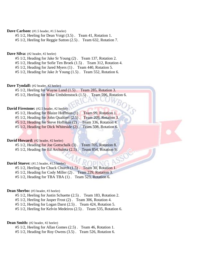#### Dave Carlson:  $(\text{\#1.5} \text{ header}, \text{\#1.5} \text{ header})$

#5 1/2, Heeling for Dean Voigt (3.5) . Team 41, Rotation 1.

#5 1/2, Heeling for Reggie Sutton (2.5) . Team 632, Rotation 7.

#### **Dave Silva:** (#2 header, #2 heeler)

- #5 1/2, Heading for Jake Sr Young (2) . Team 137, Rotation 2.
- #5 1/2, Heading for Sofie Ten Broek (1.5) . Team 312, Rotation 4.
- #5 1/2, Heading for Jared Myers (1) . Team 440, Rotation 5.

#5 1/2, Heading for Jake Jr Young (1.5) . Team 552, Rotation 6.

#### Dave Tyndall: (#2 header, #2 heeler)

#5 1/2, Heeling for Wayne Lund (1.5) . Team 285, Rotation 3. #5 1/2, Heeling for Mike Umbdenstock (1.5) . Team 596, Rotation 6.

 ${}^B\!O_1$ 

#### **David Firestone:** (#2.5 header, #2 heeler)

#5 1/2, Heading for Blaize Hoffman (1) . Team 99, Rotation 1. #5 1/2, Heading for John Qualtieri (2.5) . Team 209, Rotation 3. #5 1/2, Heading for Steve Hoffman (2) . Team 336, Rotation 4. #5 1/2, Heading for Dick Whiteside (2) . Team 508, Rotation 6.

#### David Howard: (#2 header, #2 heeler)

#5 1/2, Heading for Joe Gottschalk (3). Team 705, Rotation 8. #5 1/2, Heading for Ed Archuleta (2.5) . Team 854, Rotation 9.

#### David Stueve: (#1.5 header, #1.5 heeler)

#5 1/2, Heeling for Chuck Church (1.5) . Team 30, Rotation 1. #5 1/2, Heading for Cody Miller (2) . Team 229, Rotation 3. #5 1/2, Heading for TBA TBA (1) . Team 523, Rotation 6.

#### Dean Sherbo: (#3 header, #3 heeler)

#5 1/2, Heeling for Justin Schuette (2.5) . Team 183, Rotation 2.

#5 1/2, Heeling for Jasper Frost (2) . Team 306, Rotation 4.

#5 1/2, Heeling for Logan Darst (2.5) . Team 424, Rotation 5.

#5 1/2, Heeling for Kelvin Medeiros (2.5) . Team 535, Rotation 6.

#### **Dean Smith:** (#2 header, #2 heeler)

#5 1/2, Heeling for Allan Gomes (2.5) . Team 46, Rotation 1.

#5 1/2, Heading for Roy Owens (3.5) . Team 526, Rotation 6.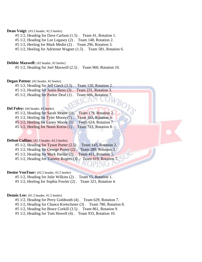#### Dean Voigt: (#3.5 header, #2.5 heeler)

- #5 1/2, Heading for Dave Carlson (1.5) . Team 41, Rotation 1.
- #5 1/2, Heading for Lee Legasey (2) . Team 148, Rotation 2.
- #5 1/2, Heeling for Mark Medin (2) . Team 296, Rotation 3.
- #5 1/2, Heeling for Adrienne Wagner (1.5) . Team 581, Rotation 6.

#### **Debbie Maxwell:** (#2 header, #2 heeler)

#5 1/2, Heading for Joel Maxwell (2.5) . Team 960, Rotation 10.

#### **Degan Patton:** (#2 header, #2 heeler)

#5 1/2, Heading for Jeff Gieck (3.5) . Team 120, Rotation 2.

- #5 1/2, Heading for Justin Reno (3) . Team 231, Rotation 3.
- #5 1/2, Heading for Parker Deal (1) . Team 606, Rotation 7.

#### Del Foley: (#4 header, #3 heeler)

|  |  | $#5\ 1/2$ , Heading for Sarah Moore (1).  | Team 179, Rotation 2. |  |
|--|--|-------------------------------------------|-----------------------|--|
|  |  | #5 $1/2$ , Heeling for Tyler Moore (2).   | Team 303, Rotation 4. |  |
|  |  | $#5\ 1/2$ , Heeling for Laney Moore (1).  | Team 624, Rotation 7. |  |
|  |  | $#5$ 1/2, Heeling for Norm Kreiss $(1)$ . | Team 723, Rotation 8. |  |

#### **Delton Cullins:** (#2.5 header, #2.5 heeler)

|                                                            | #5 1/2, Heading for Tyson Porter (2.5). Team 143, Rotation 2. |
|------------------------------------------------------------|---------------------------------------------------------------|
|                                                            | #5 1/2, Heading for George Porter (2). Team 289, Rotation 3.  |
| #5 1/2, Heading for Mark Hardin (2). Team 411, Rotation 5. |                                                               |
|                                                            | #5 1/2, Heading for Tommy Rogers (3). Team 619, Rotation 7.   |

#### **Denise VonTour:** (#2.5 header, #2.5 heeler)

- #5 1/2, Heading for Julie Wilkins (2) . Team 15, Rotation 1.
- #5 1/2, Heeling for Sophia Fowler (2) . Team 321, Rotation 4.

#### **Dennis Lee:** (#1.5 header, #1.5 heeler)

- #5 1/2, Heading for Perry Goldtooth (4) . Team 629, Rotation 7.
- #5 1/2, Heading for Chance Kretschmer (3) . Team 780, Rotation 8.
- #5 1/2, Heading for Bruce Corkill (3.5) . Team 861, Rotation 9.
- #5 1/2, Heading for Tom Howell (4) . Team 933, Rotation 10.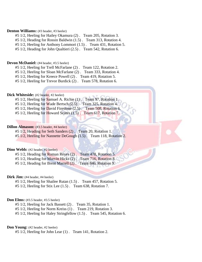#### **Denton Williams:** (#3 header, #3 heeler)

- #5 1/2, Heeling for Hailey Okamura (2) . Team 205, Rotation 3.
- #5 1/2, Heading for Rossin Baldwin (1.5) . Team 313, Rotation 4.
- #5 1/2, Heeling for Anthony Lommori (1.5) . Team 431, Rotation 5.

#5 1/2, Heading for John Qualtieri (2.5) . Team 542, Rotation 6.

#### **Devon McDaniel:** (#4 header, #3.5 heeler)

- #5 1/2, Heeling for Trell McFarlane (2) . Team 122, Rotation 2.
- #5 1/2, Heeling for Sloan McFarlane (2) . Team 333, Rotation 4.
- #5 1/2, Heeling for Kreece Powell (2) . Team 419, Rotation 5.

#5 1/2, Heeling for Trevor Burdick (2) . Team 578, Rotation 6.

#### Dick Whiteside: (#2 header, #2 heeler)

- #5 1/2, Heeling for Samuel A. Richie (1). Team 97, Rotation 1.
- #5 1/2, Heeling for Wade Bertsch (2.5). Team 325, Rotation 4.
- #5 1/2, Heeling for David Firestone (2.5) . Team 508, Rotation 6.
- #5 1/2, Heeling for Howard Scates (1.5) . Team 617, Rotation 7.

#### **Dillon Almason:** (#3.5 header, #4 heeler)

#5 1/2, Heading for Seth Sanders (2) . Team 20, Rotation 1.

#5 1/2, Heeling for Nannette DeGough (1.5) . Team 118, Rotation 2.

#### **Dino Webb:** (#2 header, #2 heeler)

#5 1/2, Heading for Roman Reyes (2) . Team 478, Rotation 5. #5 1/2, Heading for Murvin Hicks (2) . Team 716, Rotation 8.

#5 1/2, Heading for Brent Marrell (2) . Team 846, Rotation 9.

#### Dirk Jim: (#4 header, #4 heeler)

- #5 1/2, Heeling for Shailee Rutan (1.5) . Team 457, Rotation 5.
- #5 1/2, Heeling for Stix Lee (1.5) . Team 638, Rotation 7.

#### **Don Elms:** (#3.5 header, #3.5 heeler)

#5 1/2, Heeling for Jack Bassett (2) . Team 35, Rotation 1.

- #5 1/2, Heeling for Norm Kreiss (1) . Team 219, Rotation 3.
- #5 1/2, Heeling for Haley Stringfellow (1.5) . Team 545, Rotation 6.

#### **Don Young:** (#2 header, #2 heeler)

#5 1/2, Heeling for John Lear (1) . Team 141, Rotation 2.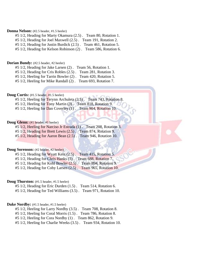#### **Donna Nelson:** (#2.5 header, #1.5 heeler)

#5 1/2, Heading for Marty Okamura (2.5) . Team 80, Rotation 1.

#5 1/2, Heading for Joel Maxwell (2.5) . Team 191, Rotation 2.

#5 1/2, Heading for Justin Burdick (2.5) . Team 461, Rotation 5.

#5 1/2, Heading for Kelson Robinson (2) . Team 586, Rotation 6.

#### **Dorian Bundy:** (#2.5 header, #2 heeler)

#5 1/2, Heading for Jake Larsen (2) . Team 56, Rotation 1.

#5 1/2, Heading for Cris Robles (2.5) . Team 281, Rotation 3.

#5 1/2, Heeling for Tarrin Bowler (2) . Team 420, Rotation 5.

#5 1/2, Heeling for Mike Randall (2) . Team 693, Rotation 7.

#### **Doug Curtis:** (#1.5 header, #1.5 heeler)

- #5 1/2, Heeling for Terynn Archuleta (3.5). Team 743, Rotation 8.
- #5 1/2, Heeling for Tony Martin (3). Team 818, Rotation 9.
- #5 1/2, Heeling for Dan Coverley (1). Team 904, Rotation 10.

#### **Doug Glenn:** (#1 header, #1 heeler)

#5 1/2, Heeling for Narciso Jr Estrada (1) . Team 208, Rotation 3. #5 1/2, Heading for Brett Lewis (2.5) . Team 874, Rotation 9. #5 1/2, Heading for Aaron Bean (2.5) . Team 946, Rotation 10.

#### **Doug Sorenson:** (#2 header, #2 heeler)

#5 1/2, Heading for Wyatt Kent (2.5) . Team 415, Rotation 5. #5 1/2, Heading for Chris Hanks (3) . Team 688, Rotation 7. #5 1/2, Heading for Kohl Bowler (2.5) . Team 894, Rotation 9. #5 1/2, Heading for Coby Larsen (2.5) . Team 965, Rotation 10.

#### **Doug Thurston:** (#1.5 header, #1.5 heeler)

#5 1/2, Heading for Eric Durden (1.5) . Team 514, Rotation 6.

#5 1/2, Heading for Ted Williams (3.5) . Team 971, Rotation 10.

#### **Duke Nordby:** (#1.5 header, #1.5 heeler)

#5 1/2, Heeling for Larry Nordby (3.5) . Team 708, Rotation 8.

#5 1/2, Heeling for Coral Morris (1.5) . Team 786, Rotation 8.

#5 1/2, Heeling for Cora Nordby (1) . Team 862, Rotation 9.

#5 1/2, Heeling for Charlie Weeks (3.5) . Team 934, Rotation 10.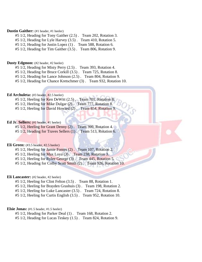#### **Dustin Gaither:** (#1 header, #1 heeler)

- #5 1/2, Heading for Tony Gaither (2.5) . Team 202, Rotation 3.
- #5 1/2, Heading for Lyle Harvey (3.5) . Team 410, Rotation 5.
- #5 1/2, Heading for Justin Lopez (1) . Team 588, Rotation 6.
- #5 1/2, Heading for Tim Gaither (3.5) . Team 806, Rotation 9.

#### **Dusty Edgmon:** (#2 header, #2 heeler)

- #5 1/2, Heading for Misty Perry (2.5) . Team 393, Rotation 4.
- #5 1/2, Heading for Bruce Corkill (3.5) . Team 725, Rotation 8.
- #5 1/2, Heading for Lance Johnson (2.5) . Team 804, Rotation 9.
- #5 1/2, Heading for Chance Kretschmer (3) . Team 932, Rotation 10.

#### **Ed Archuleta:** (#3 header, #2.5 heeler)

| $#5\ 1/2$ , Heeling for Ken DeWitt $(2.5)$ . Team 701, Rotation 8. |
|--------------------------------------------------------------------|
| #5 1/2, Heeling for Mike Dulgar (2). Team 777, Rotation 8.         |
| $#5$ 1/2, Heeling for David Howard (2). Team 854, Rotation 9.      |

#### **Ed Jr. Sellers:** (#1 header, #1 heeler)

| $#5$ 1/2, Heeling for Grant Denny $(2)$ .                     | Team 399, Rotation 4. |
|---------------------------------------------------------------|-----------------------|
| #5 1/2, Heading for Traves Sellers (1). Team 513, Rotation 6. |                       |

#### **Eli Green:** (#3.5 header, #2.5 heeler)

- #5 1/2, Heeling for Jamie Fontes (2) . Team 107, Rotation 2.
- $#5\ 1/2$ , Heeling for Max Loya (3). Team 238, Rotation 3.
- #5 1/2, Heeling for Rylee George (3) . Team 445, Rotation 5.
- #5 1/2, Heading for Colby Scott Smith (2). Team 926, Rotation 10.

#### **Eli Lancaster:** (#2 header, #2 heeler)

- #5 1/2, Heeling for Clint Felton (3.5) . Team 88, Rotation 1.
- #5 1/2, Heeling for Brayden Grashuis (3) . Team 198, Rotation 2.
- #5 1/2, Heeling for Luke Lancaster (3.5) . Team 724, Rotation 8.
- #5 1/2, Heeling for Curtis English (3.5) . Team 952, Rotation 10.

#### **Elsie Jonas:** (#1.5 header, #1.5 heeler)

- #5 1/2, Heading for Parker Deal (1) . Team 168, Rotation 2.
- #5 1/2, Heading for Lucas Teskey (1.5) . Team 824, Rotation 9.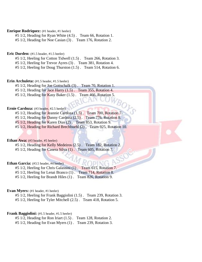#### **Enrique Rodriquez:** (#1 header, #1 heeler)

#5 1/2, Heading for Ryan White (4.5) . Team 66, Rotation 1.

#5 1/2, Heading for Noe Casian (3) . Team 176, Rotation 2.

#### **Eric Durden:** (#1.5 header, #1.5 heeler)

#5 1/2, Heeling for Cotton Tidwell (1.5) . Team 266, Rotation 3.

#5 1/2, Heeling for Trevor Ayres (3) . Team 381, Rotation 4.

#5 1/2, Heeling for Doug Thurston (1.5) . Team 514, Rotation 6.

#### **Erin Archuleta:** (#1.5 header, #1.5 heeler)

#5 1/2, Heading for Joe Gottschalk (3) . Team 70, Rotation 1.

#5 1/2, Heading for Jace Harry (1.5) . Team 355, Rotation 4.

 $#5\ 1/2$ , Heading for Kasy Baker  $(1.5)$ . Team 466, Rotation 5.

#### **Ernie Cardoza:** (#3 header, #2.5 heeler)

#5 1/2, Heading for Jeannie Cardoza (1.5) . Team 700, Rotation 7.

#5 1/2, Heading for Danny Cardoza (2.5) . Team 776, Rotation 8.

#5 1/2, Heading for Karen Dias (2) . Team 853, Rotation 9.

#5 1/2, Heading for Richard Brechbuehl (2) . Team 925, Rotation 10.

#### **Ethan Awa:** (#3 header, #5 heeler)

#5 1/2, Heading for Kelly Medeiros (2.5) . Team 182, Rotation 2.

#5 1/2, Heading for Casera Silva (1) . Team 605, Rotation 7.

#### Ethan Garcia: (#3.5 header, #4 heeler)

#5 1/2, Heeling for Chris Galassini (1) . Team 615, Rotation 7.

#5 1/2, Heeling for Lenai Branco (1). Team 714, Rotation 8.

#5 1/2, Heeling for Brandt Hiles (1) . Team 826, Rotation 9.

#### **Evan Myers:** (#1 header, #1 heeler)

#5 1/2, Heeling for Frank Baggiolini (1.5) . Team 239, Rotation 3. #5 1/2, Heeling for Tyler Mitchell (2.5) . Team 418, Rotation 5.

#### **Frank Baggiolini:** (#1.5 header, #1.5 heeler)

#5 1/2, Heading for Ron Iriart (1.5) . Team 128, Rotation 2.

#5 1/2, Heading for Evan Myers (1) . Team 239, Rotation 3.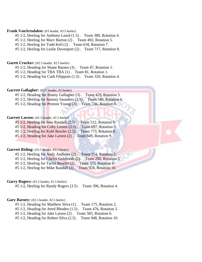#### **Frank VanArtsdalen:** (#3 header, #3.5 heeler)

- #5 1/2, Heeling for Anthony Leard (1.5) . Team 380, Rotation 4.
- #5 1/2, Heeling for Marv Barton (2) . Team 492, Rotation 5.

#5 1/2, Heeling for Todd Kell (2) . Team 618, Rotation 7.

#5 1/2, Heeling for Leslie Davenport (2) . Team 717, Rotation 8.

#### Garett Crocker: (#2.5 header, #2.5 heeler)

#5 1/2, Heading for Shane Barnes (3) . Team 47, Rotation 1.

#5 1/2, Heading for TBA TBA (1) . Team 81, Rotation 1.

#5 1/2, Heading for Cash Filipponi (1.5) . Team 320, Rotation 4.

#### Garrett Gallagher: (#2.5 header, #2 heeler)

- #5 1/2, Heading for Jimmy Gallagher (3) . Team 429, Rotation 5.
- #5 1/2, Heeling for Sammy Saunders (3.5). Team 540, Rotation 6.
- #5 1/2, Heading for Preston Young (3). Team 736, Rotation 8.

#### Garrett Larsen: (#2.5 header, #2.5 heeler)

#5 1/2, Heeling for Jake Randall (2.5). Team 512, Rotation 6.

- #5 1/2, Heading for Coby Larsen (2.5) . Team 697, Rotation 7.
- #5 1/2, Heeling for Kohl Bowler (2.5) . Team 773, Rotation 8.

#5 1/2, Heading for Jake Larsen (2) . Team 849, Rotation 9.

#### Garrett Riding: (#3.5 header, #3.5 heeler)

#5 1/2, Heeling for Andy Andrews (2) . Team 174, Rotation 2. #5 1/2, Heeling for Chelsy Goldtooth (2) . Team 292, Rotation 3. #5 1/2, Heeling for Tarrin Bowler (2) . Team 573, Rotation 6.

#5 1/2, Heeling for Mike Randall (2) . Team 924, Rotation 10.

#### Garry Rogers: (#1.5 header, #1.5 heeler)

#5 1/2, Heeling for Randy Rogers (3.5) . Team 396, Rotation 4.

#### Gary Barney: (#2.5 header, #2.5 heeler)

#5 1/2, Heading for Matthew Silva (1) . Team 175, Rotation 2.

#5 1/2, Heading for Jered Rhoden (1.5) . Team 476, Rotation 5.

#5 1/2, Heading for Jake Larsen (2) . Team 585, Rotation 6.

#5 1/2, Heading for Robert Silva (2.5) . Team 948, Rotation 10.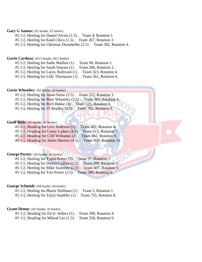#### Gary G Santos: (#2 header, #2 heeler)

#5 1/2, Heeling for Daniel Alviso (1.5) . Team 4, Rotation 1.

#5 1/2, Heeling for Kash Chico (1.5) . Team 267, Rotation 3.

#5 1/2, Heeling for Christian Drumheller (2.5) . Team 392, Rotation 4.

#### Gavin Cardoza: (#3.5 header, #4.5 heeler)

#5 1/2, Heeling for Sadie Mullins (1) . Team 90, Rotation 1.

#5 1/2, Heeling for Sarah Simons (1) . Team 200, Rotation 2.

#5 1/2, Heeling for Lacey Bullivant (1) . Team 323, Rotation 4.

#5 1/2, Heeling for Lilly Thompson (1) . Team 561, Rotation 6.

#### Gavin Wheatley: (#2 header, #2 heeler)

#5 1/2, Heeling for Jason Snow (2.5) . Team 257, Rotation 3.

- #5 1/2, Heeling for Blair Wheatley (3.5). Team 369, Rotation 4.
- #5 1/2, Heeling for Rich Bakke (3). Team 525, Rotation 6.
- #5 1/2, Heeling for JT Bradley (3.5). Team 782, Rotation 8.

#### Geoff Bitle: (#1 header, #1 heeler)

#5 1/2, Heading for Levi Andrews (1) . Team 382, Rotation 4.

#5 1/2, Heading for Casey Ladner (4.5). Team 613, Rotation 7.

#5 1/2, Heading for Cliff Wilbanks (2) . Team 882, Rotation 9.

#5 1/2, Heading for Justin Martins (4.5) . Team 959, Rotation 10.

#### **George Porter:** (#2 header, #2 heeler)

#5 1/2, Heeling for Tyson Porter (3) . Team 37, Rotation 1.

#5 1/2, Heeling for Delton Cullins (2.5) . Team 289, Rotation 3.

#5 1/2, Heeling for Mike Sweeney (2.5) . Team 407, Rotation 5.

#5 1/2, Heeling for Tres Porter (2.5) . Team 589, Rotation 6.

#### **George Schmidt:** (#4 header, #4 heeler)

#5 1/2, Heeling for Blaize Hoffman (1) . Team 5, Rotation 1.

#5 1/2, Heeling for Talyn Sandifer (1) . Team 735, Rotation 8.

#### Grant Denny: (#2 header, #2 heeler)

#5 1/2, Heading for Ed Jr. Sellers (1) . Team 399, Rotation 4.

#5 1/2, Heading for Mikeal Lee (1.5) . Team 558, Rotation 6.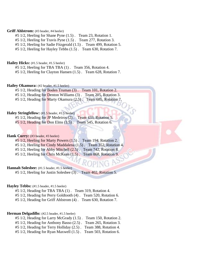#### **Griff Ahlstrom:** (#3 header, #4 heeler)

- #5 1/2, Heeling for Shane Pyne (1.5) . Team 23, Rotation 1.
- #5 1/2, Heeling for Travis Pyne (1.5) . Team 277, Rotation 3.
- #5 1/2, Heeling for Sadie Fitzgerald (1.5) . Team 499, Rotation 5.

#5 1/2, Heeling for Hayley Tebbs (1.5) . Team 630, Rotation 7.

#### **Hailey Hicks:** (#1.5 header, #1.5 heeler)

- #5 1/2, Heeling for TBA TBA (1) . Team 356, Rotation 4.
- #5 1/2, Heeling for Clayton Hansen (1.5) . Team 628, Rotation 7.

#### **Hailey Okamura:** (#2 header, #1.5 heeler)

- #5 1/2, Heading for Boden Truman (3) . Team 101, Rotation 2.
- #5 1/2, Heading for Denton Williams (3) . Team 205, Rotation 3.
- #5 1/2, Heading for Marty Okamura (2.5). Team 685, Rotation 7.

#### **Haley Stringfellow:** (#1.5 header, #1.5 heeler)

- #5 1/2, Heading for JP Medeiros (2) . Team 433, Rotation 5.
- #5 1/2, Heading for Don Elms (3.5) . Team 545, Rotation 6.

#### Hank Curry: (#3 header, #3 heeler)

- #5 1/2, Heeling for Marty Powers (1.5) . Team 194, Rotation 2.
- #5 1/2, Heeling for Cindy Maddalena (1.5) . Team 352, Rotation 4.
- #5 1/2, Heeling for Abby Mitchell (2.5) . Team 742, Rotation 8.
- #5 1/2, Heeling for Chris McKean (1.5). Team 868, Rotation 9.

#### **Hannah Solesbee:** (#1.5 header, #1.5 heeler)

#5 1/2, Heeling for Justin Solesbee (3) . Team 402, Rotation 5.

#### Hayley Tebbs: (#1.5 header, #1.5 heeler)

- #5 1/2, Heading for TBA TBA (1) . Team 319, Rotation 4.
- #5 1/2, Heading for Perry Goldtooth (4) . Team 520, Rotation 6.
- #5 1/2, Heading for Griff Ahlstrom (4) . Team 630, Rotation 7.

#### **Herman Delgadillo:** (#2.5 header, #1.5 heeler)

- #5 1/2, Heading for Larry McGrady (1.5) . Team 150, Rotation 2.
- #5 1/2, Heading for Anthony Basso (2.5) . Team 265, Rotation 3.
- #5 1/2, Heading for Terry Holliday (2.5) . Team 388, Rotation 4.
- #5 1/2, Heading for Ryan Maxwell (1.5) . Team 503, Rotation 6.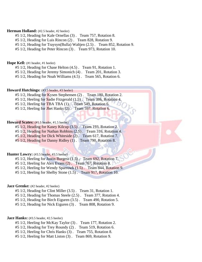#### **Herman Holland:** (#2.5 header, #2 heeler)

- #5 1/2, Heading for Kale Ornellas (3) . Team 757, Rotation 8.
- #5 1/2, Heading for Luis Rincon (2) . Team 828, Rotation 9.
- #5 1/2, Heading for Traysyn(Bulla) Waltjen (2.5) . Team 852, Rotation 9.
- #5 1/2, Heading for Peter Rincon (3) . Team 973, Rotation 10.

#### **Hope Kell:** (#1 header, #1 heeler)

- #5 1/2, Heading for Chase Helton (4.5) . Team 91, Rotation 1.
- #5 1/2, Heading for Jeremy Simonich (4) . Team 201, Rotation 3.
- #5 1/2, Heading for Noah Williams (4.5) . Team 565, Rotation 6.

#### **Howard Hutchings:** (#3.5 header, #3 heeler)

- #5 1/2, Heading for Kysen Stephensen (2). Team 180, Rotation 2.
- #5 1/2, Heeling for Sadie Fitzgerald (1.5). Team 386, Rotation 4.
- #5 1/2, Heeling for TBA TBA (1) . Team 549, Rotation 6.
- #5 1/2, Heeling for Jhet Hanks (2) . Team 597, Rotation 6.

#### Howard Scates: (#1.5 header, #1.5 heeler)

- #5 1/2, Heading for Kasey Kilcup (3.5). Team 193, Rotation 2.
- #5 1/2, Heading for Nathan Robbins (2.5) . Team 316, Rotation 4.
- #5 1/2, Heading for Dick Whiteside (2). Team 617, Rotation 7.
- #5 1/2, Heading for Danny Ridley (1) . Team 790, Rotation 8.

#### **Hunter Lowry:** (#3.5 header, #3.5 heeler)

- #5 1/2, Heeling for Justin Burgess (1.5) . Team 692, Rotation 7.
- #5 1/2, Heeling for Alex Evans (2) . Team 767, Rotation 8.
- #5 1/2, Heeling for Wendy Sparrowk (1.5) . Team 844, Rotation 9.
- #5 1/2, Heeling for Shelby Stone (1.5) . Team 917, Rotation 10.

#### **Jace Grenke:** (#2 header, #2 heeler)

- #5 1/2, Heading for Clint Miller (3.5) . Team 31, Rotation 1.
- #5 1/2, Heading for Thomas Steele (2.5) . Team 377, Rotation 4.
- #5 1/2, Heading for Birch Eiguren (3.5) . Team 490, Rotation 5.
- #5 1/2, Heading for Nick Eiguren (3) . Team 808, Rotation 9.

#### **Jace Hanks:** (#3.5 header, #2.5 heeler)

- #5 1/2, Heeling for McKay Taylor (3) . Team 177, Rotation 2.
- #5 1/2, Heading for Trey Roundy (2) . Team 519, Rotation 6.
- #5 1/2, Heeling for Chris Hanks (3) . Team 755, Rotation 8.
- #5 1/2, Heeling for Matt Liston (3) . Team 869, Rotation 9.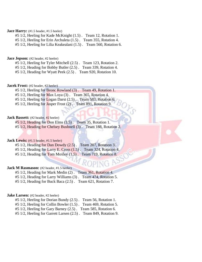#### **Jace Harry:** (#1.5 header, #1.5 heeler)

#5 1/2, Heeling for Kade McKnight (1.5) . Team 12, Rotation 1.

#5 1/2, Heeling for Erin Archuleta (1.5) . Team 355, Rotation 4.

#5 1/2, Heeling for Lilia Keakealani (1.5) . Team 560, Rotation 6.

#### **Jace Jepson:** (#2 header, #2 heeler)

#5 1/2, Heeling for Tyler Mitchell (2.5) . Team 123, Rotation 2.

#5 1/2, Heading for Bobby Butler (2.5) . Team 339, Rotation 4.

#5 1/2, Heading for Wyatt Peek (2.5) . Team 920, Rotation 10.

#### **Jacek Frost:** (#2 header, #2 heeler)

#5 1/2, Heeling for Bronc Rowland (3) . Team 49, Rotation 1.

#5 1/2, Heeling for Max Loya (3) . Team 365, Rotation 4.

 $#5\ 1/2$ , Heeling for Logan Darst  $(2.5)$ . Team 583, Rotation 6.

#5 1/2, Heeling for Jasper Frost (2). Team 891, Rotation 9.

#### **Jack Bassett:** (#2 header, #2 heeler)

#5 1/2, Heading for Don Elms (3.5) . Team 35, Rotation 1.

#5 1/2, Heading for Chelsey Bushnell (3) . Team 188, Rotation 2.

#### **Jack Lewis:** (#1.5 header, #1.5 heeler)

#5 1/2, Heading for Dan Dowdy (2.5) . Team 207, Rotation 3.

#5 1/2, Heading for Larry E. Cross (1.5) . Team 324, Rotation 4.

#5 1/2, Heading for Tom Moxley  $(1.5)$ . Team 719, Rotation 8.

#### **Jack M Rasmason:** (#2 header, #1.5 heeler)

#5 1/2, Heading for Mark Medin (2) . Team 361, Rotation 4.

#5 1/2, Heading for Larry Williams (3) . Team 474, Rotation 5.

#5 1/2, Heading for Buck Baca (2.5) . Team 621, Rotation 7.

#### **Jake Larsen:** (#2 header, #2 heeler)

#5 1/2, Heeling for Dorian Bundy (2.5) . Team 56, Rotation 1.

#5 1/2, Heeling for Collin Bowler (1.5) . Team 469, Rotation 5.

#5 1/2, Heeling for Gary Barney (2.5) . Team 585, Rotation 6.

#5 1/2, Heeling for Garrett Larsen (2.5) . Team 849, Rotation 9.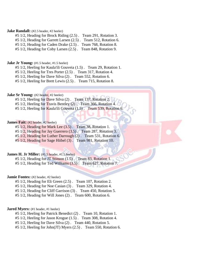#### **Jake Randall:** (#2.5 header, #2 heeler)

#5 1/2, Heading for Brock Riding (2.5) . Team 291, Rotation 3.

#5 1/2, Heading for Garrett Larsen (2.5) . Team 512, Rotation 6.

#5 1/2, Heading for Caden Drake (2.5) . Team 768, Rotation 8.

#5 1/2, Heading for Coby Larsen (2.5) . Team 848, Rotation 9.

#### **Jake Jr Young:** (#1.5 header, #1.5 heeler)

#5 1/2, Heeling for Kaula'ili Gouveia (1.5) . Team 29, Rotation 1.

#5 1/2, Heeling for Tres Porter (2.5) . Team 317, Rotation 4.

#5 1/2, Heeling for Dave Silva (2) . Team 552, Rotation 6.

#5 1/2, Heeling for Brett Lewis (2.5) . Team 715, Rotation 8.

#### **Jake Sr Young:** (#2 header, #2 heeler)

#5 1/2, Heeling for Dave Silva (2). Team 137, Rotation 2.

- #5 1/2, Heeling for Travis Bentley (2) . Team 366, Rotation 4.
- #5 1/2, Heeling for Kaula'ili Gouveia (1.5). Team 539, Rotation 6.

#### **James Fait:** (#2 header, #2 heeler)

#5  $1/2$ , Heading for Mark Lee  $(3.5)$ . Team 38, Rotation 1.

- #5 1/2, Heading for Jay Guerrero (3.5) . Team 287, Rotation 3.
- #5 1/2, Heading for Luther Darrough (2) . Team 531, Rotation 6.

#5 1/2, Heading for Sage Hiibel (3) . Team 981, Rotation 10.

#### **James H. Jr Miller:** (#1.5 header, #1.5 heeler)

#5 1/2, Heading for JT Stinson (1.5) . Team 83, Rotation 1.

#5 1/2, Heading for Ted Williams (3.5) . Team 627, Rotation 7.

#### **Jamie Fontes:** (#2 header, #2 heeler)

- #5 1/2, Heading for Eli Green (2.5) . Team 107, Rotation 2.
- #5 1/2, Heading for Noe Casian (3) . Team 329, Rotation 4.
- #5 1/2, Heading for Cliff Garrison (3) . Team 450, Rotation 5.

#5 1/2, Heading for Will Jones (2) . Team 600, Rotation 6.

#### **Jared Myers:** (#1 header, #1 heeler)

#5 1/2, Heeling for Patrick Benedict (2) . Team 10, Rotation 1.

- #5 1/2, Heeling for Jason Krogue (1.5) . Team 308, Rotation 4.
- #5 1/2, Heeling for Dave Silva (2) . Team 440, Rotation 5.
- #5 1/2, Heeling for John(JT) Myers (2.5) . Team 550, Rotation 6.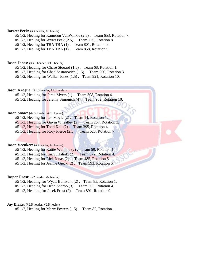#### **Jarrett Peek:** (#3 header, #3 heeler)

- #5 1/2, Heeling for Kameron VanWinkle (2.5) . Team 653, Rotation 7.
- #5 1/2, Heeling for Wyatt Peek (2.5) . Team 775, Rotation 8.
- #5 1/2, Heeling for TBA TBA (1) . Team 801, Rotation 9.
- #5 1/2, Heeling for TBA TBA (1) . Team 858, Rotation 9.

#### **Jason Jones:** (#3.5 header, #3.5 heeler)

- #5 1/2, Heading for Chase Stouard (1.5) . Team 68, Rotation 1.
- #5 1/2, Heading for Chad Sestanovich (1.5) . Team 250, Rotation 3.
- #5 1/2, Heading for Walker Jones (1.5) . Team 921, Rotation 10.

#### **Jason Krogue:** (#1.5 header, #1.5 heeler)

- #5 1/2, Heading for Jared Myers (1) . Team 308, Rotation 4.
- #5 1/2, Heading for Jeremy Simonich (4). Team 962, Rotation 10.

#### **Jason Snow:** (#2.5 header, #2.5 heeler)

- #5 1/2, Heeling for Lee Moyle (2) . Team 14, Rotation 1.
- #5 1/2, Heading for Gavin Wheatley (2) . Team 257, Rotation 3.
- #5 1/2, Heeling for Todd Kell (2) . Team 395, Rotation 4.
- #5 1/2, Heading for Rory Pierce (2.5) . Team 623, Rotation 7.

#### **Jason Veenker:** (#3 header, #3 heeler)

- #5 1/2, Heeling for Kattie Wemple (2) . Team 59, Rotation 1.
- #5 1/2, Heeling for Karly Klaholz (2) . Team 372, Rotation 4.
- #5 1/2, Heeling for Rick Jonas (2) . Team 485, Rotation 5.
- #5 1/2, Heeling for Jeanne Gieck (2). Team 593, Rotation 6.

#### **Jasper Frost:** (#2 header, #2 heeler)

- #5 1/2, Heading for Wyatt Bullivant (2) . Team 85, Rotation 1.
- #5 1/2, Heading for Dean Sherbo (3) . Team 306, Rotation 4.
- #5 1/2, Heading for Jacek Frost (2) . Team 891, Rotation 9.

#### **Jay Blake:** (#2.5 header, #2.5 heeler)

#5 1/2, Heeling for Marty Powers (1.5) . Team 82, Rotation 1.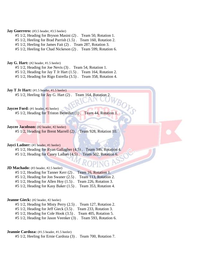#### **Jay Guerrero:** (#3.5 header, #3.5 heeler)

- #5 1/2, Heading for Bryson Masini (2) . Team 50, Rotation 1.
- #5 1/2, Heeling for Brad Parrish (1.5) . Team 160, Rotation 2.
- #5 1/2, Heeling for James Fait (2) . Team 287, Rotation 3.
- #5 1/2, Heeling for Chad Nickeson (2) . Team 599, Rotation 6.

#### **Jay G. Hart:** (#2 header, #1.5 heeler)

- #5 1/2, Heading for Joe Nevis (3) . Team 54, Rotation 1.
- #5 1/2, Heading for Jay T Jr Hart (1.5) . Team 164, Rotation 2.
- #5 1/2, Heading for Rigo Estrella (3.5) . Team 358, Rotation 4.

**Jay T Jr Hart:** (#1.5 header, #1.5 heeler) #5 1/2, Heeling for Jay G. Hart (2) . Team 164, Rotation 2.

**Jaycee Ford:** (#1 header, #1 heeler)

#5 1/2, Heading for Triston Benedict (1) . Team 44, Rotation 1.

**Jaycee Jacobson:** (#2 header, #2 heeler) #5 1/2, Heading for Brent Marrell (2) . Team 928, Rotation 10.

#### **Jayci Ladner:** (#1 header, #1 heeler)

#5 1/2, Heading for Ryan Gallagher (4.5) . Team 346, Rotation 4. #5 1/2, Heading for Casey Ladner (4.5). Team 502, Rotation 6.

#### **JD Machado:** (#3 header, #2.5 heeler)

#5 1/2, Heading for Tanner Kerr (2) . Team 16, Rotation 1. #5 1/2, Heading for Jon Swaner (2.5) . Team 113, Rotation 2. #5 1/2, Heading for Allen Hoy (1.5) . Team 226, Rotation 3. #5 1/2, Heading for Kasy Baker (1.5) . Team 353, Rotation 4.

#### **Jeanne Gieck:** (#2 header, #2 heeler)

#5 1/2, Heading for Misty Perry (2.5) . Team 127, Rotation 2. #5 1/2, Heading for Jeff Gieck (3.5) . Team 233, Rotation 3. #5 1/2, Heading for Cole Hook (3.5) . Team 405, Rotation 5. #5 1/2, Heading for Jason Veenker (3) . Team 593, Rotation 6.

# **Jeannie Cardoza:** (#1.5 header, #1.5 heeler)

#5 1/2, Heeling for Ernie Cardoza (3) . Team 700, Rotation 7.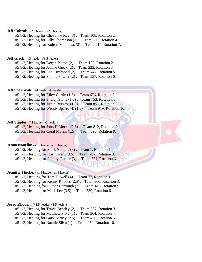## **Jeff Cabral:** (#2.5 header, #2.5 heeler)

#5 1/2, Heeling for Cheyenne Rey (3) . Team 108, Rotation 2.

#5 1/2, Heeling for Lilly Thompson (1) . Team 309, Rotation 4.

#5 1/2, Heading for Kolton Matthews (2) . Team 614, Rotation 7.

#### **Jeff Gieck:** (#3 header, #3.5 heeler)

#5 1/2, Heeling for Degan Patton (2) . Team 120, Rotation 2.

#5 1/2, Heeling for Jeanne Gieck (2) . Team 233, Rotation 3.

#5 1/2, Heeling for Lee Richmond (2) . Team 447, Rotation 5.

#5 1/2, Heeling for Sophia Fowler (2) . Team 557, Rotation 6.

#### **Jeff Sparrowk:** (#4 header, #4 heeler)

#5 1/2, Heeling for Riley Currin (1.5) . Team 676, Rotation 7. #5 1/2, Heeling for Shelby Stone (1.5). Team 753, Rotation 8. #5 1/2, Heeling for Justin Burgess (1.5) . Team 851, Rotation 9.

#5 1/2, Heeling for Wendy Sparrowk (1.5). Team 919, Rotation 10.

# **Jeff Staples:** (#2 header, #2 heeler)

#5 1/2, Heeling for John H Morris (2.5) . Team 812, Rotation 9. #5 1/2, Heeling for Coral Morris (1.5) . Team 890, Rotation 9.

#### **Jenna Nonella:** (#1.5 header, #1.5 heeler)

#5 1/2, Heading for Mark Nonella (3) . Team 1, Rotation 1. #5 1/2, Heading for Roy Owens (3.5) . Team 297, Rotation 3. #5 1/2, Heading for Jeremy Garner (3) . Team 571, Rotation 6.

#### **Jennifer Hucke:** (#1.5 header, #1.5 heeler)

#5 1/2, Heading for Tom Howell (4) . Team 77, Rotation 1.

#5 1/2, Heading for Kenny Rhodes (2.5) . Team 300, Rotation 3.

#5 1/2, Heading for Luther Darrough (2) . Team 416, Rotation 5.

#5 1/2, Heading for Mark Lee (3.5) . Team 530, Rotation 6.

#### **Jered Rhoden:** (#1.5 header, #1.5 heeler)

#5 1/2, Heeling for Travis Bentley (2) . Team 237, Rotation 3.

#5 1/2, Heeling for Matthew Silva (1) . Team 364, Rotation 4.

#5 1/2, Heeling for Gary Barney (2.5) . Team 476, Rotation 5.

#5 1/2, Heeling for Natalie Silva (1) . Team 950, Rotation 10.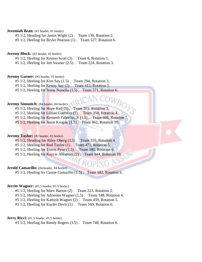## **Jeremiah Bean:** (#1 header, #1 heeler)

#5 1/2, Heading for Justin Wight (2) . Team 130, Rotation 2.

#5 1/2, Heeling for Brylei Pearson (1) . Team 527, Rotation 6.

**Jeremy Block:** (#2 header, #2 heeler)

#5 1/2, Heeling for Keston Scott (3) . Team 8, Rotation 1.

#5 1/2, Heeling for Jon Swaner (2.5) . Team 224, Rotation 3.

**Jeremy Garner:** (#3 header, #3 heeler)

#5 1/2, Heeling for Kim Say (1.5) . Team 294, Rotation 3.

#5 1/2, Heeling for Kenny Say (2) . Team 413, Rotation 5.

#5 1/2, Heeling for Jenna Nonella (1.5) . Team 571, Rotation 6.

# **Jeremy Simonich:** (#4 header, #4 heeler)

- #5 1/2, Heeling for Hope Kell (1) . Team 201, Rotation 3.
- #5 1/2, Heeling for Lillian Guerrero (1) . Team 350, Rotation 4.
- #5 1/2, Heeling for Kenneth Faborito, Jr  $(1.5)$ . Team 608, Rotation 7.

#5 1/2, Heeling for Jason Krogue (1.5) . Team 962, Rotation 10.

## **Jeremy Taylor:** (#2 header, #2 heeler)

- #5 1/2, Heading for Riley Oberg (3.5) . Team 359, Rotation 4.
- #5 1/2, Heeling for Rod Taylor (1) . Team 471, Rotation 5.
- $#5\ 1/2$ , Heeling for Travis Pyne  $(1.5)$ . Team 580, Rotation 6.
- #5 1/2, Heeling for Kaycie Ahlstrom (2) . Team 944, Rotation 10.

#### **Jerold Camarillo:** (#4 header, #4 heeler)

#5 1/2, Heeling for Cassie Camarillo (1.5) . Team 582, Rotation 6.

## **Jerritt Wagner:** (#3.5 header, #3.5 heeler)

#5 1/2, Heeling for Marv Barton (2) . Team 223, Rotation 3.

#5 1/2, Heeling for Adrienne Wagner (1.5) . Team 348, Rotation 4.

#5 1/2, Heeling for Kamish Wagner (2) . Team 459, Rotation 5.

#5 1/2, Heeling for Kaylei Davis (1) . Team 569, Rotation 6.

# **Jerry Ricci:** (#1.5 header, #1.5 heeler)

#5 1/2, Heeling for Randy Rogers (3.5) . Team 748, Rotation 8.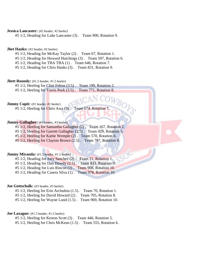# **Jessica Lancaster:** (#2 header, #2 heeler)

#5 1/2, Heading for Luke Lancaster (3) . Team 900, Rotation 9.

## **Jhet Hanks:** (#2 header, #2 heeler)

- #5 1/2, Heading for McKay Taylor (2) . Team 67, Rotation 1.
- #5 1/2, Heading for Howard Hutchings (3) . Team 597, Rotation 6.
- #5 1/2, Heading for TBA TBA (1) . Team 646, Rotation 7.
- #5 1/2, Heading for Chris Hanks (3) . Team 831, Rotation 9.

#### **Jhett Roundy:** (#1.5 header, #1.5 heeler)

#5 1/2, Heeling for Clint Felton (3.5) . Team 199, Rotation 2.

#5 1/2, Heeling for Travis Peek (3.5) . Team 771, Rotation 8.

# **Jimmy Cupit:** (#1 header, #1 heeler)

#5 1/2, Heeling for Chris Awa (3) . Team 674, Rotation 7.

# **Jimmy Gallagher:** (#3 header, #3 heeler)

#5 1/2, Heeling for Samantha Gallagher (2) . Team 167, Rotation 2.

#5 1/2, Heeling for Garrett Gallagher (2.5) . Team 429, Rotation 5.

#5 1/2, Heeling for Kattie Wemple (2) . Team 570, Rotation 6.

#5 1/2, Heeling for Clayton Brown (2.5) . Team 787, Rotation 8.

# **Jimmy Miranda:** (#1.5 header, #1.5 heeler)

#5 1/2, Heading for Joey Sanchez (2) . Team 21, Rotation 1. #5 1/2, Heading for Dan Dowdy (2.5). Team 833, Rotation 9. #5 1/2, Heading for Luis Rincon (2) . Team 908, Rotation 10. #5 1/2, Heading for Casera Silva (1) . Team 978, Rotation 10.

#### **Joe Gottschalk:** (#3 header, #3 heeler)

#5 1/2, Heeling for Erin Archuleta (1.5) . Team 70, Rotation 1. #5 1/2, Heeling for David Howard (2) . Team 705, Rotation 8.

#5 1/2, Heeling for Wayne Lund (1.5) . Team 969, Rotation 10.

## **Joe Laxague:** (#1.5 header, #1.5 heeler)

#5 1/2, Heeling for Keston Scott (3) . Team 446, Rotation 5.

#5 1/2, Heeling for Chris McKean (1.5) . Team 555, Rotation 6.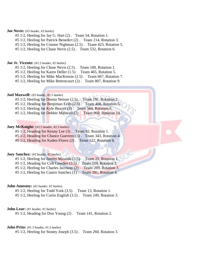## **Joe Nevis:** (#3 header, #3 heeler)

- #5 1/2, Heeling for Jay G. Hart (2) . Team 54, Rotation 1.
- #5 1/2, Heeling for Patrick Benedict (2) . Team 214, Rotation 3.
- #5 1/2, Heeling for Connor Nighman (2.5) . Team 423, Rotation 5.

#5 1/2, Heeling for Chase Nevis (2.5) . Team 532, Rotation 6.

#### **Joe Jr. Vicente:** (#2.5 header, #2 heeler)

- #5 1/2, Heeling for Chase Nevis (2.5) . Team 100, Rotation 1.
- #5 1/2, Heeling for Karen Deller (1.5) . Team 465, Rotation 5.
- #5 1/2, Heeling for Mike MacKenzie (2.5) . Team 667, Rotation 7.

#5 1/2, Heeling for Mike Bettencourt (2) . Team 807, Rotation 9.

# **Joel Maxwell:** (#3 header, #2.5 heeler)

- #5 1/2, Heeling for Donna Nelson (2.5) . Team 191, Rotation 2.
- #5 1/2, Heading for Benjiman Eells (2.5) . Team 408, Rotation 5.
- $#5\ 1/2$ , Heeling for Kyle Beaver (3). Team 564, Rotation 6.
- #5 1/2, Heeling for Debbie Maxwell (2) . Team 960, Rotation 10.

# **Joey McKnight:** (#2.5 header, #2.5 heeler)

- #5 1/2, Heading for Kenny Lee (3) . Team 92, Rotation 1.
- #5 1/2, Heading for Chance Guerrero (3) . Team 343, Rotation 4.
- #5 1/2, Heading for Kaden Florez (2) . Team 522, Rotation 6.

## **Joey Sanchez:** (#2 header, #2 heeler)

- #5 1/2, Heeling for Jimmy Miranda (1.5). Team 21, Rotation 1. #5 1/2, Heading for Colt Cowden (3.5) . Team 119, Rotation 2. #5 1/2, Heeling for Charles Jacoway (2) . Team 269, Rotation 3.
- #5 1/2, Heeling for Cuatro Sanchez (1) . Team 391, Rotation 4.

## **John Amestov:** (#2 header, #2 heeler)

- #5 1/2, Heeling for Todd York (3.5) . Team 13, Rotation 1.
- #5 1/2, Heeling for Curtis English (3.5) . Team 249, Rotation 3.

#### **John Lear:** (#1 header, #1 heeler)

#5 1/2, Heading for Don Young (2) . Team 141, Rotation 2.

## **John Prito:** (#1.5 header, #1.5 heeler)

#5 1/2, Heeling for Stoney Joseph (3.5) . Team 260, Rotation 3.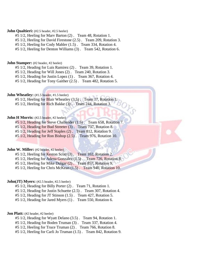## **John Qualtieri:** (#2.5 header, #2.5 heeler)

#5 1/2, Heeling for Marv Barton (2) . Team 48, Rotation 1.

#5 1/2, Heeling for David Firestone (2.5) . Team 209, Rotation 3.

#5 1/2, Heeling for Cody Mahler (1.5) . Team 334, Rotation 4.

#5 1/2, Heeling for Denton Williams (3) . Team 542, Rotation 6.

#### **John Stamper:** (#2 header, #2 heeler)

#5 1/2, Heading for Luis Ramirez (2) . Team 39, Rotation 1.

#5 1/2, Heading for Will Jones (2) . Team 240, Rotation 3.

#5 1/2, Heading for Justin Lopez (1) . Team 367, Rotation 4.

#5 1/2, Heading for Tony Gaither (2.5) . Team 482, Rotation 5.

# **John Wheatley:** (#1.5 header, #1.5 heeler)

#5 1/2, Heeling for Blair Wheatley (3.5). Team 17, Rotation 1.

#5 1/2, Heeling for Rich Bakke (3). Team 244, Rotation 3.

## **John H Morris:** (#2.5 header, #2 heeler)

#5 1/2, Heading for Steve Challender (1.5) . Team 658, Rotation 7.

#5 1/2, Heading for Bud Streeter (3) . Team 737, Rotation 8.

#5 1/2, Heading for Jeff Staples (2) . Team 812, Rotation 9.

#5 1/2, Heading for Ron Bishop (2.5) . Team 976, Rotation 10.

# **John W. Miller:** (#2 header, #2 heeler)

#5 1/2, Heeling for Keston Scott (3) . Team 102, Rotation 2.

#5 1/2, Heeling for Adena Gonzalez (1.5). Team 726, Rotation 8.

#5 1/2, Heeling for Mike Dulgar (2) . Team 857, Rotation 9.

#5 1/2, Heeling for Chris McKean (1.5) . Team 940, Rotation 10.

## **John(JT) Myers:** (#2.5 header, #2.5 heeler)

#5 1/2, Heading for Billy Porter (2) . Team 71, Rotation 1.

#5 1/2, Heading for Justin Schuette (2.5) . Team 307, Rotation 4.

#5 1/2, Heading for JT Stinson (1.5) . Team 427, Rotation 5.

#5 1/2, Heading for Jared Myers (1) . Team 550, Rotation 6.

#### **Jon Platt:** (#2 header, #2 heeler)

#5 1/2, Heading for Wyatt Delano (3.5) . Team 94, Rotation 1.

#5 1/2, Heading for Boden Truman (3) . Team 337, Rotation 4.

#5 1/2, Heeling for Truce Truman (2) . Team 766, Rotation 8.

#5 1/2, Heeling for Carli Jo Truman (1.5) . Team 842, Rotation 9.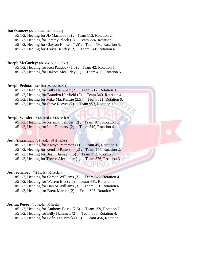## **Jon Swaner:** (#2.5 header, #2.5 heeler)

- #5 1/2, Heeling for JD Machado (3) . Team 113, Rotation 2.
- #5 1/2, Heading for Jeremy Block (2) . Team 224, Rotation 3.
- #5 1/2, Heeling for Clayton Hansen (1.5) . Team 430, Rotation 5.
- #5 1/2, Heeling for Travis Bentley (2) . Team 541, Rotation 6.

#### **Joseph McCurley:** (#4 header, #5 heeler)

- #5 1/2, Heading for Ken Paddock (1.5) . Team 42, Rotation 1.
- #5 1/2, Heading for Dakota McCurley (1) . Team 453, Rotation 5.

#### **Joseph Pedota:** (#3.5 header, #2.5 heeler)

- #5 1/2, Heading for Billy Hammett (2) . Team 212, Rotation 3.
- #5 1/2, Heading for Brandyn Hartfield (2) . Team 340, Rotation 4.
- #5 1/2, Heeling for Mike MacKenzie (2.5) . Team 821, Rotation 9.
- #5 1/2, Heading for Steve Reeves (2). Team 957, Rotation 10.

## **Joseph Semder:** (#1.5 header, #1.5 heeler)

- #5 1/2, Heading for Artemio Semder (2) . Team 187, Rotation 2.
- #5 1/2, Heading for Luis Ramirez (2) . Team 310, Rotation 4.

## **Josh Alexander:** (#4 header, #3.5 heeler)

- #5 1/2, Heading for Karsyn Patterson (1) . Team 45, Rotation 1.
- #5 1/2, Heeling for Kendall Patterson (2). Team 155, Rotation 2.
- $#5\ 1/2$ , Heeling for Beau Chaney  $(1.5)$ . Team 373, Rotation 4.
- #5 1/2, Heeling for Trevor Alexander (1). Team 576, Rotation 6.

#### **Josh Scheiber:** (#2 header, #2 heeler)

- #5 1/2, Heading for Carson Williams (3) . Team 322, Rotation 4.
- #5 1/2, Heading for Warren Enz (2.5) . Team 441, Rotation 5.
- #5 1/2, Heading for Dan Sr Williams (3) . Team 551, Rotation 6.
- #5 1/2, Heading for Brent Marrell (2) . Team 695, Rotation 7.

#### **Joshua Peeso:** (#1 header, #1 heeler)

- #5 1/2, Heading for Anthony Basso (2.5) . Team 159, Rotation 2.
- #5 1/2, Heading for Billy Hammett (2) . Team 338, Rotation 4.
- #5 1/2, Heading for Sofie Ten Broek (1.5) . Team 456, Rotation 5.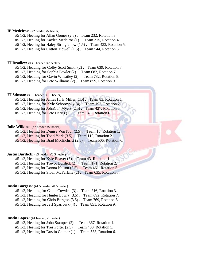# **JP Medeiros:** (#2 header, #2 heeler)

- #5 1/2, Heeling for Allan Gomes (2.5) . Team 232, Rotation 3.
- #5 1/2, Heeling for Kaylee Medeiros (1) . Team 315, Rotation 4.
- #5 1/2, Heeling for Haley Stringfellow (1.5) . Team 433, Rotation 5.

#5 1/2, Heeling for Cotton Tidwell (1.5) . Team 544, Rotation 6.

#### **JT Bradley:** (#3.5 header, #2 heeler)

- #5 1/2, Heading for Colby Scott Smith (2) . Team 639, Rotation 7.
- #5 1/2, Heading for Sophia Fowler (2) . Team 682, Rotation 7.
- #5 1/2, Heading for Gavin Wheatley (2) . Team 782, Rotation 8.
- #5 1/2, Heading for Pete Williams (2) . Team 859, Rotation 9.

# **JT Stinson:** (#1.5 header, #1.5 heeler)

- #5 1/2, Heeling for James H. Jr Miller (1.5). Team 83, Rotation 1.
- $#5$  1/2, Heading for Kyle Schorovsky (4). Team 192, Rotation 2.
- #5 1/2, Heeling for John(JT) Myers (2.5) . Team 427, Rotation 5.
- #5 1/2, Heading for Pete Harris (1) . Team 546, Rotation 6.

#### **Julie Wilkins:** (#2 header, #2 heeler)

- #5 1/2, Heeling for Denise VonTour (2.5) . Team 15, Rotation 1.
- #5 1/2, Heeling for Todd York (3.5) . Team 110, Rotation 2.
- #5 1/2, Heeling for Brad McGilchrist (2.5) . Team 506, Rotation 6.

## **Justin Burdick:** (#3 header, #2.5 heeler)

- #5 1/2, Heeling for Kyle Beaver (3) . Team 43, Rotation 1.
- #5 1/2, Heeling for Trevor Burdick (2) . Team 171, Rotation 2.
- #5 1/2, Heeling for Donna Nelson (2.5) . Team 461, Rotation 5.
- #5 1/2, Heeling for Sloan McFarlane (2) . Team 635, Rotation 7.

## **Justin Burgess:** (#1.5 header, #1.5 heeler)

- #5 1/2, Heading for Caleb Cowden (3) . Team 216, Rotation 3.
- #5 1/2, Heading for Hunter Lowry (3.5) . Team 692, Rotation 7.
- #5 1/2, Heading for Chris Burgess (3.5) . Team 769, Rotation 8.
- #5 1/2, Heading for Jeff Sparrowk (4) . Team 851, Rotation 9.

# **Justin Lopez:** (#1 header, #1 heeler)

- #5 1/2, Heeling for John Stamper (2) . Team 367, Rotation 4.
- #5 1/2, Heeling for Tres Porter (2.5) . Team 480, Rotation 5.
- #5 1/2, Heeling for Dustin Gaither (1) . Team 588, Rotation 6.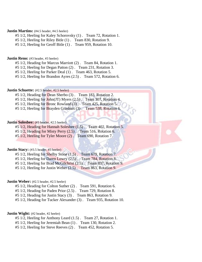## **Justin Martins:** (#4.5 header, #4.5 heeler)

#5 1/2, Heeling for Kaley Schorovsky (1) . Team 72, Rotation 1.

#5 1/2, Heeling for Riley Bitle (1) . Team 830, Rotation 9.

#5 1/2, Heeling for Geoff Bitle (1) . Team 959, Rotation 10.

#### **Justin Reno:** (#3 header, #3 heeler)

#5 1/2, Heading for Marcus Marriott (2) . Team 84, Rotation 1.

#5 1/2, Heeling for Degan Patton (2) . Team 231, Rotation 3.

#5 1/2, Heeling for Parker Deal (1) . Team 463, Rotation 5.

#5 1/2, Heeling for Brandon Ayres (2.5) . Team 572, Rotation 6.

## **Justin Schuette:** (#2.5 header, #2.5 heeler)

#5 1/2, Heading for Dean Sherbo (3) . Team 183, Rotation 2.

#5 1/2, Heeling for John(JT) Myers (2.5). Team 307, Rotation 4.

#5 1/2, Heeling for Bronc Rowland (3). Team 425, Rotation 5.

#5 1/2, Heeling for Brayden Grashuis (3) . Team 538, Rotation 6.

## **Justin Solesbee:** (#3 header, #2.5 heeler)

#5 1/2, Heading for Hannah Solesbee (1.5) . Team 402, Rotation 5.  $#5\ 1/2$ , Heading for Misty Perry  $(2.5)$ . Team 516, Rotation 6.

#5 1/2, Heeling for Tyler Moore (2) . Team 690, Rotation 7.

# **Justin Stacy:** (#3.5 header, #3 heeler)

 $#5\ 1/2$ , Heeling for Shelby Stone  $(1.5)$ . Team 679, Rotation 7. #5 1/2, Heeling for Daren Lowry (2.5) . Team 784, Rotation 8. #5 1/2, Heeling for Brad McGilchrist (2.5) . Team 837, Rotation 9.

#5 1/2, Heeling for Justin Weber (2.5) . Team 863, Rotation 9.

#### **Justin Weber:** (#2.5 header, #2.5 heeler)

#5 1/2, Heading for Colton Suther (2) . Team 591, Rotation 6.

#5 1/2, Heading for Paden Prior (2.5) . Team 729, Rotation 8.

#5 1/2, Heading for Justin Stacy (3) . Team 863, Rotation 9.

#5 1/2, Heading for Tucker Alexander (3) . Team 935, Rotation 10.

## **Justin Wight:** (#2 header, #2 heeler)

#5 1/2, Heeling for Anthony Leard (1.5) . Team 27, Rotation 1.

#5 1/2, Heeling for Jeremiah Bean (1) . Team 130, Rotation 2.

#5 1/2, Heeling for Steve Reeves (2) . Team 452, Rotation 5.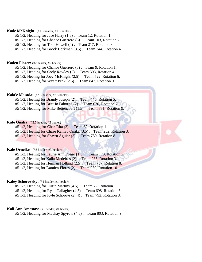## **Kade McKnight:** (#1.5 header, #1.5 heeler)

- #5 1/2, Heading for Jace Harry (1.5) . Team 12, Rotation 1.
- #5 1/2, Heading for Chance Guerrero (3) . Team 103, Rotation 2.
- #5 1/2, Heading for Tom Howell (4) . Team 217, Rotation 3.
- #5 1/2, Heading for Brock Borkman (3.5) . Team 344, Rotation 4.

#### **Kaden Florez:** (#2 header, #2 heeler)

- #5 1/2, Heading for Chance Guerrero (3) . Team 9, Rotation 1.
- #5 1/2, Heading for Cody Rowley (3) . Team 398, Rotation 4.
- #5 1/2, Heeling for Joey McKnight (2.5) . Team 522, Rotation 6.
- #5 1/2, Heading for Wyatt Peek (2.5) . Team 847, Rotation 9.

# **Kala'e Masada:** (#2.5 header, #2.5 heeler)

- #5 1/2, Heeling for Brandy Joseph (2) . Team 448, Rotation 5.
- #5 1/2, Heeling for Britt Jo Faborito (2) . Team 620, Rotation 7.
- #5 1/2, Heading for Mike Bettencourt (1.5). Team 881, Rotation 9.

# **Kale Onaka:** (#2.5 header, #2 heeler)

- #5 1/2, Heading for Chaz Rita (3) . Team 62, Rotation 1.
- #5 1/2, Heeling for Chase Kahiau Onaka (3.5) . Team 252, Rotation 3.
- #5 1/2, Heading for Shawn Aguiar (3) . Team 789, Rotation 8.

# **Kale Ornellas:** (#3 header, #3 heeler)

- #5 1/2, Heeling for Laurie Ann Diego (1.5) . Team 170, Rotation 2.
- #5 1/2, Heeling for Kalia Medeiros (2) . Team 235, Rotation 3.
- #5 1/2, Heeling for Herman Holland (2.5) . Team 757, Rotation 8.
- #5 1/2, Heeling for Damien Flores (2) . Team 930, Rotation 10.

#### **Kaley Schorovsky:** (#1 header, #1 heeler)

- #5 1/2, Heading for Justin Martins (4.5) . Team 72, Rotation 1.
- #5 1/2, Heading for Ryan Gallagher (4.5) . Team 698, Rotation 7.
- #5 1/2, Heading for Kyle Schorovsky (4) . Team 792, Rotation 8.

## **Kali Ann Amestoy:** (#1 header, #1 heeler)

#5 1/2, Heading for Mackay Spyrow (4.5) . Team 803, Rotation 9.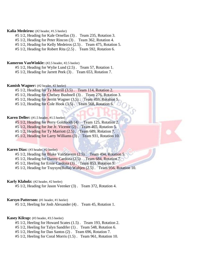## **Kalia Medeiros:** (#2 header, #1.5 heeler)

#5 1/2, Heading for Kale Ornellas (3) . Team 235, Rotation 3.

#5 1/2, Heading for Peter Rincon (3) . Team 362, Rotation 4.

#5 1/2, Heading for Kelly Medeiros (2.5) . Team 475, Rotation 5.

#5 1/2, Heading for Robert Rita (2.5) . Team 592, Rotation 6.

#### **Kameron VanWinkle:** (#2.5 header, #2.5 heeler)

#5 1/2, Heading for Wylie Lund (2.5) . Team 57, Rotation 1.

#5 1/2, Heading for Jarrett Peek (3) . Team 653, Rotation 7.

## **Kamish Wagner:** (#2 header, #2 heeler)

#5 1/2, Heading for Ty Morrill (3.5) . Team 114, Rotation 2.

#5 1/2, Heading for Chelsey Bushnell (3) . Team 276, Rotation 3.

#5 1/2, Heading for Jerritt Wagner (3.5). Team 459, Rotation 5.

#5 1/2, Heading for Cole Hook (3.5). Team 568, Rotation 6.

## **Karen Deller:** (#1.5 header, #1.5 heeler)

#5 1/2, Heading for Perry Goldtooth (4) . Team 125, Rotation 2.

#5 1/2, Heading for Joe Jr. Vicente (2) . Team 465, Rotation 5.

#5 1/2, Heading for Ty Marriott (2.5) . Team 689, Rotation 7.

#5 1/2, Heading for Larry Williams (3) . Team 931, Rotation 10.

## **Karen Dias:** (#3 header, #2 heeler)

#5 1/2, Heading for Blake VanStavern (2.5) . Team 494, Rotation 5.

#5 1/2, Heading for Danny Cardoza (2.5) . Team 684, Rotation 7.

#5 1/2, Heeling for Ernie Cardoza (3) . Team 853, Rotation 9.

#5 1/2, Heading for Traysyn(Bulla) Waltjen (2.5) . Team 956, Rotation 10.

#### **Karly Klaholz:** (#2 header, #2 heeler)

#5 1/2, Heading for Jason Veenker (3) . Team 372, Rotation 4.

## **Karsyn Patterson:** (#1 header, #1 heeler)

#5 1/2, Heeling for Josh Alexander (4) . Team 45, Rotation 1.

# **Kasey Kilcup:** (#3 header, #3.5 heeler)

- #5 1/2, Heeling for Howard Scates (1.5) . Team 193, Rotation 2.
- #5 1/2, Heeling for Talyn Sandifer (1) . Team 548, Rotation 6.
- #5 1/2, Heeling for Dan Santos (2) . Team 696, Rotation 7.
- #5 1/2, Heeling for Coral Morris (1.5) . Team 961, Rotation 10.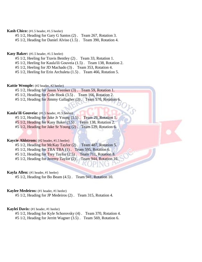**Kash Chico:** (#1.5 header, #1.5 heeler)

#5 1/2, Heading for Gary G Santos (2) . Team 267, Rotation 3.

#5 1/2, Heading for Daniel Alviso (1.5) . Team 390, Rotation 4.

#### **Kasy Baker:** (#1.5 header, #1.5 heeler)

- #5 1/2, Heeling for Travis Bentley (2) . Team 33, Rotation 1.
- #5 1/2, Heeling for Kaula'ili Gouveia (1.5) . Team 138, Rotation 2.
- #5 1/2, Heeling for JD Machado (3) . Team 353, Rotation 4.

#5 1/2, Heeling for Erin Archuleta (1.5) . Team 466, Rotation 5.

## **Kattie Wemple:** (#2 header, #2 heeler)

- #5 1/2, Heading for Jason Veenker (3) . Team 59, Rotation 1.
- #5 1/2, Heading for Cole Hook (3.5) . Team 166, Rotation 2.
- #5 1/2, Heading for Jimmy Gallagher (3). Team 570, Rotation 6.

#### **Kaula'ili Gouveia:** (#1.5 header, #1.5 heeler)

- #5 1/2, Heading for Jake Jr Young (1.5) . Team 29, Rotation 1.
- #5 1/2, Heading for Kasy Baker (1.5) . Team 138, Rotation 2.
- #5 1/2, Heading for Jake Sr Young (2) . Team 539, Rotation 6.

## **Kaycie Ahlstrom:** (#2 header, #1.5 heeler)

- #5 1/2, Heading for McKay Taylor (2) . Team 487, Rotation 5.
- #5 1/2, Heading for TBA TBA (1) . Team 595, Rotation 6.
- #5 1/2, Heading for Trey Taylor (2.5) . Team 711, Rotation 8.
- #5 1/2, Heading for Jeremy Taylor (2). Team 944, Rotation 10.

## **Kayla Allen:** (#1 header, #1 heeler)

#5 1/2, Heading for Bo Beam (4.5) . Team 941, Rotation 10.

## **Kaylee Medeiros:** (#1 header, #1 heeler)

#5 1/2, Heading for JP Medeiros (2) . Team 315, Rotation 4.

## **Kaylei Davis:** (#1 header, #1 heeler)

- #5 1/2, Heading for Kyle Schorovsky (4) . Team 370, Rotation 4.
- #5 1/2, Heading for Jerritt Wagner (3.5) . Team 569, Rotation 6.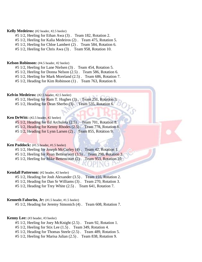## **Kelly Medeiros:** (#2 header, #2.5 heeler)

#5 1/2, Heeling for Ethan Awa (3) . Team 182, Rotation 2.

#5 1/2, Heeling for Kalia Medeiros (2) . Team 475, Rotation 5.

#5 1/2, Heeling for Chloe Lambert (2) . Team 584, Rotation 6.

#5 1/2, Heeling for Chris Awa (3) . Team 958, Rotation 10.

#### **Kelson Robinson:** (#4.5 header, #2 heeler)

#5 1/2, Heeling for Lane Nielsen (3) . Team 454, Rotation 5.

#5 1/2, Heeling for Donna Nelson (2.5) . Team 586, Rotation 6.

#5 1/2, Heeling for Mark Moreland (2.5) . Team 686, Rotation 7.

#5 1/2, Heading for Kim Robinson (1) . Team 763, Rotation 8.

# **Kelvin Medeiros:** (#2.5 header, #2.5 heeler)

#5 1/2, Heeling for Ram T. Hughes (3). Team 251, Rotation 3. #5 1/2, Heading for Dean Sherbo (3). Team 535, Rotation 6.

## **Ken DeWitt:** (#2.5 header, #2 heeler)

#5 1/2, Heading for Ed Archuleta (2.5). Team 701, Rotation 8. #5 1/2, Heading for Kenny Rhodes (2.5) . Team 778, Rotation 8.

#5 1/2, Heading for Lynn Larsen (2) . Team 855, Rotation 9.

## **Ken Paddock:** (#1.5 header, #1.5 heeler)

#5 1/2, Heeling for Joseph McCurley (4). Team 42, Rotation 1.  $#5\ 1/2$ , Heeling for Ryan Bettencourt  $(3.5)$ . Team 298, Rotation 3. #5 1/2, Heeling for Mike Bettencourt (2). Team 953, Rotation 10.

#### **Kendall Patterson:** (#2 header, #2 heeler)

#5 1/2, Heading for Josh Alexander (3.5) . Team 155, Rotation 2.

#5 1/2, Heading for Dan Sr Williams (3) . Team 270, Rotation 3.

#5 1/2, Heading for Trey White (2.5) . Team 641, Rotation 7.

## **Kenneth Faborito, Jr:** (#1.5 header, #1.5 heeler)

#5 1/2, Heading for Jeremy Simonich (4) . Team 608, Rotation 7.

#### **Kenny Lee:** (#3 header, #3 heeler)

#5 1/2, Heeling for Joey McKnight (2.5) . Team 92, Rotation 1.

#5 1/2, Heeling for Stix Lee (1.5) . Team 349, Rotation 4.

#5 1/2, Heading for Thomas Steele (2.5) . Team 489, Rotation 5.

#5 1/2, Heeling for Marisa Julian (2.5) . Team 838, Rotation 9.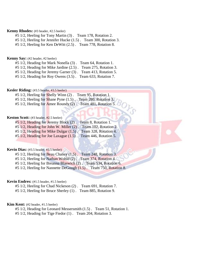## **Kenny Rhodes:** (#3 header, #2.5 heeler)

#5 1/2, Heeling for Tony Martin (3) . Team 178, Rotation 2.

#5 1/2, Heeling for Jennifer Hucke (1.5) . Team 300, Rotation 3.

#5 1/2, Heeling for Ken DeWitt (2.5) . Team 778, Rotation 8.

#### **Kenny Say:** (#2 header, #2 heeler)

#5 1/2, Heading for Mark Nonella (3) . Team 64, Rotation 1.

#5 1/2, Heading for Mike Jardine (2.5) . Team 275, Rotation 3.

#5 1/2, Heading for Jeremy Garner (3) . Team 413, Rotation 5.

#5 1/2, Heading for Roy Owens (3.5) . Team 633, Rotation 7.

## **Kesler Riding:** (#3.5 header, #3.5 heeler)

#5 1/2, Heeling for Shelly Winn (2) . Team 95, Rotation 1.  $#5$  1/2, Heeling for Shane Pyne  $(1.5)$ . Team 280, Rotation 3. #5 1/2, Heeling for Amee Roundy (2). Team 481, Rotation 5.

#### **Keston Scott:** (#3 header, #2.5 heeler)

#5 1/2, Heading for Jeremy Block (2) . Team 8, Rotation 1. #5 1/2, Heading for John W. Miller (2) . Team 102, Rotation 2. #5 1/2, Heading for Mike Dulgar (1.5) . Team 328, Rotation 4. #5 1/2, Heading for Joe Laxague (1.5) . Team 446, Rotation 5.

## **Kevin Dias:** (#3.5 header, #3.5 heeler)

 $#5$  1/2, Heeling for Beau Chaney  $(1.5)$ . Team 248, Rotation 3.

#5 1/2, Heeling for Nathan Wohld (2) . Team 374, Rotation 4.

#5 1/2, Heeling for Breanna Blaswich (2) . Team 534, Rotation 6.

#5 1/2, Heeling for Nannette DeGough (1.5). Team 750, Rotation 8.

#### **Kevin Endres:** (#1.5 header, #1.5 heeler)

#5 1/2, Heeling for Chad Nickeson (2) . Team 691, Rotation 7.

#5 1/2, Heeling for Bruce Sherley (1) . Team 885, Rotation 9.

#### **Kim Kent:** (#2 header, #1.5 heeler)

#5 1/2, Heading for Leonard Messersmith (1.5) . Team 51, Rotation 1.

#5 1/2, Heading for Tige Fiedor (1) . Team 204, Rotation 3.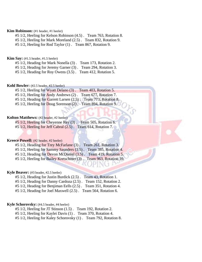## **Kim Robinson:** (#1 header, #1 heeler)

#5 1/2, Heeling for Kelson Robinson (4.5) . Team 763, Rotation 8.

#5 1/2, Heeling for Mark Moreland (2.5) . Team 832, Rotation 9.

#5 1/2, Heeling for Rod Taylor (1) . Team 867, Rotation 9.

## **Kim Say:** (#1.5 header, #1.5 heeler)

#5 1/2, Heading for Mark Nonella (3) . Team 173, Rotation 2.

#5 1/2, Heading for Jeremy Garner (3) . Team 294, Rotation 3.

#5 1/2, Heading for Roy Owens (3.5) . Team 412, Rotation 5.

#### **Kohl Bowler:** (#2.5 header, #2.5 heeler)

#5 1/2, Heeling for Wyatt Delano (3) . Team 403, Rotation 5.

#5 1/2, Heeling for Andy Andrews (2) . Team 677, Rotation 7.

#5 1/2, Heading for Garrett Larsen (2.5) . Team 773, Rotation 8.

#5 1/2, Heeling for Doug Sorenson (2). Team 894, Rotation 9.

## **Kolton Matthews:** (#2 header, #2 heeler)

#5 1/2, Heeling for Cheyenne Rey (3) . Team 505, Rotation 6.

#5 1/2, Heeling for Jeff Cabral (2.5) . Team 614, Rotation 7.

## **Kreece Powell:** (#2 header, #2 heeler)

#5 1/2, Heading for Trey McFarlane (3) . Team 261, Rotation 3.

#5 1/2, Heeling for Sammy Saunders (3.5) . Team 385, Rotation 4.

#5 1/2, Heading for Devon McDaniel (3.5) . Team 419, Rotation 5.

#5 1/2, Heeling for Bailey Kretschmer (3) . Team 963, Rotation 10.

#### **Kyle Beaver:** (#3 header, #2.5 heeler)

#5 1/2, Heading for Justin Burdick (2.5) . Team 43, Rotation 1.

#5 1/2, Heading for Danny Cardoza (2.5) . Team 152, Rotation 2.

#5 1/2, Heading for Benjiman Eells (2.5) . Team 351, Rotation 4.

#5 1/2, Heading for Joel Maxwell (2.5) . Team 564, Rotation 6.

#### **Kyle Schorovsky:** (#4.5 header, #4 heeler)

#5 1/2, Heeling for JT Stinson (1.5) . Team 192, Rotation 2.

#5 1/2, Heeling for Kaylei Davis (1) . Team 370, Rotation 4.

#5 1/2, Heeling for Kaley Schorovsky (1) . Team 792, Rotation 8.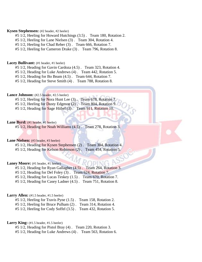## **Kysen Stephensen:** (#2 header, #2 heeler)

- #5 1/2, Heeling for Howard Hutchings (3.5) . Team 180, Rotation 2.
- #5 1/2, Heeling for Lane Nielsen (3) . Team 304, Rotation 4.
- #5 1/2, Heeling for Chad Reber (3) . Team 666, Rotation 7.
- #5 1/2, Heeling for Cameron Drake (3) . Team 796, Rotation 8.

#### Lacey Bullivant: (#1 header, #1 heeler)

- #5 1/2, Heading for Gavin Cardoza (4.5) . Team 323, Rotation 4.
- #5 1/2, Heading for Luke Andrews (4) . Team 442, Rotation 5.
- #5 1/2, Heading for Bo Beam (4.5) . Team 644, Rotation 7.

#5 1/2, Heading for Steve Smith (4) . Team 788, Rotation 8.

# Lance Johnson: (#2.5 header, #2.5 heeler)

- #5 1/2, Heeling for Nora Hunt Lee (3). Team 678, Rotation 7.
- #5 1/2, Heeling for Dusty Edgmon (2). Team 804, Rotation 9
- #5 1/2, Heading for Sage Hiibel (3). Team 911, Rotation 10.

## Lane Byrd: (#1 header, #1 heeler)

#5 1/2, Heading for Noah Williams (4.5) . Team 278, Rotation 3.

## Lane Nielsen: (#3 header, #3 heeler)

#5 1/2, Heading for Kysen Stephensen (2) . Team 304, Rotation 4. #5 1/2, Heading for Kelson Robinson (2) . Team 454, Rotation 5.

#### Laney Moore: (#1 header, #1 heeler)

- #5 1/2, Heading for Ryan Gallagher (4.5) . Team 264, Rotation 3.
- #5 1/2, Heading for Del Foley (3) . Team 624, Rotation 7.
- #5 1/2, Heading for Lucas Teskey (1.5) . Team 670, Rotation 7.
- #5 1/2, Heading for Casey Ladner (4.5) . Team 751, Rotation 8.

## Larry Allen: (#1.5 header, #1.5 heeler)

- #5 1/2, Heeling for Travis Pyne (1.5) . Team 158, Rotation 2. #5 1/2, Heeling for Bruce Pulham (2) . Team 314, Rotation 4.
- #5 1/2, Heeling for Cody Soffel (3.5) . Team 432, Rotation 5.

#### Larry King: (#1.5 header, #1.5 heeler)

- #5 1/2, Heading for Pistol Bray (4) . Team 220, Rotation 3.
- #5 1/2, Heading for Luke Andrews (4) . Team 563, Rotation 6.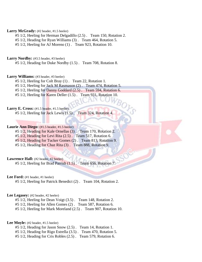## Larry McGrady: (#2 header, #1.5 heeler)

#5 1/2, Heeling for Herman Delgadillo (2.5) . Team 150, Rotation 2.

#5 1/2, Heading for Ryan Williams (3) . Team 464, Rotation 5.

#5 1/2, Heeling for AJ Moreno (1) . Team 923, Rotation 10.

## Larry Nordby: (#3.5 header, #3 heeler)

#5 1/2, Heading for Duke Nordby (1.5) . Team 708, Rotation 8.

## Larry Williams: (#3 header, #3 heeler)

#5 1/2, Heeling for Colt Bray (1) . Team 22, Rotation 1.

#5 1/2, Heeling for Jack M Rasmason (2) . Team 474, Rotation 5.

#5 1/2, Heeling for Danny Goddard (2.5) . Team 594, Rotation 6.

#5 1/2, Heeling for Karen Deller (1.5). Team 931, Rotation 10.

## Larry E. Cross: (#1.5 header, #1.5 heeler)

#5 1/2, Heeling for Jack Lewis (1.5) . Team 324, Rotation 4.

# Laurie Ann Diego: (#1.5 header, #1.5 heeler)

#5 1/2, Heading for Kale Ornellas (3) . Team 170, Rotation 2.

#5 1/2, Heading for Levi Rita (2.5) . Team 517, Rotation 6.

#5 1/2, Heading for Tucker Gomes (2) . Team 813, Rotation 9.

#5 1/2, Heading for Chaz Rita (3) . Team 888, Rotation 9.

#### Lawrence Hall: (#2 header, #2 heeler)

#5 1/2, Heeling for Brad Parrish (1.5) . Team 656, Rotation 7.

Lee Ford: (#1 header, #1 heeler)

#5 1/2, Heeling for Patrick Benedict (2) . Team 104, Rotation 2.

## Lee Legasey: (#2 header, #2 heeler)

#5 1/2, Heeling for Dean Voigt (3.5) . Team 148, Rotation 2.

#5 1/2, Heeling for Allen Gomes (2) . Team 587, Rotation 6.

#5 1/2, Heeling for Mark Moreland (2.5) . Team 907, Rotation 10.

#### Lee Moyle: (#2 header, #1.5 heeler)

#5 1/2, Heading for Jason Snow (2.5) . Team 14, Rotation 1.

#5 1/2, Heading for Rigo Estrella (3.5) . Team 470, Rotation 5.

#5 1/2, Heading for Cris Robles (2.5) . Team 579, Rotation 6.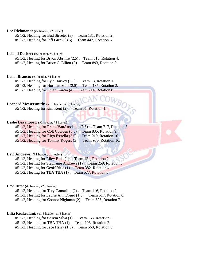## Lee Richmond: (#2 header, #2 heeler)

#5 1/2, Heading for Bud Streeter (3) . Team 131, Rotation 2.

#5 1/2, Heading for Jeff Gieck (3.5) . Team 447, Rotation 5.

#### Leland Decker: (#2 header, #2 heeler)

#5 1/2, Heeling for Bryon Abshire (2.5) . Team 318, Rotation 4.

#5 1/2, Heeling for Bruce C. Elliott (2) . Team 893, Rotation 9.

## Lenai Branco: (#1 header, #1 heeler)

#5 1/2, Heading for Lyle Harvey (3.5) . Team 18, Rotation 1.

- #5 1/2, Heading for Norman Mull (2.5) . Team 135, Rotation 2.
- #5 1/2, Heading for Ethan Garcia (4) . Team 714, Rotation 8.

# Leonard Messersmith:  $(#1.5 \text{ header}, #1.5 \text{ header})$

#5 1/2, Heeling for Kim Kent (2). Team 51, Rotation 1.

## Leslie Davenport: (#2 header, #2 heeler)

#5 1/2, Heading for Frank VanArtsdalen (3.5) . Team 717, Rotation 8.

#5 1/2, Heading for Colt Cowden (3.5) . Team 835, Rotation 9.

#5 1/2, Heading for Rigo Estrella (3.5) . Team 910, Rotation 10.

#5 1/2, Heading for Tommy Rogers (3) . Team 980, Rotation 10.

## Levi Andrews: (#1 header, #1 heeler)

#5 1/2, Heeling for Riley Bitle (1) . Team 151, Rotation 2. #5 1/2, Heeling for Stephanie Andrews (1) . Team 259, Rotation 3. #5 1/2, Heeling for Geoff Bitle (1) . Team 382, Rotation 4. #5 1/2, Heeling for TBA TBA (1) . Team 577, Rotation 6.

Levi Rita: (#3 header, #2.5 heeler)

#5 1/2, Heading for Trey Camarillo (2) . Team 116, Rotation 2.

#5 1/2, Heeling for Laurie Ann Diego (1.5) . Team 517, Rotation 6.

#5 1/2, Heading for Connor Nighman (2) . Team 626, Rotation 7.

## Lilia Keakealani: (#1.5 header, #1.5 heeler)

#5 1/2, Heading for Casera Silva (1) . Team 153, Rotation 2.

#5 1/2, Heading for TBA TBA (1) . Team 196, Rotation 2.

#5 1/2, Heading for Jace Harry (1.5) . Team 560, Rotation 6.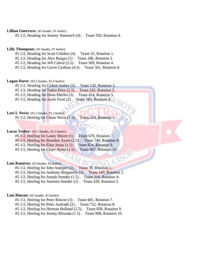# Lillian Guerrero: (#1 header, #1 heeler)

#5 1/2, Heading for Jeremy Simonich (4) . Team 350, Rotation 4.

# Lilly Thompson: (#1 header, #1 heeler)

#5 1/2, Heading for Scott Childers (4) . Team 55, Rotation 1.

#5 1/2, Heading for Alex Bargas (1) . Team 186, Rotation 2.

#5 1/2, Heading for Jeff Cabral (2.5) . Team 309, Rotation 4.

#5 1/2, Heading for Gavin Cardoza (4.5) . Team 561, Rotation 6.

#### **Logan Darst:** (#2.5 header, #2.5 heeler)

#5 1/2, Heading for Colton Suther (2) . Team 132, Rotation 2.

#5 1/2, Heading for Paden Prior (2.5) . Team 242, Rotation 3.

#5 1/2, Heading for Dean Sherbo (3) . Team 424, Rotation 5.

#5 1/2, Heading for Jacek Frost (2). Team 583, Rotation 6.

## Lori L Nevis: (#1.5 header, #1.5 heeler)

#5 1/2, Heeling for Chase Nevis (2.5) . Team 210, Rotation 3.

# Lucas Teskey: (#1.5 header, #1.5 heeler)

| $#5$ 1/2, Heeling for Laney Moore $(1)$ . Team 670, Rotation 7. |  |
|-----------------------------------------------------------------|--|
| #5 1/2, Heeling for Brandon Ayres (2.5). Team 749, Rotation 8.  |  |
| #5 1/2, Heeling for Elsie Jonas (1.5). Team 824, Rotation 9.    |  |

 $#5\ 1/2$ , Heeling for Claye Ayres  $(1.5)$ . Team 967, Rotation 10.

#### Luis Ramirez: (#3 header, #2 heeler)

#5 1/2, Heeling for John Stamper (2) . Team 39, Rotation 1.

#5 1/2, Heeling for Anthony Borgatello (2) . Team 145, Rotation 2.

#5 1/2, Heeling for Joseph Semder (1.5) . Team 310, Rotation 4.

#5 1/2, Heeling for Artemio Semder (2) . Team 428, Rotation 5.

# Luis Rincon: (#2 header, #2 heeler)

#5 1/2, Heeling for Peter Rincon (3) . Team 681, Rotation 7.

#5 1/2, Heeling for Peter Andrade (2) . Team 752, Rotation 8.

#5 1/2, Heeling for Herman Holland (2.5) . Team 828, Rotation 9.

#5 1/2, Heeling for Jimmy Miranda (1.5) . Team 908, Rotation 10.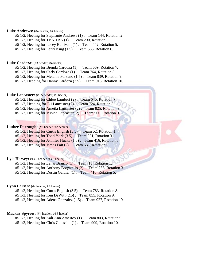## Luke Andrews: (#4 header, #4 heeler)

- #5 1/2, Heeling for Stephanie Andrews (1) . Team 144, Rotation 2.
- #5 1/2, Heeling for TBA TBA (1) . Team 290, Rotation 3.
- #5 1/2, Heeling for Lacey Bullivant (1) . Team 442, Rotation 5.
- #5 1/2, Heeling for Larry King (1.5) . Team 563, Rotation 6.

#### Luke Cardoza: (#3 header, #4 heeler)

- #5 1/2, Heeling for Brenda Cardoza (1) . Team 669, Rotation 7.
- #5 1/2, Heeling for Carly Cardoza (1) . Team 764, Rotation 8.
- #5 1/2, Heeling for Melanie Forzano (1.5) . Team 839, Rotation 9.
- #5 1/2, Heading for Danny Cardoza (2.5) . Team 913, Rotation 10.

# Luke Lancaster: (#3.5 header, #3 heeler)

- #5 1/2, Heeling for Chloe Lambert (2). Team 645, Rotation 7.
- #5 1/2, Heading for Eli Lancaster (2) . Team 724, Rotation 8.
- #5 1/2, Heeling for Ameila Lancaster (2) . Team 825, Rotation 9.
- #5 1/2, Heeling for Jessica Lancaster (2) . Team 900, Rotation 9.

#### Luther Darrough: (#2 header, #2 heeler)

- #5 1/2, Heeling for Curtis English (3.5) . Team 52, Rotation 1.
- #5 1/2, Heeling for Todd York (3.5) . Team 221, Rotation 3.
- #5 1/2, Heeling for Jennifer Hucke (1.5) . Team 416, Rotation 5.
- #5 1/2, Heeling for James Fait (2) . Team 531, Rotation 6.

## Lyle Harvey: (#3.5 header, #3.5 heeler)

- #5 1/2, Heeling for Lenai Branco (1) . Team 18, Rotation 1.
- #5 1/2, Heeling for Anthony Borgatello (2) . Team 288, Rotation 3.
- #5 1/2, Heeling for Dustin Gaither (1) . Team 410, Rotation 5.

## Lynn Larsen: (#2 header, #2 heeler)

- #5 1/2, Heeling for Curtis English (3.5) . Team 783, Rotation 8.
- #5 1/2, Heeling for Ken DeWitt (2.5) . Team 855, Rotation 9.
- #5 1/2, Heeling for Adena Gonzalez (1.5) . Team 927, Rotation 10.

## **Mackay Spyrow:** (#4 header, #4.5 heeler)

- #5 1/2, Heeling for Kali Ann Amestoy (1) . Team 803, Rotation 9.
- #5 1/2, Heeling for Chris Galassini (1) . Team 909, Rotation 10.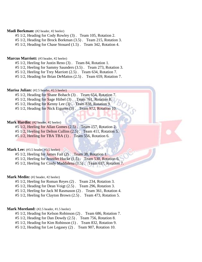## **Madi Borkman:** (#2 header, #2 heeler)

- #5 1/2, Heading for Cody Rowley (3) . Team 105, Rotation 2.
- #5 1/2, Heading for Brock Borkman (3.5) . Team 215, Rotation 3.
- #5 1/2, Heading for Chase Stouard (1.5) . Team 342, Rotation 4.

#### **Marcus Marriott:** (#3 header, #2 heeler)

- #5 1/2, Heeling for Justin Reno (3) . Team 84, Rotation 1.
- #5 1/2, Heeling for Sammy Saunders (3.5) . Team 273, Rotation 3.
- #5 1/2, Heeling for Trey Marriott (2.5) . Team 634, Rotation 7.
- #5 1/2, Heading for Brian DeMattos (2.5) . Team 659, Rotation 7.

#### **Marisa Julian:** (#2.5 header, #2.5 heeler)

- #5 1/2, Heading for Shane Bohach (3) . Team 654, Rotation 7.
- #5 1/2, Heading for Sage Hiibel (3). Team 761, Rotation 8.
- #5 1/2, Heading for Kenny Lee (3). Team 838, Rotation 9.
- #5 1/2, Heading for Nick Eiguren (3). Team 972, Rotation 10.

#### **Mark Hardin:** (#2 header, #2 heeler)

#5 1/2, Heeling for Allan Gomes (2.5) . Team 157, Rotation 2. #5 1/2, Heeling for Delton Cullins (2.5) . Team 411, Rotation 5.

#5 1/2, Heeling for TBA TBA (1) . Team 556, Rotation 6.

# **Mark Lee:** (#3.5 header, #3.5 heeler)

- #5 1/2, Heeling for James Fait (2) . Team 38, Rotation 1.
- #5 1/2, Heeling for Jennifer Hucke (1.5). Team 530, Rotation 6.
- #5 1/2, Heeling for Cindy Maddalena (1.5) . Team 637, Rotation 7.

## **Mark Medin:** (#2 header, #2 heeler)

- #5 1/2, Heeling for Roman Reyes (2) . Team 234, Rotation 3.
- #5 1/2, Heading for Dean Voigt (2.5) . Team 296, Rotation 3.
- #5 1/2, Heeling for Jack M Rasmason (2) . Team 361, Rotation 4.

#5 1/2, Heeling for Clayton Brown (2.5) . Team 473, Rotation 5.

## Mark Moreland: (#2.5 header, #1.5 heeler)

- #5 1/2, Heading for Kelson Robinson (2) . Team 686, Rotation 7.
- #5 1/2, Heading for Dan Dowdy (2.5) . Team 756, Rotation 8.
- #5 1/2, Heading for Kim Robinson (1) . Team 832, Rotation 9.
- #5 1/2, Heading for Lee Legasey (2) . Team 907, Rotation 10.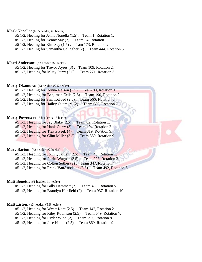## **Mark Nonella:** (#3.5 header, #3 heeler)

- #5 1/2, Heeling for Jenna Nonella (1.5) . Team 1, Rotation 1.
- #5 1/2, Heeling for Kenny Say (2) . Team 64, Rotation 1.
- #5 1/2, Heeling for Kim Say (1.5) . Team 173, Rotation 2.
- #5 1/2, Heeling for Samantha Gallagher (2) . Team 444, Rotation 5.

#### **Marti Anderson:** (#3 header, #2 heeler)

- #5 1/2, Heeling for Trevor Ayres (3) . Team 109, Rotation 2.
- #5 1/2, Heading for Misty Perry (2.5) . Team 271, Rotation 3.

## **Marty Okamura:** (#3 header, #2.5 heeler)

- #5 1/2, Heeling for Donna Nelson (2.5) . Team 80, Rotation 1.
- #5 1/2, Heading for Benjiman Eells (2.5) . Team 190, Rotation 2.
- #5 1/2, Heeling for Sam Kofoed (2.5). Team 566, Rotation 6.
- #5 1/2, Heeling for Hailey Okamura (2) . Team 685, Rotation 7.

## Marty Powers: (#1.5 header, #1.5 heeler)

- #5 1/2, Heading for Jay Blake (2.5) . Team 82, Rotation 1.
- #5 1/2, Heading for Hank Curry (3) . Team 194, Rotation 2.
- #5 1/2, Heading for Travis Peek (4) . Team 819, Rotation 9.
- #5 1/2, Heading for Clint Miller (3.5) . Team 889, Rotation 9.

# **Marv Barton:** (#2 header, #2 heeler)

- #5 1/2, Heading for John Qualtieri (2.5) . Team 48, Rotation 1.
- #5 1/2, Heading for Jerritt Wagner (3.5) . Team 223, Rotation 3.
- #5 1/2, Heading for Colton Suther (2) . Team 347, Rotation 4.
- #5 1/2, Heading for Frank VanArtsdalen (3.5) . Team 492, Rotation 5.

## **Matt Bonetti:** (#1 header, #1 heeler)

- #5 1/2, Heading for Billy Hammett (2) . Team 455, Rotation 5.
- #5 1/2, Heading for Brandyn Hartfield (2) . Team 937, Rotation 10.

#### **Matt Liston:** (#3 header, #5.5 heeler)

- #5 1/2, Heading for Wyatt Kent (2.5) . Team 142, Rotation 2.
- #5 1/2, Heading for Riley Robinson (2.5) . Team 649, Rotation 7.
- #5 1/2, Heading for Ryder Winn (2) . Team 797, Rotation 8.
- #5 1/2, Heading for Jace Hanks (2.5) . Team 869, Rotation 9.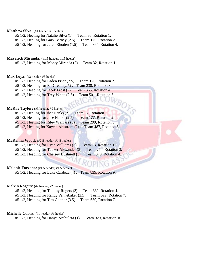## **Matthew Silva:** (#1 header, #1 heeler)

#5 1/2, Heeling for Natalie Silva (1) . Team 36, Rotation 1.

#5 1/2, Heeling for Gary Barney (2.5) . Team 175, Rotation 2.

#5 1/2, Heading for Jered Rhoden (1.5) . Team 364, Rotation 4.

## **Maverick Miranda:** (#1.5 header, #1.5 heeler)

#5 1/2, Heading for Monty Miranda (2) . Team 32, Rotation 1.

# Max Loya: (#3 header, #3 heeler)

#5 1/2, Heading for Paden Prior (2.5) . Team 126, Rotation 2.

#5 1/2, Heading for Eli Green (2.5) . Team 238, Rotation 3.

#5 1/2, Heading for Jacek Frost (2) . Team 365, Rotation 4.

#5 1/2, Heading for Trey White (2.5) . Team 501, Rotation 6.

## McKay Taylor: (#3 header, #2 heeler)

#5 1/2, Heeling for Jhet Hanks (2) . Team 67, Rotation 1.

#5 1/2, Heading for Jace Hanks (2.5) . Team 177, Rotation 2.

#5 1/2, Heeling for Riley Wanlass (3) . Team 299, Rotation 3.

#5 1/2, Heeling for Kaycie Ahlstrom (2) . Team 487, Rotation 5.

# **McKenna Wood:** (#2.5 header, #1.5 heeler)

#5 1/2, Heading for Ryan Williams (3) . Team 78, Rotation 1.

#5 1/2, Heading for Tucker Alexander (3) . Team 254, Rotation 3.

#5 1/2, Heading for Chelsey Bushnell (3) . Team 379, Rotation 4.

#### **Melanie Forzano:** (#1.5 header, #1.5 heeler)

#5 1/2, Heading for Luke Cardoza (4) . Team 839, Rotation 9.

## **Melvin Rogers:** (#2 header, #2 heeler)

#5 1/2, Heading for Tommy Rogers (3) . Team 332, Rotation 4.

#5 1/2, Heading for Randy Pennebaker (2.5) . Team 622, Rotation 7.

#5 1/2, Heading for Tim Gaither (3.5) . Team 650, Rotation 7.

## **Michelle Curtis:** (#1 header, #1 heeler)

#5 1/2, Heading for Danye Archuleta (1) . Team 929, Rotation 10.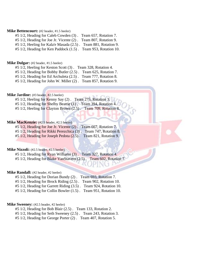## **Mike Bettencourt:** (#2 header, #1.5 heeler)

#5 1/2, Heading for Caleb Cowden (3) . Team 657, Rotation 7.

#5 1/2, Heading for Joe Jr. Vicente (2) . Team 807, Rotation 9.

#5 1/2, Heeling for Kala'e Masada (2.5) . Team 881, Rotation 9.

#5 1/2, Heading for Ken Paddock (1.5) . Team 953, Rotation 10.

#### **Mike Dulgar:** (#2 header, #1.5 heeler)

#5 1/2, Heeling for Keston Scott (3) . Team 328, Rotation 4.

#5 1/2, Heading for Bobby Butler (2.5) . Team 625, Rotation 7.

#5 1/2, Heading for Ed Archuleta (2.5) . Team 777, Rotation 8.

#5 1/2, Heading for John W. Miller (2) . Team 857, Rotation 9.

# **Mike Jardine:** (#3 header, #2.5 heeler)

 $#5\ 1/2$ , Heeling for Kenny Say  $(2)$ . Team 275, Rotation 3.

- #5 1/2, Heading for Shelby Beattie (1). Team 394, Rotation 4.
- #5 1/2, Heeling for Clayton Brown (2.5) . Team 709, Rotation 8.

## **Mike MacKenzie:** (#2.5 header, #2.5 heeler)

#5 1/2, Heading for Joe Jr. Vicente (2) . Team 667, Rotation 7. #5 1/2, Heading for Rikki Perezchica (3) . Team 747, Rotation 8.

#5 1/2, Heading for Joseph Pedota (2.5) . Team 821, Rotation 9.

# **Mike Nizzoli:** (#2.5 header, #2.5 heeler)

#5 1/2, Heading for Ryan Williams (3) . Team 327, Rotation 4. #5 1/2, Heading for Blake VanStavern (2.5). Team 602, Rotation 7.

#### **Mike Randall:** (#2 header, #2 heeler)

#5 1/2, Heading for Dorian Bundy (2) . Team 693, Rotation 7.

#5 1/2, Heading for Brock Riding (2.5) . Team 902, Rotation 10.

#5 1/2, Heading for Garrett Riding (3.5) . Team 924, Rotation 10.

#5 1/2, Heading for Collin Bowler (1.5) . Team 951, Rotation 10.

#### **Mike Sweeney:** (#2.5 header, #2 heeler)

#5 1/2, Heading for Bob Blair (2.5) . Team 133, Rotation 2.

#5 1/2, Heading for Seth Sweeney (2.5) . Team 243, Rotation 3.

#5 1/2, Heading for George Porter (2) . Team 407, Rotation 5.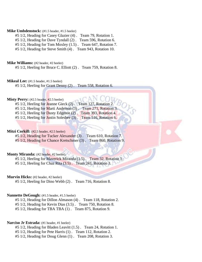## **Mike Umbdenstock:** (#1.5 header, #1.5 heeler)

#5 1/2, Heading for Casey Glazier (4) . Team 79, Rotation 1.

#5 1/2, Heading for Dave Tyndall (2) . Team 596, Rotation 6.

#5 1/2, Heading for Tom Moxley (1.5) . Team 647, Rotation 7.

#5 1/2, Heading for Steve Smith (4) . Team 943, Rotation 10.

#### **Mike Williams:** (#2 header, #2 heeler)

#5 1/2, Heeling for Bruce C. Elliott (2) . Team 759, Rotation 8.

**Mikeal Lee:** (#1.5 header, #1.5 heeler)

#5 1/2, Heeling for Grant Denny (2) . Team 558, Rotation 6.

#### **Misty Perry:** (#2.5 header, #2.5 heeler)

#5 1/2, Heeling for Jeanne Gieck (2). Team 127, Rotation

#5 1/2, Heeling for Marti Anderson (3) . Team 271, Rotation 3.

#5 1/2, Heeling for Dusty Edgmon (2). Team 393, Rotation 4.

#5 1/2, Heeling for Justin Solesbee (3). Team 516, Rotation 6.

## Mitzi Corkill: (#2.5 header, #2.5 heeler)

#5 1/2, Heading for Tucker Alexander (3) . Team 610, Rotation 7. #5 1/2, Heading for Chance Kretschmer (3) . Team 860, Rotation 9.

# Monty Miranda: (#2 header, #2 heeler)

#5 1/2, Heeling for Maverick Miranda (1.5) . Team 32, Rotation 1.

#5 1/2, Heeling for Chaz Rita (3.5) . Team 241, Rotation 3.

#### **Murvin Hicks:** (#2 header, #2 heeler)

#5 1/2, Heeling for Dino Webb (2) . Team 716, Rotation 8.

## **Nannette DeGough:** (#1.5 header, #1.5 heeler)

#5 1/2, Heading for Dillon Almason (4) . Team 118, Rotation 2.

#5 1/2, Heading for Kevin Dias (3.5) . Team 750, Rotation 8.

#5 1/2, Heading for TBA TBA (1) . Team 875, Rotation 9.

#### **Narciso Jr Estrada:** (#1 header, #1 heeler)

#5 1/2, Heading for Bladen Leavitt (1.5) . Team 24, Rotation 1.

#5 1/2, Heading for Pete Harris (1) . Team 112, Rotation 2.

#5 1/2, Heading for Doug Glenn (1) . Team 208, Rotation 3.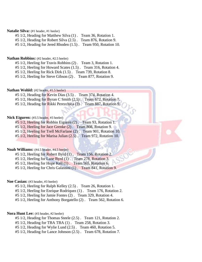# Natalie Silva: (#1 header, #1 heeler)

#5 1/2, Heading for Matthew Silva (1) . Team 36, Rotation 1.

#5 1/2, Heading for Robert Silva (2.5) . Team 876, Rotation 9.

#5 1/2, Heading for Jered Rhoden (1.5) . Team 950, Rotation 10.

#### **Nathan Robbins:** (#2 header, #2.5 heeler)

#5 1/2, Heeling for Travis Robbins (2) . Team 3, Rotation 1.

#5 1/2, Heeling for Howard Scates (1.5) . Team 316, Rotation 4.

#5 1/2, Heeling for Rick Dirk (1.5) . Team 739, Rotation 8.

#5 1/2, Heeling for Steve Gibson (2) . Team 877, Rotation 9.

#### **Nathan Wohld:** (#2 header, #1.5 heeler)

#5 1/2, Heading for Kevin Dias (3.5) . Team 374, Rotation 4.

#5 1/2, Heading for Byran C Smith (2.5). Team 672, Rotation 7.

#5 1/2, Heading for Rikki Perezchica (3). Team 887, Rotation 9.

## **Nick Eiguren:**  $(#3.5 \text{ header}, #3 \text{ header})$

#5 1/2, Heeling for Robbin Eiguren (2) . Team 93, Rotation 1.

#5 1/2, Heeling for Jace Grenke (2) . Team 808, Rotation 9.

#5 1/2, Heeling for Trell McFarlane (2) . Team 901, Rotation 10.

#5 1/2, Heeling for Marisa Julian (2.5) . Team 972, Rotation 10.

# **Noah Williams:** (#4.5 header, #4.5 heeler)

#5 1/2, Heeling for Robert Byrd (1) . Team 156, Rotation 2.

#5 1/2, Heeling for Lane Byrd (1) . Team 278, Rotation 3.

#5 1/2, Heeling for Hope Kell (1) . Team 565, Rotation 6.

#5 1/2, Heeling for Chris Galassini (1) . Team 841, Rotation 9.

#### **Noe Casian:** (#3 header, #3 heeler)

#5 1/2, Heeling for Ralph Kelley (2.5) . Team 26, Rotation 1.

#5 1/2, Heeling for Enrique Rodriquez (1) . Team 176, Rotation 2.

#5 1/2, Heeling for Jamie Fontes (2) . Team 329, Rotation 4.

#5 1/2, Heeling for Anthony Borgatello (2) . Team 562, Rotation 6.

#### **Nora Hunt Lee:** (#3 header, #2 heeler)

#5 1/2, Heading for Thomas Steele (2.5) . Team 121, Rotation 2.

#5 1/2, Heading for TBA TBA (1) . Team 258, Rotation 3.

#5 1/2, Heading for Wylie Lund (2.5) . Team 460, Rotation 5.

#5 1/2, Heading for Lance Johnson (2.5) . Team 678, Rotation 7.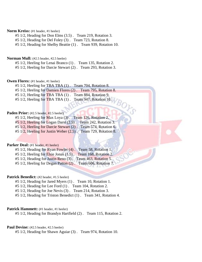## **Norm Kreiss:** (#1 header, #1 heeler)

#5 1/2, Heading for Don Elms (3.5) . Team 219, Rotation 3.

#5 1/2, Heading for Del Foley (3) . Team 723, Rotation 8.

#5 1/2, Heading for Shelby Beattie (1) . Team 939, Rotation 10.

## **Norman Mull:** (#2.5 header, #2.5 heeler)

#5 1/2, Heeling for Lenai Branco (1) . Team 135, Rotation 2.

#5 1/2, Heeling for Darcie Stewart (2) . Team 293, Rotation 3.

# **Owen Flores:** (#1 header, #1 heeler)

#5 1/2, Heeling for TBA TBA (1) . Team 704, Rotation 8.

#5 1/2, Heeling for Damien Flores (2) . Team 795, Rotation 8.

 $\partial_{\mathcal{O}_{\mathcal{F}}}$ 

#5 1/2, Heeling for TBA TBA (1) . Team 884, Rotation 9.

#5 1/2, Heeling for TBA TBA (1). Team 947, Rotation 10.

## Paden Prior: (#2.5 header, #2.5 heeler)

#5 1/2, Heeling for Max Loya (3) . Team 126, Rotation 2. #5 1/2, Heeling for Logan Darst (2.5) . Team 242, Rotation 3. #5 1/2, Heeling for Darcie Stewart (2) . Team 574, Rotation 6.

#5 1/2, Heeling for Justin Weber (2.5) . Team 729, Rotation 8.

#### **Parker Deal:** (#1 header, #1 heeler)

#5 1/2, Heading for Ryan Fowler (4) . Team 58, Rotation 1. #5 1/2, Heeling for Elsie Jonas (1.5) . Team 168, Rotation 2. #5 1/2, Heading for Justin Reno (3) . Team 463, Rotation 5. #5 1/2, Heeling for Degan Patton (2) . Team 606, Rotation 7.

#### **Patrick Benedict:** (#2 header, #1.5 heeler)

#5 1/2, Heading for Jared Myers (1) . Team 10, Rotation 1.

#5 1/2, Heading for Lee Ford (1) . Team 104, Rotation 2.

#5 1/2, Heading for Joe Nevis (3) . Team 214, Rotation 3.

#5 1/2, Heading for Triston Benedict (1) . Team 341, Rotation 4.

#### **Patrick Hammett:** (#1 header, #1 heeler)

#5 1/2, Heading for Brandyn Hartfield (2) . Team 115, Rotation 2.

## Paul Devine: (#2.5 header, #2.5 heeler)

#5 1/2, Heading for Shawn Aguiar (3) . Team 974, Rotation 10.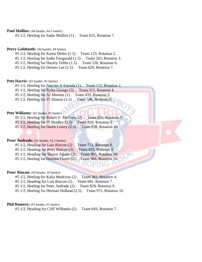**Paul Mullins:** (#4 header, #4.5 heeler)

#5 1/2, Heeling for Sadie Mullins (1) . Team 631, Rotation 7.

# Perry Goldtooth: (#4 header, #4 heeler)

- #5 1/2, Heeling for Karen Deller (1.5) . Team 125, Rotation 2.
- #5 1/2, Heeling for Sadie Fitzgerald (1.5) . Team 263, Rotation 3.
- #5 1/2, Heeling for Hayley Tebbs (1.5) . Team 520, Rotation 6.
- #5 1/2, Heeling for Dennis Lee (1.5) . Team 629, Rotation 7.

## Pete Harris: (#1 header, #1 heeler)

- #5 1/2, Heeling for Narciso Jr Estrada (1) . Team 112, Rotation 2.
- #5 1/2, Heeling for Rylee George (3) . Team 311, Rotation 4.
- #5 1/2, Heeling for AJ Moreno (1) . Team 435, Rotation 5.
- #5 1/2, Heeling for  $J\Gamma$  Stinson (1.5). Team 546, Rotation 6.

# **Pete Williams:** (#2 header, #2 heeler)

- #5 1/2, Heeling for Robert E. McGrew (2) . Team 651, Rotation 7.
- #5 1/2, Heeling for JT Bradley (3.5). Team 859, Rotation 9.
- $#5\ 1/2$ , Heeling for Daren Lowry  $(2.5)$ . Team 938, Rotation 10.

# Peter **Andrade:** (#2 header, #1.5 heeler)

| #5 1/2, Heading for Luis Rincon (2). Team 752, Rotation 8.    |  |
|---------------------------------------------------------------|--|
| #5 1/2, Heading for Peter Rincon (3). Team 829, Rotation 9.   |  |
| #5 1/2, Heading for Shawn Aguiar (3). Team 905, Rotation 10.  |  |
| #5 1/2, Heeling for Damien Flores (2). Team 966, Rotation 10. |  |

#### Peter Rincon: (#3 header, #3 heeler)

- #5 1/2, Heeling for Kalia Medeiros (2) . Team 362, Rotation 4.
- #5 1/2, Heading for Luis Rincon (2) . Team 681, Rotation 7.
- #5 1/2, Heeling for Peter Andrade (2) . Team 829, Rotation 9.
- #5 1/2, Heeling for Herman Holland (2.5) . Team 973, Rotation 10.

#### **Phil Romero:** (#1 header, #1 heeler)

#5 1/2, Heading for Cliff Wilbanks (2) . Team 643, Rotation 7.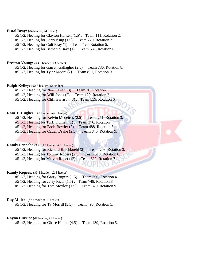## Pistol Bray: (#4 header, #4 heeler)

- #5 1/2, Heeling for Clayton Hansen (1.5) . Team 111, Rotation 2.
- #5 1/2, Heeling for Larry King (1.5) . Team 220, Rotation 3.
- #5 1/2, Heeling for Colt Bray (1) . Team 426, Rotation 5.
- #5 1/2, Heeling for Bethanie Bray (1) . Team 537, Rotation 6.

#### **Preston Young:** (#3.5 header, #3 heeler)

- #5 1/2, Heeling for Garrett Gallagher (2.5) . Team 736, Rotation 8.
- #5 1/2, Heeling for Tyler Moore (2) . Team 811, Rotation 9.

## **Ralph Kelley:** (#2.5 header, #2 heeler)

- #5 1/2, Heading for Noe Casian (3) . Team 26, Rotation 1.
- #5 1/2, Heading for Will Jones (2) . Team 129, Rotation 2.
- #5 1/2, Heading for Cliff Garrison (3). Team 559, Rotation 6.

## **Ram T. Hughes:** (#3 header, #4.5 heeler)

- #5 1/2, Heading for Kelvin Medeiros (2.5) . Team 251, Rotation 3.
- #5 1/2, Heeling for Turk Truman (1). Team 376, Rotation 4.
- #5 1/2, Heading for Bode Bowler (2) . Team 488, Rotation 5.
- #5 1/2, Heading for Caden Drake (2.5) . Team 845, Rotation 9.

#### **Randy Pennebaker:** (#2 header, #2.5 heeler)

- #5 1/2, Heading for Richard Brechbuehl (2) . Team 203, Rotation 3.
- $#5\ 1/2$ , Heeling for Tommy Rogers  $(2.5)$ . Team 510, Rotation 6.
- #5 1/2, Heeling for Melvin Rogers (2) . Team 622, Rotation 7.

#### **Randy Rogers:** (#3.5 header, #2.5 heeler)

- #5 1/2, Heading for Garry Rogers (1.5) . Team 396, Rotation 4.
- #5 1/2, Heading for Jerry Ricci (1.5) . Team 748, Rotation 8.
- #5 1/2, Heading for Tom Moxley (1.5) . Team 879, Rotation 9.

## **Ray Miller:** (#2 header, #1.5 heeler)

#5 1/2, Heading for Ty Morrill (3.5) . Team 498, Rotation 5.

## **Rayna Currin:** (#1 header, #1 heeler)

#5 1/2, Heading for Chase Helton (4.5) . Team 439, Rotation 5.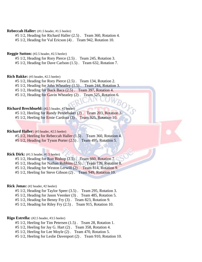## **Rebeccah Haller:** (#1.5 header, #1.5 heeler)

#5 1/2, Heading for Richard Haller (2.5) . Team 360, Rotation 4.

#5 1/2, Heading for Val Ericson (4) . Team 942, Rotation 10.

#### **Reggie Sutton:** (#2.5 header, #2.5 heeler)

#5 1/2, Heading for Rory Pierce (2.5) . Team 245, Rotation 3.

#5 1/2, Heading for Dave Carlson (1.5) . Team 632, Rotation 7.

#### **Rich Bakke:** (#3 header, #2.5 heeler)

#5 1/2, Heading for Rory Pierce (2.5) . Team 134, Rotation 2.

#5 1/2, Heading for John Wheatley (1.5) . Team 244, Rotation 3.

#5 1/2, Heading for Buck Baca (2.5) . Team 397, Rotation 4.

#5 1/2, Heading for Gavin Wheatley (2) . Team 525, Rotation 6.

#### **Richard Brechbuehl:** (#2.5 header, #2 heeler)

#5 1/2, Heeling for Randy Pennebaker (2) . Team 203, Rotation 3.

#5 1/2, Heeling for Ernie Cardoza (3) . Team 925, Rotation 10.

## **Richard Haller:** (#3 header, #2.5 heeler)

#5 1/2, Heeling for Rebeccah Haller (1.5) . Team 360, Rotation 4. #5 1/2, Heading for Tyson Porter (2.5) . Team 495, Rotation 5.

#### **Rick Dirk:** (#1.5 header, #1.5 heeler)

#5 1/2, Heading for Ron Bishop (2.5) . Team 660, Rotation 7. #5 1/2, Heading for Nathan Robbins (2.5) . Team 739, Rotation 8. #5 1/2, Heading for Weston Lerwill (2) . Team 814, Rotation 9. #5 1/2, Heeling for Steve Gibson (2) . Team 949, Rotation 10.

## **Rick Jonas:** (#2 header, #2 heeler)

#5 1/2, Heading for Taylor Speer (3.5) . Team 295, Rotation 3. #5 1/2, Heading for Jason Veenker (3) . Team 485, Rotation 5. #5 1/2, Heading for Benny Fry (3) . Team 823, Rotation 9. #5 1/2, Heading for Riley Fry (2.5) . Team 915, Rotation 10.

#### **Rigo Estrella:** (#2.5 header, #3.5 heeler)

- #5 1/2, Heeling for Tim Petersen (1.5) . Team 28, Rotation 1.
- #5 1/2, Heeling for Jay G. Hart (2) . Team 358, Rotation 4.
- #5 1/2, Heeling for Lee Moyle (2) . Team 470, Rotation 5.
- #5 1/2, Heeling for Leslie Davenport (2) . Team 910, Rotation 10.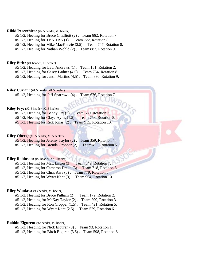## **Rikki Perezchica:** (#2.5 header, #3 heeler)

- #5 1/2, Heeling for Bruce C. Elliott (2) . Team 662, Rotation 7.
- #5 1/2, Heeling for TBA TBA (1) . Team 722, Rotation 8.
- #5 1/2, Heeling for Mike MacKenzie (2.5) . Team 747, Rotation 8.
- #5 1/2, Heeling for Nathan Wohld (2) . Team 887, Rotation 9.

#### **Riley Bitle:** (#1 header, #1 heeler)

- #5 1/2, Heading for Levi Andrews (1) . Team 151, Rotation 2.
- #5 1/2, Heading for Casey Ladner (4.5) . Team 754, Rotation 8.
- #5 1/2, Heading for Justin Martins (4.5) . Team 830, Rotation 9.

# **Riley Currin:**  $(\text{\#}1.5 \text{ header}, \text{\#}1.5 \text{ header})$

#5 1/2, Heading for Jeff Sparrowk (4) . Team 676, Rotation 7.

## **Riley Fry:** (#2.5 header, #2.5 heeler)

- #5 1/2, Heading for Benny Fry (3) . Team 680, Rotation 7.
- #5 1/2, Heeling for Claye Ayres (1.5) . Team 758, Rotation 8.
- #5 1/2, Heeling for Rick Jonas (2). Team 915, Rotation 10.

## **Riley Oberg:** (#3.5 header, #3.5 heeler)

#5 1/2, Heeling for Jeremy Taylor (2) . Team 359, Rotation 4. #5 1/2, Heeling for Brenda Cropper (2) . Team 493, Rotation 5.

## **Riley Robinson:** (#2 header, #2.5 heeler)

#5 1/2, Heeling for Matt Liston (3) . Team 649, Rotation 7.

- #5 1/2, Heeling for Cameron Drake (3) . Team 718, Rotation 8.
- #5 1/2, Heeling for Chris Awa (3) . Team 779, Rotation 8.
- #5 1/2, Heeling for Wyatt Kent (3) . Team 964, Rotation 10.

## **Riley Wanlass:** (#3 header, #2 heeler)

#5 1/2, Heeling for Bruce Pulham (2) . Team 172, Rotation 2.

- #5 1/2, Heading for McKay Taylor (2) . Team 299, Rotation 3.
- #5 1/2, Heading for Ron Cropper (1.5) . Team 421, Rotation 5.
- #5 1/2, Heading for Wyatt Kent (2.5) . Team 529, Rotation 6.

## **Robbin Eiguren:** (#2 header, #2 heeler)

- #5 1/2, Heading for Nick Eiguren (3) . Team 93, Rotation 1.
- #5 1/2, Heading for Birch Eiguren (3.5) . Team 598, Rotation 6.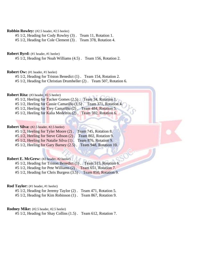## **Robbin Rowley:** (#2.5 header, #2.5 heeler)

#5 1/2, Heading for Cody Rowley (3) . Team 11, Rotation 1.

#5 1/2, Heading for Cole Clement (3) . Team 378, Rotation 4.

#### **Robert Byrd:** (#1 header, #1 heeler)

#5 1/2, Heading for Noah Williams (4.5) . Team 156, Rotation 2.

## **Robert Ow:** (#1 header, #1 heeler)

#5 1/2, Heading for Triston Benedict (1) . Team 154, Rotation 2.

#5 1/2, Heading for Christian Drumheller (2) . Team 507, Rotation 6.

# **Robert Rita:** (#3 header, #2.5 heeler)

#5 1/2, Heeling for Tucker Gomes (2.5). Team 34, Rotation 1.

- #5 1/2, Heeling for Cassie Camarillo (1.5) . Team 371, Rotation 4.
- #5 1/2, Heeling for Trey Camarillo (2) . Team 484, Rotation 5.
- #5 1/2, Heeling for Kalia Medeiros (2). Team 592, Rotation 6.

#### **Robert Silva:** (#2.5 header, #2.5 heeler)

|                                               | #5 1/2, Heeling for Tyler Moore (2). Team 745, Rotation 8. |
|-----------------------------------------------|------------------------------------------------------------|
| #5 1/2, Heeling for Steve Gibson (2).         | Team 802, Rotation 9.                                      |
| #5 1/2, Heeling for Natalie Silva (1).        | Team 876, Rotation 9.                                      |
| $#5\ 1/2$ , Heeling for Gary Barney $(2.5)$ . | Team 948, Rotation 10.                                     |

#### **Robert E. McGrew:** (#2 header, #2 heeler)

#5 1/2, Heading for Triston Benedict (1) . Team 515, Rotation 6.

#5 1/2, Heading for Pete Williams (2) . Team 651, Rotation 7.

#5 1/2, Heading for Chris Burgess (3.5) . Team 850, Rotation 9.

#### **Rod Taylor:** (#1 header, #1 heeler)

#5 1/2, Heading for Jeremy Taylor (2) . Team 471, Rotation 5. #5 1/2, Heading for Kim Robinson (1) . Team 867, Rotation 9.

#### **Rodney Mike:** (#2.5 header, #2.5 heeler)

#5 1/2, Heading for Shay Collins (1.5) . Team 612, Rotation 7.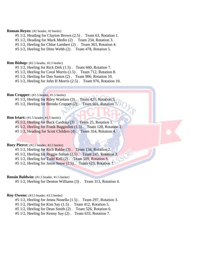## **Roman Reyes:** (#2 header, #2 heeler)

- #5 1/2, Heading for Clayton Brown (2.5) . Team 63, Rotation 1.
- #5 1/2, Heading for Mark Medin (2) . Team 234, Rotation 3.
- #5 1/2, Heeling for Chloe Lambert (2) . Team 363, Rotation 4.

#5 1/2, Heeling for Dino Webb (2) . Team 478, Rotation 5.

## **Ron Bishop:** (#2.5 header, #2.5 heeler)

- #5 1/2, Heeling for Rick Dirk (1.5) . Team 660, Rotation 7.
- #5 1/2, Heeling for Coral Morris (1.5) . Team 712, Rotation 8.
- #5 1/2, Heeling for Dan Santos (2) . Team 906, Rotation 10.

#5 1/2, Heeling for John H Morris (2.5) . Team 976, Rotation 10.

# **Ron Cropper:** (#1.5 header, #1.5 heeler)

#5 1/2, Heeling for Riley Wanlass (3). Team 421, Rotation 5. #5 1/2, Heeling for Brenda Cropper (2). Team 601, Rotation 7.

## **Ron Iriart:** (#1.5 header, #1.5 heeler)

#5 1/2, Heeling for Buck Cardoza (3) . Team 25, Rotation 1. #5 1/2, Heeling for Frank Baggiolini (1.5) . Team 128, Rotation 2.

- 
- #5 1/2, Heading for Scott Childers (4) . Team 354, Rotation 4.

## **Rory Pierce:** (#2.5 header, #2.5 heeler)

- #5 1/2, Heeling for Rich Bakke (3) . Team 134, Rotation 2.
- #5 1/2, Heeling for Reggie Sutton (2.5) . Team 245, Rotation 3.
- #5 1/2, Heeling for Todd Kell (2) . Team 509, Rotation 6.
- #5 1/2, Heeling for Jason Snow (2.5). Team 623, Rotation 7.

## **Rossin Baldwin:** (#1.5 header, #1.5 heeler)

#5 1/2, Heeling for Denton Williams (3) . Team 313, Rotation 4.

## **Roy Owens:** (#3.5 header, #3.5 heeler)

- #5 1/2, Heeling for Jenna Nonella (1.5) . Team 297, Rotation 3.
- #5 1/2, Heeling for Kim Say (1.5) . Team 412, Rotation 5.
- #5 1/2, Heeling for Dean Smith (2) . Team 526, Rotation 6.
- #5 1/2, Heeling for Kenny Say (2) . Team 633, Rotation 7.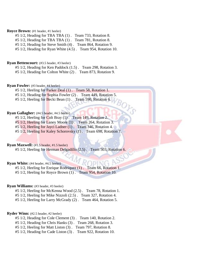## **Royce Brown:** (#1 header, #1 heeler)

- #5 1/2, Heading for TBA TBA (1) . Team 733, Rotation 8.
- #5 1/2, Heading for TBA TBA (1) . Team 781, Rotation 8.
- #5 1/2, Heading for Steve Smith (4) . Team 864, Rotation 9.
- #5 1/2, Heading for Ryan White (4.5) . Team 954, Rotation 10.

#### **Ryan Bettencourt:** (#3.5 header, #3 heeler)

- #5 1/2, Heading for Ken Paddock (1.5) . Team 298, Rotation 3.
- #5 1/2, Heading for Colton White (2) . Team 873, Rotation 9.

## **Ryan Fowler:** (#3 header, #4 heeler)

- #5 1/2, Heeling for Parker Deal (1) . Team 58, Rotation 1.
- #5 1/2, Heading for Sophia Fowler (2) . Team 449, Rotation 5.
- $#5$  1/2, Heeling for Becki Bean  $(1)$ . Team 590, Rotation 6.

## **Ryan Gallagher:** (#4.5 header, #4.5 heeler)

- #5 1/2, Heeling for Colt Bray (1) . Team 149, Rotation 2.
- #5 1/2, Heeling for Laney Moore (1) . Team 264, Rotation 3.
- #5 1/2, Heeling for Jayci Ladner (1) . Team 346, Rotation 4.
- #5 1/2, Heeling for Kaley Schorovsky (1) . Team 698, Rotation 7.

## **Ryan Maxwell:** (#1.5 header, #1.5 heeler)

#5 1/2, Heeling for Herman Delgadillo (2.5) . Team 503, Rotation 6.

## **Ryan White:** (#4 header, #4.5 heeler)

- #5 1/2, Heeling for Enrique Rodriquez (1) . Team 66, Rotation 1.
- #5 1/2, Heeling for Royce Brown (1) . Team 954, Rotation 10.

#### **Ryan Williams:** (#3 header, #3 heeler)

- #5 1/2, Heeling for McKenna Wood (2.5) . Team 78, Rotation 1.
- #5 1/2, Heeling for Mike Nizzoli (2.5) . Team 327, Rotation 4.
- #5 1/2, Heeling for Larry McGrady (2) . Team 464, Rotation 5.

#### **Ryder Winn:** (#2.5 header, #2 heeler)

- #5 1/2, Heading for Cole Clement (3) . Team 140, Rotation 2.
- #5 1/2, Heading for Chris Hanks (3) . Team 268, Rotation 3.
- #5 1/2, Heeling for Matt Liston (3) . Team 797, Rotation 8.
- #5 1/2, Heading for Cade Liston (3) . Team 922, Rotation 10.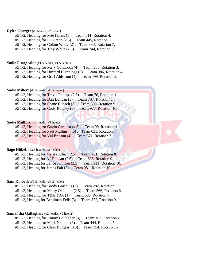## **Rylee George:** (#3 header, #2 heeler)

#5 1/2, Heading for Pete Harris (1) . Team 311, Rotation 4.

#5 1/2, Heading for Eli Green (2.5) . Team 445, Rotation 5.

#5 1/2, Heading for Colton White (2) . Team 665, Rotation 7.

#5 1/2, Heading for Trey White (2.5) . Team 744, Rotation 8.

#### **Sadie Fitzgerald:** (#1.5 header, #1.5 heeler)

#5 1/2, Heading for Perry Goldtooth (4) . Team 263, Rotation 3.

#5 1/2, Heading for Howard Hutchings (3) . Team 386, Rotation 4.

#5 1/2, Heading for Griff Ahlstrom (4) . Team 499, Rotation 5.

#### **Sadie Miller:** (#2.5 header, #2.5 heeler)

#5 1/2, Heading for Travis Phillips (2.5) . Team 76, Rotation 1.

#5 1/2, Heading for Dan Duncan (3). Team 707, Rotation 8.

#5 1/2, Heading for Shane Bohach (3). Team 809, Rotation 9.

#5 1/2, Heading for Cody Rowley (3) . Team 977, Rotation 10.

## **Sadie Mullins:** (#1 header, #1 heeler)

#5 1/2, Heading for Gavin Cardoza (4.5) . Team 90, Rotation 1.

#5 1/2, Heading for Paul Mullins (4.5) . Team 631, Rotation 7.

#5 1/2, Heading for Val Ericson (4) . Team 671, Rotation 7.

## **Sage Hiibel:** (#3.5 header, #3 heeler)

#5 1/2, Heeling for Marisa Julian (2.5) . Team 761, Rotation 8.

#5 1/2, Heeling for AJ Duncan (2.5) . Team 836, Rotation 9.

#5 1/2, Heeling for Lance Johnson (2.5) . Team 911, Rotation 10.

#5 1/2, Heeling for James Fait (2) . Team 981, Rotation 10.

#### **Sam Kofoed:** (#2.5 header, #1.5 heeler)

#5 1/2, Heading for Brody Grashuis (2) . Team 282, Rotation 3.

#5 1/2, Heading for Marty Okamura (2.5) . Team 566, Rotation 6.

#5 1/2, Heading for TBA TBA (1) . Team 603, Rotation 7.

#5 1/2, Heeling for Benjiman Eells (3) . Team 872, Rotation 9.

## **Samantha Gallagher:** (#2 header, #2 heeler)

#5 1/2, Heading for Jimmy Gallagher (3) . Team 167, Rotation 2.

#5 1/2, Heading for Mark Nonella (3) . Team 444, Rotation 5.

#5 1/2, Heading for Chris Burgess (3.5) . Team 554, Rotation 6.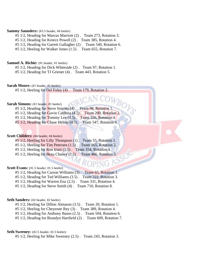## **Sammy Saunders:** (#3.5 header, #4 heeler)

- #5 1/2, Heading for Marcus Marriott (2) . Team 273, Rotation 3.
- #5 1/2, Heading for Kreece Powell (2) . Team 385, Rotation 4.
- #5 1/2, Heading for Garrett Gallagher (2) . Team 540, Rotation 6.

#5 1/2, Heeling for Walker Jones (1.5) . Team 655, Rotation 7.

# **Samuel A. Richie:** (#1 header, #1 heeler)

#5 1/2, Heading for Dick Whiteside (2) . Team 97, Rotation 1.

#5 1/2, Heading for TJ Griener (4) . Team 443, Rotation 5.

**Sarah Moore:** (#1 header, #1 heeler)

#5 1/2, Heeling for Del Foley (4) . Team 179, Rotation 2.

## **Sarah Simons:** (#1 header, #1 heeler)

- #5 1/2, Heading for Steve Simons (4). Team 98, Rotation 1.
- #5 1/2, Heading for Gavin Cardoza (4.5) . Team 200, Rotation 2.
- #5 1/2, Heading for Tommy Lee (4.5) . Team 326, Rotation 4.
- #5 1/2, Heading for Chase Helton (4.5). Team 547, Rotation 6.

## **Scott Childers:** (#4 header, #4 heeler)

- #5 1/2, Heeling for Lilly Thompson (1) . Team 55, Rotation 1.
- #5 1/2, Heeling for Tim Petersen (1.5) . Team 165, Rotation 2.
- #5 1/2, Heeling for Ron Iriart (1.5) . Team 354, Rotation 4.
- $#5\ 1/2$ , Heeling for Beau Chaney  $(1.5)$ . Team 486, Rotation 5.

#### **Scott Evans:** (#1.5 header, #1.5 heeler)

#5 1/2, Heading for Carson Williams (3) . Team 65, Rotation 1.

- #5 1/2, Heading for Ted Williams (3.5) . Team 222, Rotation 3.
- #5 1/2, Heading for Warren Enz (2.5) . Team 331, Rotation 4.
- #5 1/2, Heading for Steve Smith (4) . Team 710, Rotation 8.

#### **Seth Sanders:** (#2 header, #2 heeler)

#5 1/2, Heeling for Dillon Almason (3.5) . Team 20, Rotation 1.

#5 1/2, Heeling for Cheyenne Rey (3) . Team 389, Rotation 4.

#5 1/2, Heading for Anthony Basso (2.5) . Team 504, Rotation 6.

#5 1/2, Heading for Brandyn Hartfield (2) . Team 609, Rotation 7.

#### **Seth Sweeney:** (#2.5 header, #2.5 heeler)

#5 1/2, Heeling for Mike Sweeney (2.5) . Team 243, Rotation 3.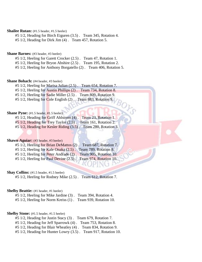# **Shailee Rutan:** (#1.5 header, #1.5 heeler)

- #5 1/2, Heading for Birch Eiguren (3.5) . Team 345, Rotation 4.
- #5 1/2, Heading for Dirk Jim (4) . Team 457, Rotation 5.

#### **Shane Barnes:** (#3 header, #3 heeler)

- #5 1/2, Heeling for Garett Crocker (2.5) . Team 47, Rotation 1.
- #5 1/2, Heeling for Bryon Abshire (2.5) . Team 195, Rotation 2.
- #5 1/2, Heeling for Anthony Borgatello (2) . Team 406, Rotation 5.

#### **Shane Bohach:** (#4 header, #3 heeler)

- #5 1/2, Heeling for Marisa Julian (2.5) . Team 654, Rotation 7.
- #5 1/2, Heeling for Austin Phillips (2) . Team 734, Rotation 8.
- #5 1/2, Heeling for Sadie Miller (2.5) . Team 809, Rotation 9.
- #5 1/2, Heeling for Cole English (2). Team 883, Rotation 9.

# **Shane Pyne:** (#1.5 header, #1.5 heeler)

- #5 1/2, Heading for Griff Ahlstrom (4) . Team 23, Rotation 1. #5 1/2, Heading for Trey Taylor (2.5) . Team 161, Rotation 2.
- #5 1/2, Heading for Kesler Riding (3.5) . Team 280, Rotation 3.

# **Shawn Aguiar:** (#3 header, #3 heeler)

| #5 1/2, Heeling for Brian DeMattos (2). Team 687, Rotation 7.    |  |
|------------------------------------------------------------------|--|
| $#5$ 1/2, Heeling for Kale Onaka $(2.5)$ . Team 789, Rotation 8. |  |
| #5 1/2, Heeling for Peter Andrade (2). Team 905, Rotation 10.    |  |
| #5 1/2, Heeling for Paul Devine (2.5). Team 974, Rotation 10.    |  |

#### **Shay Collins:** (#1.5 header, #1.5 heeler)

#5 1/2, Heeling for Rodney Mike (2.5) . Team 612, Rotation 7.

# **Shelby Beattie:** (#1 header, #1 heeler)

#5 1/2, Heeling for Mike Jardine (3) . Team 394, Rotation 4. #5 1/2, Heeling for Norm Kreiss (1) . Team 939, Rotation 10.

# **Shelby Stone:** (#1.5 header, #1.5 heeler)

- #5 1/2, Heading for Justin Stacy (3) . Team 679, Rotation 7.
- #5 1/2, Heading for Jeff Sparrowk (4) . Team 753, Rotation 8.
- #5 1/2, Heading for Blair Wheatley (4) . Team 834, Rotation 9.
- #5 1/2, Heading for Hunter Lowry (3.5) . Team 917, Rotation 10.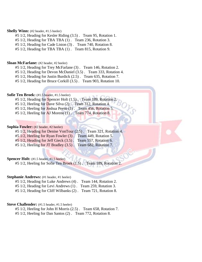#### **Shelly Winn:** (#2 header, #1.5 heeler)

- #5 1/2, Heading for Kesler Riding (3.5) . Team 95, Rotation 1.
- #5 1/2, Heading for TBA TBA (1) . Team 236, Rotation 3.
- #5 1/2, Heading for Cade Liston (3) . Team 740, Rotation 8.
- #5 1/2, Heading for TBA TBA (1) . Team 815, Rotation 9.

#### **Sloan McFarlane:** (#2 header, #2 heeler)

- #5 1/2, Heading for Trey McFarlane (3) . Team 146, Rotation 2.
- #5 1/2, Heading for Devon McDaniel (3.5) . Team 333, Rotation 4.
- #5 1/2, Heading for Justin Burdick (2.5) . Team 635, Rotation 7.

#5 1/2, Heading for Bruce Corkill (3.5) . Team 903, Rotation 10.

# **Sofie Ten Broek:** (#1.5 header, #1.5 heeler)

- #5 1/2, Heading for Spencer Holt  $(1.5)$ . Team 189, Rotation 2.
- #5 1/2, Heeling for Dave Silva (2) . Team 312, Rotation 4.
- #5 1/2, Heeling for Joshua Peeso (1) . Team 456, Rotation 5.
- #5 1/2, Heeling for AJ Moreno (1) . Team 774, Rotation 8.

### **Sophia Fowler:** (#2 header, #2 heeler)

- #5 1/2, Heading for Denise VonTour (2.5) . Team 321, Rotation 4.
- #5 1/2, Heeling for Ryan Fowler (3) . Team 449, Rotation 5.
- #5 1/2, Heading for Jeff Gieck (3.5) . Team 557, Rotation 6.
- #5 1/2, Heeling for JT Bradley (3.5) . Team 682, Rotation 7.

#### **Spencer Holt:** (#1.5 header, #1.5 heeler)

#5 1/2, Heeling for Sofie Ten Broek (1.5). Team 189, Rotation 2.

#### **Stephanie Andrews:** (#1 header, #1 heeler)

| #5 1/2, Heading for Luke Andrews (4). Team 144, Rotation 2.   |  |
|---------------------------------------------------------------|--|
| #5 1/2, Heading for Levi Andrews (1). Team 259, Rotation 3.   |  |
| #5 1/2, Heading for Cliff Wilbanks (2). Team 721, Rotation 8. |  |

# **Steve Challender:** (#1.5 header, #1.5 heeler)

#5 1/2, Heeling for John H Morris (2.5) . Team 658, Rotation 7. #5 1/2, Heeling for Dan Santos (2) . Team 772, Rotation 8.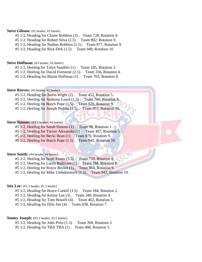# **Steve Gibson:** (#2 header, #2 heeler)

- #5 1/2, Heading for Chaise Robbins (3) . Team 728, Rotation 8.
- #5 1/2, Heading for Robert Silva (2.5) . Team 802, Rotation 9.
- #5 1/2, Heading for Nathan Robbins (2.5) . Team 877, Rotation 9.

#5 1/2, Heading for Rick Dirk (1.5) . Team 949, Rotation 10.

#### **Steve Hoffman:** (#3 header, #2 heeler)

- #5 1/2, Heeling for Talyn Sandifer (1) . Team 185, Rotation 2.
- #5 1/2, Heeling for David Firestone (2.5) . Team 336, Rotation 4.

#5 1/2, Heading for Blaize Hoffman (1) . Team 703, Rotation 8.

#### **Steve Reeves:** (#2 header, #2 heeler)

- #5 1/2, Heading for Justin Wight (2) . Team 452, Rotation 5.
- $#5\ 1/2$ , Heeling for Anthony Leard  $(1.5)$ . Team 746, Rotation 8.
- $#5\ 1/2$ , Heeling for Butch Pope  $(1.5)$ . Team 820, Rotation 9.
- #5 1/2, Heeling for Joseph Pedota (3.5) . Team 957, Rotation 10.

# **Steve Simons:** (#3.5 header, #4 heeler)

#5 1/2, Heeling for Sarah Simons (1) . Team 98, Rotation 1.

- #5 1/2, Heeling for Trevor Alexander (1) . Team 467, Rotation 5.
- #5 1/2, Heeling for Becki Bean (1) . Team 870, Rotation 9.
- #5 1/2, Heeling for Butch Pope (1.5) . Team 945, Rotation 10.

#### **Steve Smith:** (#4 header, #4 heeler)

- #5 1/2, Heeling for Scott Evans (1.5) . Team 710, Rotation 8.
- #5 1/2, Heeling for Lacey Bullivant (1) . Team 788, Rotation 8.
- #5 1/2, Heeling for Royce Brown (1) . Team 864, Rotation 9.
- #5 1/2, Heeling for Mike Umbdenstock (1.5) . Team 943, Rotation 10.

### **Stix Lee:** (#1.5 header, #1.5 heeler)

- #5 1/2, Heading for Bruce Corkill (3.5) . Team 184, Rotation 2.
- #5 1/2, Heading for Kenny Lee (3) . Team 349, Rotation 4.
- #5 1/2, Heading for Tom Howell (4) . Team 462, Rotation 5.
- #5 1/2, Heading for Dirk Jim (4) . Team 638, Rotation 7.

# Stoney Joseph: (#3.5 header, #3.5 heeler)

- #5 1/2, Heading for John Prito (1.5) . Team 260, Rotation 3.
- #5 1/2, Heading for TBA TBA (1) . Team 468, Rotation 5.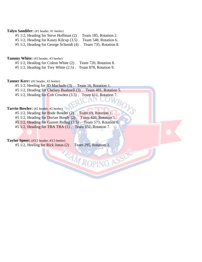# **Talyn Sandifer:** (#1 header, #1 heeler)

#5 1/2, Heading for Steve Hoffman (2) . Team 185, Rotation 2.

#5 1/2, Heading for Kasey Kilcup (3.5) . Team 548, Rotation 6.

#5 1/2, Heading for George Schmidt (4) . Team 735, Rotation 8.

Tammy White: (#3 header, #3 heeler)

#5 1/2, Heading for Colton White (2) . Team 720, Rotation 8.

#5 1/2, Heading for Trey White (2.5) . Team 878, Rotation 9.

# **Tanner Kerr:** (#2 header, #2 heeler)

#5 1/2, Heeling for JD Machado (3) . Team 16, Rotation 1.

#5 1/2, Heading for Chelsey Bushnell (3) . Team 491, Rotation 5.

BOL

#5 1/2, Heading for Colt Cowden (3.5) . Team 611, Rotation 7.

# **Tarrin Bowler:** (#2 header, #2 heeler)

#5 1/2, Heading for Bode Bowler (2). Team 69, Rotation 1.

#5 1/2, Heading for Dorian Bundy (2) . Team 420, Rotation 5.

#5 1/2, Heading for Garrett Riding (3.5) . Team 573, Rotation 6.

**EAM ROPING ASSO** 

#5 1/2, Heading for TBA TBA (1) . Team 652, Rotation 7.

# **Taylor Speer:** (#3.5 header, #3.5 heeler)

#5 1/2, Heeling for Rick Jonas (2) . Team 295, Rotation 3.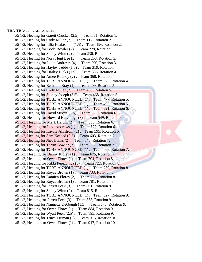**TBA TBA:** (#1 header, #1 heeler) #5 1/2, Heeling for Garett Crocker (2.5) . Team 81, Rotation 1. #5 1/2, Heeling for Cody Miller (2) . Team 117, Rotation 2. #5 1/2, Heeling for Lilia Keakealani (1.5) . Team 196, Rotation 2. #5 1/2, Heading for Bode Bowler (2) . Team 228, Rotation 3. #5 1/2, Heeling for Shelly Winn (2) . Team 236, Rotation 3. #5 1/2, Heeling for Nora Hunt Lee (3) . Team 258, Rotation 3. #5 1/2, Heading for Luke Andrews (4) . Team 290, Rotation 3. #5 1/2, Heeling for Hayley Tebbs (1.5) . Team 319, Rotation 4. #5 1/2, Heading for Hailey Hicks (1.5) . Team 356, Rotation 4. #5 1/2, Heeling for Amee Roundy (2) . Team 368, Rotation 4. #5 1/2, Heeling for TOBE ANNOUNCED (1) . Team 375, Rotation 4. #5 1/2, Heeling for Bethanie Bray (1) . Team 409, Rotation 5. #5 1/2, Heeling for Cody Miller (2) . Team 438, Rotation 5. #5 1/2, Heeling for Stoney Joseph (3.5). Team 468, Rotation 5. #5 1/2, Heeling for TOBE ANNOUNCED (1). Team 477, Rotation 5. #5 1/2, Heeling for TOBE ANNOUNCED (1). Team 496, Rotation 5. #5 1/2, Heeling for TOBE ANNOUNCED (1). Team 521, Rotation 6. #5 1/2, Heeling for David Stueve (1.5) . Team 523, Rotation 6. #5 1/2, Heading for Howard Hutchings (3) . Team 549, Rotation 6. #5 1/2, Heading for Mark Hardin (2) . Team 556, Rotation 6. #5 1/2, Heading for Levi Andrews (1) . Team 577, Rotation 6. #5 1/2, Heeling for Kaycie Ahlstrom (2) . Team 595, Rotation 6. #5 1/2, Heeling for Sam Kofoed (2.5) . Team 603, Rotation 7. #5 1/2, Heeling for Jhet Hanks (2) . Team 646, Rotation 7. #5 1/2, Heeling for Tarrin Bowler (2) . Team 652, Rotation 7. #5 1/2, Heeling for TOBE ANNOUNCED (1). Team 668, Rotation 7. #5 1/2, Heading for Danny Ridley (1) . Team 675, Rotation 7. #5 1/2, Heading for Owen Flores (1) . Team 704, Rotation 8. #5 1/2, Heading for Rikki Perezchica (3) . Team 722, Rotation 8. #5 1/2, Heeling for TOBE ANNOUNCED (1). Team 730, Rotation 8. #5 1/2, Heeling for Royce Brown (1). Team 733, Rotation 8. #5 1/2, Heeling for Damien Flores (2) . Team 762, Rotation 8. #5 1/2, Heeling for Royce Brown (1) . Team 781, Rotation 8. #5 1/2, Heading for Jarrett Peek (3) . Team 801, Rotation 9. #5 1/2, Heeling for Shelly Winn (2) . Team 815, Rotation 9. #5 1/2, Heeling for TOBE ANNOUNCED (1) . Team 827, Rotation 9. #5 1/2, Heading for Jarrett Peek (3) . Team 858, Rotation 9. #5 1/2, Heeling for Nannette DeGough (1.5) . Team 875, Rotation 9. #5 1/2, Heading for Owen Flores (1) . Team 884, Rotation 9. #5 1/2, Heeling for Wyatt Peek (2.5) . Team 895, Rotation 9. #5 1/2, Heeling for Truce Truman (2) . Team 916, Rotation 10. #5 1/2, Heading for Owen Flores (1) . Team 947, Rotation 10.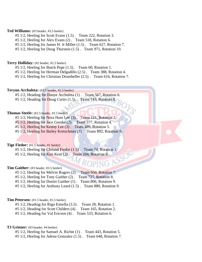# **Ted Williams:** (#3 header, #3.5 heeler)

- #5 1/2, Heeling for Scott Evans (1.5) . Team 222, Rotation 3.
- #5 1/2, Heeling for Alex Evans (2) . Team 518, Rotation 6.
- #5 1/2, Heeling for James H. Jr Miller (1.5) . Team 627, Rotation 7.

#5 1/2, Heeling for Doug Thurston (1.5) . Team 971, Rotation 10.

#### **Terry Holliday:** (#2 header, #2.5 heeler)

- #5 1/2, Heeling for Butch Pope (1.5) . Team 60, Rotation 1.
- #5 1/2, Heeling for Herman Delgadillo (2.5) . Team 388, Rotation 4.

#5 1/2, Heeling for Christian Drumheller (2.5) . Team 616, Rotation 7.

# **Terynn Archuleta:** (#3.5 header, #2.5 heeler)

- #5 1/2, Heading for Danye Archuleta (1) . Team 567, Rotation 6.
- #5 1/2, Heading for Doug Curtis (1.5). Team 743, Rotation 8.

# **Thomas Steele:** (#2.5 header, #2.5 heeler)

- #5 1/2, Heeling for Nora Hunt Lee (3) . Team 121, Rotation 2.
- #5 1/2, Heeling for Jace Grenke (2) . Team 377, Rotation 4.
- #5 1/2, Heeling for Kenny Lee (3) . Team 489, Rotation 5.
- #5 1/2, Heeling for Bailey Kretschmer (3) . Team 892, Rotation 9.

#### **Tige Fiedor:** (#1.5 header, #1 heeler)

#5 1/2, Heeling for Christal Fiedor (1.5) . Team 74, Rotation 1. #5 1/2, Heeling for Kim Kent (2). Team 204, Rotation 3.

#### **Tim Gaither:** (#3 header, #3.5 heeler)

- #5 1/2, Heeling for Melvin Rogers (2) . Team 650, Rotation 7.
- #5 1/2, Heeling for Tony Gaither (2) . Team 727, Rotation 8.
- #5 1/2, Heeling for Dustin Gaither (1) . Team 806, Rotation 9.
- #5 1/2, Heeling for Anthony Leard (1.5) . Team 880, Rotation 9.

#### **Tim Petersen:** (#1.5 header, #1.5 heeler)

- #5 1/2, Heading for Rigo Estrella (3.5) . Team 28, Rotation 1.
- #5 1/2, Heading for Scott Childers (4) . Team 165, Rotation 2.
- #5 1/2, Heading for Val Ericson (4) . Team 533, Rotation 6.

# **TJ Griener:** (#3 header, #4 heeler)

- #5 1/2, Heeling for Samuel A. Richie (1) . Team 443, Rotation 5.
- #5 1/2, Heeling for Adena Gonzalez (1.5) . Team 648, Rotation 7.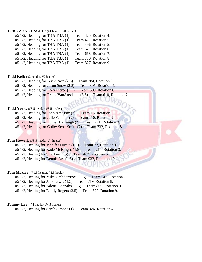# **TOBE ANNOUNCED:** (#1 header, #0 heeler)

#5 1/2, Heading for TBA TBA (1) . Team 375, Rotation 4. #5 1/2, Heading for TBA TBA (1) . Team 477, Rotation 5. #5 1/2, Heading for TBA TBA (1) . Team 496, Rotation 5. #5 1/2, Heading for TBA TBA (1) . Team 521, Rotation 6. #5 1/2, Heading for TBA TBA (1) . Team 668, Rotation 7. #5 1/2, Heading for TBA TBA (1) . Team 730, Rotation 8.

#5 1/2, Heading for TBA TBA (1) . Team 827, Rotation 9.

#### **Todd Kell:** (#2 header, #2 heeler)

#5 1/2, Heading for Buck Baca (2.5) . Team 284, Rotation 3.

#5 1/2, Heading for Jason Snow (2.5) . Team 395, Rotation 4.

#5 1/2, Heading for Rory Pierce (2.5) . Team 509, Rotation 6.

#5 1/2, Heading for Frank VanArtsdalen (3.5) . Team 618, Rotation 7.

#### **Todd York:** (#3.5 header, #3.5 heeler)

#5 1/2, Heading for John Amestoy (2). Team 13, Rotation 1.

#5 1/2, Heading for Julie Wilkins (2). Team 110, Rotation 2.

#5 1/2, Heading for Luther Darrough (2) . Team 221, Rotation 3.

#5 1/2, Heading for Colby Scott Smith (2) . Team 732, Rotation 8.

# **Tom Howell:** (#3.5 header, #4 heeler)

#5 1/2, Heeling for Jennifer Hucke (1.5). Team 77, Rotation 1.

#5 1/2, Heeling for Kade McKnight (1.5). Team 217, Rotation 3.

 $#5\ 1/2$ , Heeling for Stix Lee  $(1.5)$ . Team 462, Rotation 5.

#5 1/2, Heeling for Dennis Lee (1.5) . Team 933, Rotation 10.

#### Tom Moxley: (#1.5 header, #1.5 heeler)

#5 1/2, Heeling for Mike Umbdenstock (1.5) . Team 647, Rotation 7.

#5 1/2, Heeling for Jack Lewis (1.5) . Team 719, Rotation 8.

#5 1/2, Heeling for Adena Gonzalez (1.5) . Team 805, Rotation 9.

#5 1/2, Heeling for Randy Rogers (3.5) . Team 879, Rotation 9.

#### **Tommy Lee:** (#4 header, #4.5 heeler)

#5 1/2, Heeling for Sarah Simons (1) . Team 326, Rotation 4.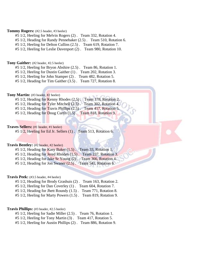# **Tommy Rogers:** (#2.5 header, #3 heeler)

- #5 1/2, Heeling for Melvin Rogers (2) . Team 332, Rotation 4.
- #5 1/2, Heading for Randy Pennebaker (2.5) . Team 510, Rotation 6.
- #5 1/2, Heeling for Delton Cullins (2.5) . Team 619, Rotation 7.
- #5 1/2, Heeling for Leslie Davenport (2) . Team 980, Rotation 10.

#### **Tony Gaither:** (#2 header, #2.5 heeler)

- #5 1/2, Heeling for Bryon Abshire (2.5) . Team 86, Rotation 1.
- #5 1/2, Heeling for Dustin Gaither (1) . Team 202, Rotation 3.
- #5 1/2, Heeling for John Stamper (2) . Team 482, Rotation 5.

#5 1/2, Heading for Tim Gaither (3.5) . Team 727, Rotation 8.

# **Tony Martin:** (#3 header, #2 heeler)

- #5 1/2, Heading for Kenny Rhodes (2.5). Team 178, Rotation 2.
- #5 1/2, Heading for Tyler Mitchell (2.5) . Team 302, Rotation 4.
- #5 1/2, Heading for Travis Phillips (2.5) . Team 417, Rotation 5.
- #5 1/2, Heading for Doug Curtis (1.5) . Team 818, Rotation 9.

# **Traves Sellers:** (#1 header, #1 heeler)

#5 1/2, Heeling for Ed Jr. Sellers (1) . Team 513, Rotation 6.

#### **Travis Bentley:** (#2 header, #2 heeler)

#5 1/2, Heading for Kasy Baker  $(1.5)$ . Team 33, Rotation 1. #5 1/2, Heading for Jered Rhoden (1.5) . Team 237, Rotation 3. #5 1/2, Heading for Jake Sr Young (2) . Team 366, Rotation 4.

#5 1/2, Heading for Jon Swaner (2.5) . Team 541, Rotation 6.

#### **Travis Peek:** (#3.5 header, #4 heeler)

- #5 1/2, Heading for Brody Grashuis (2) . Team 163, Rotation 2.
- #5 1/2, Heeling for Dan Coverley (1) . Team 604, Rotation 7.
- #5 1/2, Heading for Jhett Roundy (1.5) . Team 771, Rotation 8.

#5 1/2, Heeling for Marty Powers (1.5) . Team 819, Rotation 9.

# **Travis Phillips:** (#3 header, #2.5 heeler)

#5 1/2, Heeling for Sadie Miller (2.5) . Team 76, Rotation 1.

#5 1/2, Heeling for Tony Martin (3) . Team 417, Rotation 5.

#5 1/2, Heeling for Austin Phillips (2) . Team 886, Rotation 9.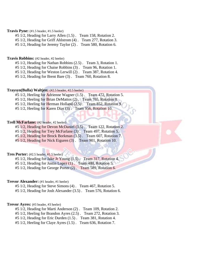# **Travis Pyne:** (#1.5 header, #1.5 heeler)

#5 1/2, Heading for Larry Allen (1.5) . Team 158, Rotation 2.

#5 1/2, Heading for Griff Ahlstrom (4) . Team 277, Rotation 3.

#5 1/2, Heading for Jeremy Taylor (2) . Team 580, Rotation 6.

# **Travis Robbins:** (#2 header, #2 heeler)

#5 1/2, Heading for Nathan Robbins (2.5) . Team 3, Rotation 1.

#5 1/2, Heading for Chaise Robbins (3) . Team 96, Rotation 1.

#5 1/2, Heading for Weston Lerwill (2) . Team 387, Rotation 4.

#5 1/2, Heading for Brent Bare (3) . Team 760, Rotation 8.

# **Traysyn(Bulla) Waltjen:** (#2.5 header, #2.5 heeler)

#5 1/2, Heeling for Adrienne Wagner (1.5) . Team 472, Rotation 5.

#5 1/2, Heeling for Brian DeMattos (2). Team 765, Rotation 8.

#5 1/2, Heeling for Herman Holland (2.5) . Team 852, Rotation 9.

 $#5$  1/2, Heeling for Karen Dias (3). Team 956, Rotation 10.

# **Trell McFarlane:** (#2 header, #2 heeler)

#5 1/2, Heading for Devon McDaniel (3.5) . Team 122, Rotation 2.

#5 1/2, Heading for Trey McFarlane (3) . Team 497, Rotation 5.

#5 1/2, Heading for Brock Borkman (3.5) . Team 607, Rotation 7.

#5 1/2, Heading for Nick Eiguren (3) . Team 901, Rotation 10.

# **Tres Porter:** (#2.5 header, #1.5 heeler)

#5 1/2, Heading for Jake Jr Young (1.5) . Team 317, Rotation 4.

#5 1/2, Heading for Justin Lopez (1) . Team 480, Rotation 5.

#5 1/2, Heading for George Porter (2) . Team 589, Rotation 6.

#### **Trevor Alexander:** (#1 header, #1 heeler)

#5 1/2, Heading for Steve Simons (4) . Team 467, Rotation 5.

#5 1/2, Heading for Josh Alexander (3.5) . Team 576, Rotation 6.

#### **Trevor Ayres:** (#3 header, #3 heeler)

#5 1/2, Heading for Marti Anderson (2) . Team 109, Rotation 2.

#5 1/2, Heeling for Brandon Ayres (2.5) . Team 272, Rotation 3.

#5 1/2, Heading for Eric Durden (1.5) . Team 381, Rotation 4.

#5 1/2, Heeling for Claye Ayres (1.5) . Team 636, Rotation 7.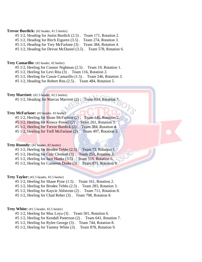# **Trevor Burdick:** (#2 header, #1.5 heeler)

- #5 1/2, Heading for Justin Burdick (2.5) . Team 171, Rotation 2.
- #5 1/2, Heading for Birch Eiguren (3.5) . Team 274, Rotation 3.
- #5 1/2, Heading for Trey McFarlane (3) . Team 384, Rotation 4.
- #5 1/2, Heading for Devon McDaniel (3.5) . Team 578, Rotation 6.

#### **Trey Camarillo:** (#2 header, #2 heeler)

- #5 1/2, Heeling for Connor Nighman (2.5) . Team 19, Rotation 1.
- #5 1/2, Heeling for Levi Rita (3) . Team 116, Rotation 2.
- #5 1/2, Heeling for Cassie Camarillo (1.5) . Team 246, Rotation 3.
- #5 1/2, Heading for Robert Rita (2.5) . Team 484, Rotation 5.

# **Trey Marriott:** (#2.5 header, #2.5 heeler)

#5 1/2, Heading for Marcus Marriott (2) . Team 634, Rotation 7.

# **Trey McFarlane:** (#3 header, #3 heeler)

- #5 1/2, Heeling for Sloan McFarlane (2) . Team 146, Rotation 2.
- #5 1/2, Heeling for Kreece Powell (2). Team 261, Rotation 3.
- #5 1/2, Heeling for Trevor Burdick (2) . Team 384, Rotation 4.
- #5 1/2, Heeling for Trell McFarlane (2) . Team 497, Rotation 5.

#### **Trey Roundy:** (#2 header, #2 heeler)

- #5 1/2, Heeling for Brodee Tebbs (2.5) . Team 73, Rotation 1.
- #5 1/2, Heeling for Cole Clement (3) . Team 253, Rotation 3.
- #5 1/2, Heeling for Jace Hanks (3.5) . Team 519, Rotation 6.
- #5 1/2, Heeling for Cameron Drake (3) . Team 871, Rotation 9.

#### **Trey Taylor:** (#2.5 header, #2.5 heeler)

- #5 1/2, Heeling for Shane Pyne (1.5) . Team 161, Rotation 2.
- #5 1/2, Heeling for Brodee Tebbs (2.5) . Team 283, Rotation 3.
- #5 1/2, Heeling for Kaycie Ahlstrom (2) . Team 711, Rotation 8.
- #5 1/2, Heeling for Chad Reber (3) . Team 798, Rotation 8.

#### **Trey White:** (#1.5 header, #2.5 heeler)

- #5 1/2, Heeling for Max Loya (3) . Team 501, Rotation 6.
- #5 1/2, Heeling for Kendall Patterson (2) . Team 641, Rotation 7.
- #5 1/2, Heeling for Rylee George (3) . Team 744, Rotation 8.
- #5 1/2, Heeling for Tammy White (3) . Team 878, Rotation 9.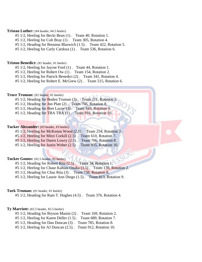# **Tristan Luther:** (#4 header, #4.5 heeler)

- #5 1/2, Heeling for Becki Bean (1) . Team 40, Rotation 1.
- #5 1/2, Heeling for Colt Bray (1) . Team 305, Rotation 4.
- #5 1/2, Heading for Breanna Blaswich (1.5) . Team 422, Rotation 5.
- #5 1/2, Heeling for Carly Cardoza (1) . Team 536, Rotation 6.

#### **Triston Benedict:** (#1 header, #1 heeler)

- #5 1/2, Heeling for Jaycee Ford (1) . Team 44, Rotation 1.
- #5 1/2, Heeling for Robert Ow (1) . Team 154, Rotation 2.
- #5 1/2, Heeling for Patrick Benedict (2) . Team 341, Rotation 4.

#5 1/2, Heeling for Robert E. McGrew (2) . Team 515, Rotation 6.

# **Truce Truman:** (#2 header, #2 heeler)

- #5 1/2, Heading for Boden Truman (3) . Team 211, Rotation 3.
- #5 1/2, Heading for Jon Platt (2) . Team 766, Rotation 8.
- #5 1/2, Heading for Bret Layne (3) . Team 843, Rotation 9.
- #5 1/2, Heading for TBA TBA (1) . Team 916, Rotation 10.

### **Tucker Alexander:** (#3 header, #3 heeler)

- #5 1/2, Heeling for McKenna Wood (2.5) . Team 254, Rotation 3.
- #5 1/2, Heeling for Mitzi Corkill (2.5) . Team 610, Rotation 7.
- #5 1/2, Heeling for Daren Lowry (2.5) . Team 706, Rotation 8.
- #5 1/2, Heeling for Justin Weber (2.5) . Team 935, Rotation 10.

# **Tucker Gomes:** (#2.5 header, #2 heeler)

- #5 1/2, Heading for Robert Rita (2.5) . Team 34, Rotation 1.
- #5 1/2, Heeling for Chase Kahiau Onaka (3.5) . Team 139, Rotation 2.
- #5 1/2, Heading for Chaz Rita (3) . Team 738, Rotation 8.
- #5 1/2, Heeling for Laurie Ann Diego (1.5) . Team 813, Rotation 9.

# **Turk Truman:** (#1 header, #1 heeler)

#5 1/2, Heading for Ram T. Hughes (4.5) . Team 376, Rotation 4.

#### **Ty Marriott:** (#2.5 header, #2.5 heeler)

- #5 1/2, Heading for Bryson Masini (2) . Team 169, Rotation 2.
- #5 1/2, Heeling for Karen Deller (1.5) . Team 689, Rotation 7.
- #5 1/2, Heading for Dan Duncan (3) . Team 785, Rotation 8.
- #5 1/2, Heeling for AJ Duncan (2.5) . Team 912, Rotation 10.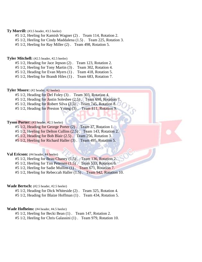#### **Ty Morrill:** (#3.5 header, #3.5 heeler)

- #5 1/2, Heeling for Kamish Wagner (2) . Team 114, Rotation 2.
- #5 1/2, Heeling for Cindy Maddalena (1.5) . Team 225, Rotation 3.
- #5 1/2, Heeling for Ray Miller (2) . Team 498, Rotation 5.

#### **Tyler Mitchell:** (#2.5 header, #2.5 heeler)

- #5 1/2, Heading for Jace Jepson (2) . Team 123, Rotation 2.
- #5 1/2, Heeling for Tony Martin (3) . Team 302, Rotation 4.
- #5 1/2, Heading for Evan Myers (1) . Team 418, Rotation 5.
- #5 1/2, Heeling for Brandt Hiles (1) . Team 683, Rotation 7.

#### **Tyler Moore:** (#2 header, #2 heeler)

- #5 1/2, Heading for Del Foley (3) . Team 303, Rotation 4.
- #5 1/2, Heading for Justin Solesbee (2.5) . Team 690, Rotation 7.
- $#5$  1/2, Heading for Robert Silva  $(2.5)$ . Team 745, Rotation 8.
- #5 1/2, Heading for Preston Young (3) . Team 811, Rotation 9.

# **Tyson Porter:** (#3 header, #2.5 heeler)

- #5 1/2, Heading for George Porter (2) . Team 37, Rotation 1.
- #5 1/2, Heeling for Delton Cullins (2.5) . Team 143, Rotation 2.
- #5 1/2, Heading for Bob Blair (2.5) . Team 256, Rotation 3.
- #5 1/2, Heeling for Richard Haller (3) . Team 495, Rotation 5.

# **Val Ericson:** (#4 header, #4 heeler)

- #5 1/2, Heeling for Beau Chaney (1.5) . Team 136, Rotation 2.
- #5 1/2, Heeling for Tim Petersen (1.5). Team 533, Rotation 6.
- #5 1/2, Heeling for Sadie Mullins (1) . Team 671, Rotation 7.
- #5 1/2, Heeling for Rebeccah Haller (1.5) . Team 942, Rotation 10.

### **Wade Bertsch:** (#2.5 header, #2.5 heeler)

- #5 1/2, Heading for Dick Whiteside (2) . Team 325, Rotation 4.
- #5 1/2, Heading for Blaize Hoffman (1) . Team 434, Rotation 5.

#### **Wade Hofheins:** (#4 header, #4.5 heeler)

- #5 1/2, Heeling for Becki Bean (1) . Team 147, Rotation 2.
- #5 1/2, Heeling for Chris Galassini (1) . Team 979, Rotation 10.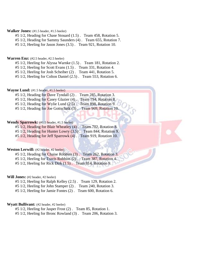# **Walker Jones:** (#1.5 header, #1.5 heeler)

#5 1/2, Heading for Chase Stouard (1.5) . Team 458, Rotation 5.

#5 1/2, Heading for Sammy Saunders (4) . Team 655, Rotation 7.

#5 1/2, Heeling for Jason Jones (3.5) . Team 921, Rotation 10.

#### **Warren Enz:** (#2.5 header, #2.5 heeler)

#5 1/2, Heeling for Alyssa Warnke (1.5) . Team 181, Rotation 2.

#5 1/2, Heeling for Scott Evans (1.5) . Team 331, Rotation 4.

#5 1/2, Heeling for Josh Scheiber (2) . Team 441, Rotation 5.

#5 1/2, Heeling for Colton Daniel (2.5) . Team 553, Rotation 6.

#### **Wayne Lund:** (#1.5 header, #1.5 heeler)

#5 1/2, Heading for Dave Tyndall (2) . Team 285, Rotation 3. #5 1/2, Heading for Casey Glazier (4) . Team 794, Rotation 8. #5 1/2, Heading for Wylie Lund (2.5) . Team 898, Rotation 9.

#5 1/2, Heading for Joe Gottschalk (3) . Team 969, Rotation 10.

# **Wendy Sparrowk:** (#1.5 header, #1.5 heeler)

#5 1/2, Heading for Blair Wheatley (4) . Team 702, Rotation 8.

 $#5\ 1/2$ , Heading for Hunter Lowry  $(3.5)$ . Team 844, Rotation 9.

#5 1/2, Heading for Jeff Sparrowk (4). Team 919, Rotation 10.

# **Weston Lerwill:** (#2 header, #2 heeler)

#5 1/2, Heading for Chaise Robbins (3) . Team 262, Rotation 3.

#5 1/2, Heeling for Travis Robbins (2) . Team 387, Rotation 4.

#5 1/2, Heeling for Rick Dirk (1.5) . Team 814, Rotation 9.

#### **Will Jones:** (#2 header, #2 heeler)

- #5 1/2, Heeling for Ralph Kelley (2.5) . Team 129, Rotation 2.
- #5 1/2, Heeling for John Stamper (2) . Team 240, Rotation 3.
- #5 1/2, Heeling for Jamie Fontes (2) . Team 600, Rotation 6.

# **Wyatt Bullivant:** (#2 header, #2 heeler)

#5 1/2, Heeling for Jasper Frost (2) . Team 85, Rotation 1.

#5 1/2, Heeling for Bronc Rowland (3) . Team 206, Rotation 3.